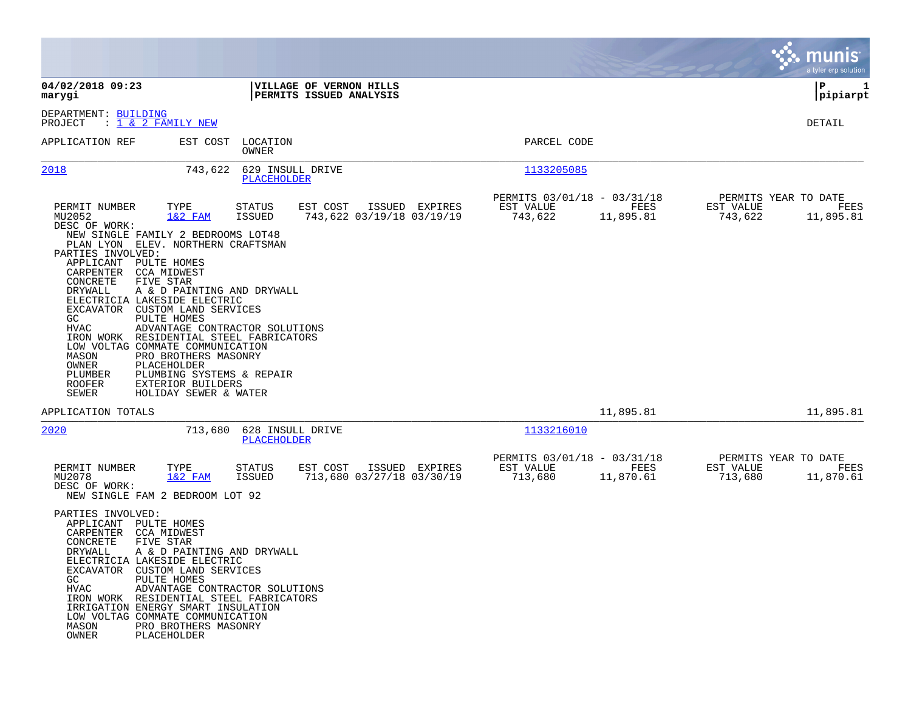|                                                                                                                                                                                                                                                                                                                                                                                                                     |                                                                                                                                                                                                                                                                |                                 |                                                    |                                             |                                                     |                   |                                              | munis<br>a tyler erp solution |
|---------------------------------------------------------------------------------------------------------------------------------------------------------------------------------------------------------------------------------------------------------------------------------------------------------------------------------------------------------------------------------------------------------------------|----------------------------------------------------------------------------------------------------------------------------------------------------------------------------------------------------------------------------------------------------------------|---------------------------------|----------------------------------------------------|---------------------------------------------|-----------------------------------------------------|-------------------|----------------------------------------------|-------------------------------|
| 04/02/2018 09:23<br>marygi                                                                                                                                                                                                                                                                                                                                                                                          |                                                                                                                                                                                                                                                                |                                 | VILLAGE OF VERNON HILLS<br>PERMITS ISSUED ANALYSIS |                                             |                                                     |                   |                                              | P<br>1<br> pipiarpt           |
| DEPARTMENT: BUILDING<br>PROJECT<br>: <u>1 &amp; 2 FAMILY NEW</u>                                                                                                                                                                                                                                                                                                                                                    |                                                                                                                                                                                                                                                                |                                 |                                                    |                                             |                                                     |                   |                                              | DETAIL                        |
| APPLICATION REF                                                                                                                                                                                                                                                                                                                                                                                                     | EST COST                                                                                                                                                                                                                                                       | LOCATION<br>OWNER               |                                                    |                                             | PARCEL CODE                                         |                   |                                              |                               |
| 2018                                                                                                                                                                                                                                                                                                                                                                                                                | 743,622                                                                                                                                                                                                                                                        | 629 INSULL DRIVE<br>PLACEHOLDER |                                                    |                                             | 1133205085                                          |                   |                                              |                               |
| PERMIT NUMBER<br>MU2052<br>DESC OF WORK:<br>NEW SINGLE FAMILY 2 BEDROOMS LOT48<br>PLAN LYON ELEV. NORTHERN CRAFTSMAN<br>PARTIES INVOLVED:<br>APPLICANT PULTE HOMES<br>CARPENTER CCA MIDWEST<br>CONCRETE<br>DRYWALL<br>ELECTRICIA LAKESIDE ELECTRIC<br>EXCAVATOR<br>GC<br>HVAC<br>IRON WORK RESIDENTIAL STEEL FABRICATORS<br>LOW VOLTAG COMMATE COMMUNICATION<br>MASON<br>OWNER<br>PLUMBER<br><b>ROOFER</b><br>SEWER | TYPE<br>$1&2$ FAM<br>FIVE STAR<br>A & D PAINTING AND DRYWALL<br>CUSTOM LAND SERVICES<br>PULTE HOMES<br>ADVANTAGE CONTRACTOR SOLUTIONS<br>PRO BROTHERS MASONRY<br>PLACEHOLDER<br>PLUMBING SYSTEMS & REPAIR<br><b>EXTERIOR BUILDERS</b><br>HOLIDAY SEWER & WATER | STATUS<br>ISSUED                | EST COST                                           | ISSUED EXPIRES<br>743,622 03/19/18 03/19/19 | PERMITS 03/01/18 - 03/31/18<br>EST VALUE<br>743,622 | FEES<br>11,895.81 | PERMITS YEAR TO DATE<br>EST VALUE<br>743,622 | FEES<br>11,895.81             |
| APPLICATION TOTALS                                                                                                                                                                                                                                                                                                                                                                                                  |                                                                                                                                                                                                                                                                |                                 |                                                    |                                             |                                                     | 11,895.81         |                                              | 11,895.81                     |
| 2020                                                                                                                                                                                                                                                                                                                                                                                                                | 713,680                                                                                                                                                                                                                                                        | 628 INSULL DRIVE<br>PLACEHOLDER |                                                    |                                             | 1133216010                                          |                   |                                              |                               |
| PERMIT NUMBER<br>MU2078<br>DESC OF WORK:<br>NEW SINGLE FAM 2 BEDROOM LOT 92<br>PARTIES INVOLVED:<br>APPLICANT PULTE HOMES<br>CARPENTER<br>CONCRETE<br>DRYWALL<br>ELECTRICIA LAKESIDE ELECTRIC<br>EXCAVATOR CUSTOM LAND SERVICES<br>GC<br>HVAC                                                                                                                                                                       | TYPE<br>$1&2$ FAM<br>CCA MIDWEST<br>FIVE STAR<br>A & D PAINTING AND DRYWALL<br>PULTE HOMES<br>ADVANTAGE CONTRACTOR SOLUTIONS                                                                                                                                   | STATUS<br><b>ISSUED</b>         | EST COST                                           | ISSUED EXPIRES<br>713,680 03/27/18 03/30/19 | PERMITS 03/01/18 - 03/31/18<br>EST VALUE<br>713,680 | FEES<br>11,870.61 | PERMITS YEAR TO DATE<br>EST VALUE<br>713,680 | FEES<br>11,870.61             |
| IRON WORK RESIDENTIAL STEEL FABRICATORS<br>IRRIGATION ENERGY SMART INSULATION<br>LOW VOLTAG COMMATE COMMUNICATION<br>MASON<br>OWNER                                                                                                                                                                                                                                                                                 | PRO BROTHERS MASONRY<br>PLACEHOLDER                                                                                                                                                                                                                            |                                 |                                                    |                                             |                                                     |                   |                                              |                               |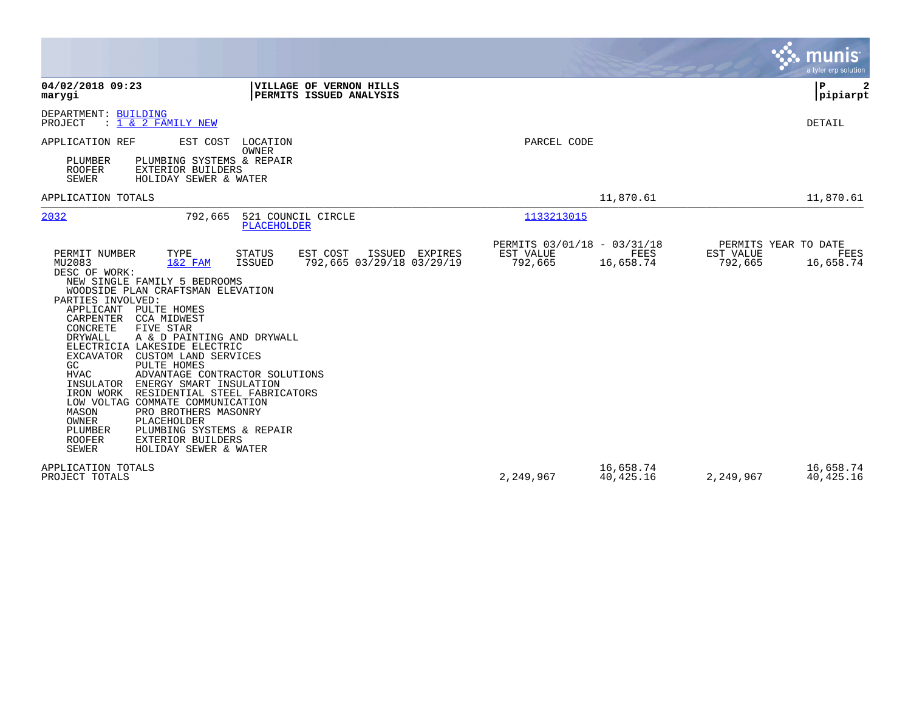|                                                                                                                                                                                                                                                                                                                                                                                                                                                                                                                                                                                                                                                                                                                                                                                                                                             |                                                     |                          |                      | munis<br>a tyler erp solution             |
|---------------------------------------------------------------------------------------------------------------------------------------------------------------------------------------------------------------------------------------------------------------------------------------------------------------------------------------------------------------------------------------------------------------------------------------------------------------------------------------------------------------------------------------------------------------------------------------------------------------------------------------------------------------------------------------------------------------------------------------------------------------------------------------------------------------------------------------------|-----------------------------------------------------|--------------------------|----------------------|-------------------------------------------|
| 04/02/2018 09:23<br>VILLAGE OF VERNON HILLS<br>PERMITS ISSUED ANALYSIS<br>marygi                                                                                                                                                                                                                                                                                                                                                                                                                                                                                                                                                                                                                                                                                                                                                            |                                                     |                          |                      | P)<br>2<br> pipiarpt                      |
| DEPARTMENT: BUILDING<br>PROJECT<br>$: 1 \& 2$ FAMILY NEW                                                                                                                                                                                                                                                                                                                                                                                                                                                                                                                                                                                                                                                                                                                                                                                    |                                                     |                          |                      | DETAIL                                    |
| APPLICATION REF<br>EST COST<br>LOCATION<br>OWNER<br>PLUMBER<br>PLUMBING SYSTEMS & REPAIR<br>ROOFER<br><b>EXTERIOR BUILDERS</b><br><b>SEWER</b><br>HOLIDAY SEWER & WATER                                                                                                                                                                                                                                                                                                                                                                                                                                                                                                                                                                                                                                                                     | PARCEL CODE                                         |                          |                      |                                           |
| APPLICATION TOTALS                                                                                                                                                                                                                                                                                                                                                                                                                                                                                                                                                                                                                                                                                                                                                                                                                          |                                                     | 11,870.61                |                      | 11,870.61                                 |
| 2032<br>521 COUNCIL CIRCLE<br>792,665<br><b>PLACEHOLDER</b>                                                                                                                                                                                                                                                                                                                                                                                                                                                                                                                                                                                                                                                                                                                                                                                 | 1133213015                                          |                          |                      |                                           |
| EST COST<br>PERMIT NUMBER<br>TYPE<br><b>STATUS</b><br>ISSUED EXPIRES<br>MU2083<br>$1&2$ FAM<br>792,665 03/29/18 03/29/19<br>ISSUED<br>DESC OF WORK:<br>NEW SINGLE FAMILY 5 BEDROOMS<br>WOODSIDE PLAN CRAFTSMAN ELEVATION<br>PARTIES INVOLVED:<br>APPLICANT PULTE HOMES<br>CARPENTER CCA MIDWEST<br>CONCRETE<br>FIVE STAR<br>DRYWALL<br>A & D PAINTING AND DRYWALL<br>ELECTRICIA LAKESIDE ELECTRIC<br><b>EXCAVATOR</b><br>CUSTOM LAND SERVICES<br>GC<br>PULTE HOMES<br><b>HVAC</b><br>ADVANTAGE CONTRACTOR SOLUTIONS<br>ENERGY SMART INSULATION<br>INSULATOR<br>RESIDENTIAL STEEL FABRICATORS<br>IRON WORK<br>LOW VOLTAG COMMATE COMMUNICATION<br>MASON<br>PRO BROTHERS MASONRY<br><b>OWNER</b><br>PLACEHOLDER<br>PLUMBER<br>PLUMBING SYSTEMS & REPAIR<br><b>ROOFER</b><br><b>EXTERIOR BUILDERS</b><br><b>SEWER</b><br>HOLIDAY SEWER & WATER | PERMITS 03/01/18 - 03/31/18<br>EST VALUE<br>792,665 | FEES<br>16,658.74        | EST VALUE<br>792,665 | PERMITS YEAR TO DATE<br>FEES<br>16,658.74 |
| APPLICATION TOTALS<br>PROJECT TOTALS                                                                                                                                                                                                                                                                                                                                                                                                                                                                                                                                                                                                                                                                                                                                                                                                        | 2,249,967                                           | 16,658.74<br>40, 425. 16 | 2,249,967            | 16,658.74<br>40,425.16                    |

**Contract**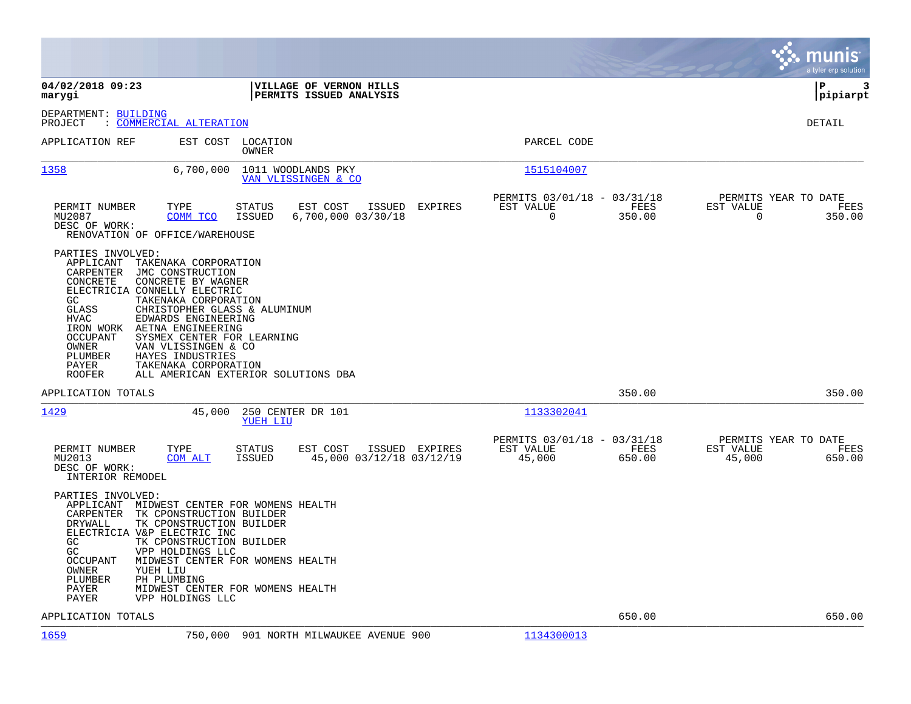|                                                                                                                                                                                                                                                 |                                                                                                                                                                                                                                                                                       |                                                    |                |                                                      |                       |                                               | munis<br>a tyler erp solution |
|-------------------------------------------------------------------------------------------------------------------------------------------------------------------------------------------------------------------------------------------------|---------------------------------------------------------------------------------------------------------------------------------------------------------------------------------------------------------------------------------------------------------------------------------------|----------------------------------------------------|----------------|------------------------------------------------------|-----------------------|-----------------------------------------------|-------------------------------|
| 04/02/2018 09:23<br>marygi                                                                                                                                                                                                                      |                                                                                                                                                                                                                                                                                       | VILLAGE OF VERNON HILLS<br>PERMITS ISSUED ANALYSIS |                |                                                      |                       | IΡ                                            | 3<br>pipiarpt                 |
| DEPARTMENT: BUILDING<br>: COMMERCIAL ALTERATION<br>PROJECT                                                                                                                                                                                      |                                                                                                                                                                                                                                                                                       |                                                    |                |                                                      |                       |                                               | <b>DETAIL</b>                 |
| APPLICATION REF                                                                                                                                                                                                                                 | EST COST LOCATION<br>OWNER                                                                                                                                                                                                                                                            |                                                    |                | PARCEL CODE                                          |                       |                                               |                               |
| 1358                                                                                                                                                                                                                                            | 6,700,000                                                                                                                                                                                                                                                                             | 1011 WOODLANDS PKY<br>VAN VLISSINGEN & CO          |                | 1515104007                                           |                       |                                               |                               |
| TYPE<br>PERMIT NUMBER<br>MU2087<br>DESC OF WORK:<br>RENOVATION OF OFFICE/WAREHOUSE                                                                                                                                                              | <b>STATUS</b><br>COMM TCO<br>ISSUED                                                                                                                                                                                                                                                   | EST COST<br>$6,700,000$ $03/30/18$                 | ISSUED EXPIRES | PERMITS 03/01/18 - 03/31/18<br>EST VALUE<br>$\Omega$ | FEES<br>350.00        | PERMITS YEAR TO DATE<br>EST VALUE<br>$\Omega$ | FEES<br>350.00                |
| PARTIES INVOLVED:<br>APPLICANT<br>CARPENTER<br>CONCRETE<br>ELECTRICIA CONNELLY ELECTRIC<br>GC<br><b>GLASS</b><br>HVAC<br>IRON WORK AETNA ENGINEERING<br><b>OCCUPANT</b><br>OWNER<br>PLUMBER<br>PAYER<br><b>ROOFER</b>                           | TAKENAKA CORPORATION<br>JMC CONSTRUCTION<br>CONCRETE BY WAGNER<br>TAKENAKA CORPORATION<br>CHRISTOPHER GLASS & ALUMINUM<br>EDWARDS ENGINEERING<br>SYSMEX CENTER FOR LEARNING<br>VAN VLISSINGEN & CO<br>HAYES INDUSTRIES<br>TAKENAKA CORPORATION<br>ALL AMERICAN EXTERIOR SOLUTIONS DBA |                                                    |                |                                                      |                       |                                               |                               |
| APPLICATION TOTALS                                                                                                                                                                                                                              |                                                                                                                                                                                                                                                                                       |                                                    |                |                                                      | 350.00                |                                               | 350.00                        |
| 1429                                                                                                                                                                                                                                            | 45,000<br>YUEH LIU                                                                                                                                                                                                                                                                    | 250 CENTER DR 101                                  |                | 1133302041                                           |                       |                                               |                               |
| PERMIT NUMBER<br>TYPE<br>MU2013<br>DESC OF WORK:<br>INTERIOR REMODEL                                                                                                                                                                            | <b>STATUS</b><br>COM ALT<br>ISSUED                                                                                                                                                                                                                                                    | EST COST<br>45,000 03/12/18 03/12/19               | ISSUED EXPIRES | PERMITS 03/01/18 - 03/31/18<br>EST VALUE<br>45,000   | <b>FEES</b><br>650.00 | PERMITS YEAR TO DATE<br>EST VALUE<br>45,000   | FEES<br>650.00                |
| PARTIES INVOLVED:<br>APPLICANT MIDWEST CENTER FOR WOMENS HEALTH<br>CARPENTER TK CPONSTRUCTION BUILDER<br>DRYWALL<br>ELECTRICIA V&P ELECTRIC INC<br>GC<br>GC<br><b>OCCUPANT</b><br>OWNER<br>YUEH LIU<br>PLUMBER<br>PH PLUMBING<br>PAYER<br>PAYER | TK CPONSTRUCTION BUILDER<br>TK CPONSTRUCTION BUILDER<br>VPP HOLDINGS LLC<br>MIDWEST CENTER FOR WOMENS HEALTH<br>MIDWEST CENTER FOR WOMENS HEALTH<br>VPP HOLDINGS LLC                                                                                                                  |                                                    |                |                                                      |                       |                                               |                               |
| APPLICATION TOTALS                                                                                                                                                                                                                              |                                                                                                                                                                                                                                                                                       |                                                    |                |                                                      | 650.00                |                                               | 650.00                        |
| 1659                                                                                                                                                                                                                                            | 750,000                                                                                                                                                                                                                                                                               | 901 NORTH MILWAUKEE AVENUE 900                     |                | 1134300013                                           |                       |                                               |                               |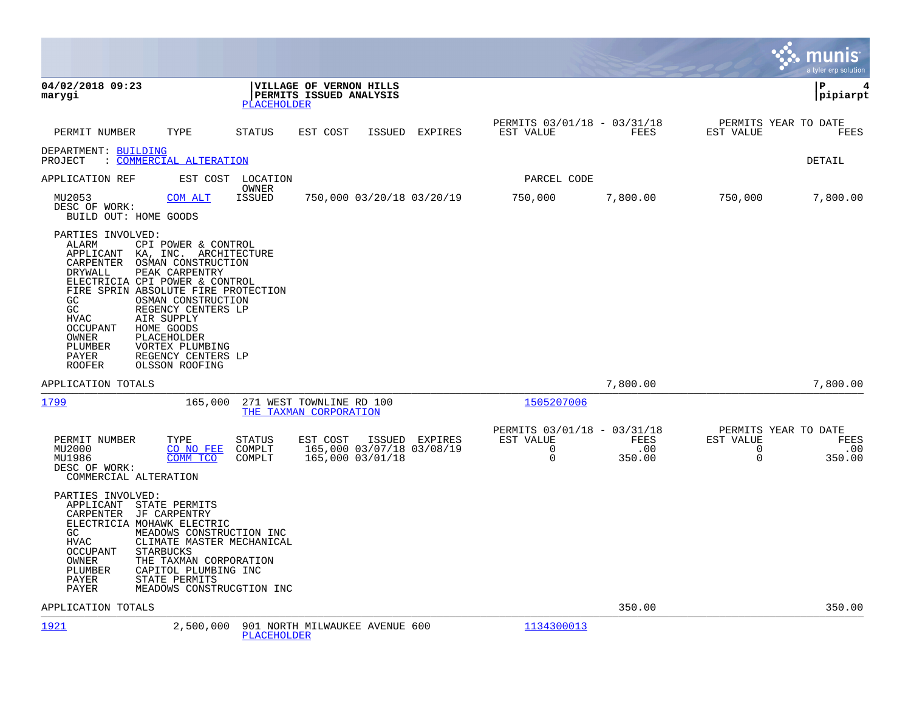|                                                                                                                                                                                                                                                                                                                                                                                                                                                                                       |                                                                          |                                                                 |                                                                        |                       |                                                              | munis<br>a tyler erp solution |
|---------------------------------------------------------------------------------------------------------------------------------------------------------------------------------------------------------------------------------------------------------------------------------------------------------------------------------------------------------------------------------------------------------------------------------------------------------------------------------------|--------------------------------------------------------------------------|-----------------------------------------------------------------|------------------------------------------------------------------------|-----------------------|--------------------------------------------------------------|-------------------------------|
| 04/02/2018 09:23<br>marygi                                                                                                                                                                                                                                                                                                                                                                                                                                                            | VILLAGE OF VERNON HILLS<br>PERMITS ISSUED ANALYSIS<br><b>PLACEHOLDER</b> |                                                                 |                                                                        |                       |                                                              | ΙP<br>4<br>pipiarpt           |
| PERMIT NUMBER<br>TYPE                                                                                                                                                                                                                                                                                                                                                                                                                                                                 | STATUS<br>EST COST                                                       | ISSUED<br>EXPIRES                                               | PERMITS 03/01/18 - 03/31/18<br>EST VALUE                               | FEES                  | PERMITS YEAR TO DATE<br>EST VALUE                            | FEES                          |
| DEPARTMENT: BUILDING<br>: COMMERCIAL ALTERATION<br>PROJECT                                                                                                                                                                                                                                                                                                                                                                                                                            |                                                                          |                                                                 |                                                                        |                       |                                                              | DETAIL                        |
| APPLICATION REF                                                                                                                                                                                                                                                                                                                                                                                                                                                                       | EST COST LOCATION                                                        |                                                                 | PARCEL CODE                                                            |                       |                                                              |                               |
| MU2053<br>COM ALT<br>DESC OF WORK:<br>BUILD OUT: HOME GOODS                                                                                                                                                                                                                                                                                                                                                                                                                           | OWNER<br><b>ISSUED</b>                                                   | 750,000 03/20/18 03/20/19                                       | 750,000                                                                | 7,800.00              | 750,000                                                      | 7,800.00                      |
| PARTIES INVOLVED:<br><b>ALARM</b><br>CPI POWER & CONTROL<br>APPLICANT<br>KA, INC. ARCHITECTURE<br>OSMAN CONSTRUCTION<br>CARPENTER<br>PEAK CARPENTRY<br>DRYWALL<br>ELECTRICIA CPI POWER & CONTROL<br>FIRE SPRIN ABSOLUTE FIRE PROTECTION<br>GC<br>OSMAN CONSTRUCTION<br>GC<br>REGENCY CENTERS LP<br><b>HVAC</b><br>AIR SUPPLY<br>HOME GOODS<br><b>OCCUPANT</b><br>PLACEHOLDER<br>OWNER<br>VORTEX PLUMBING<br>PLUMBER<br>PAYER<br>REGENCY CENTERS LP<br><b>ROOFER</b><br>OLSSON ROOFING |                                                                          |                                                                 |                                                                        |                       |                                                              |                               |
| APPLICATION TOTALS                                                                                                                                                                                                                                                                                                                                                                                                                                                                    |                                                                          |                                                                 |                                                                        | 7,800.00              |                                                              | 7,800.00                      |
| 1799<br>165,000                                                                                                                                                                                                                                                                                                                                                                                                                                                                       | 271 WEST TOWNLINE RD 100<br>THE TAXMAN CORPORATION                       |                                                                 | 1505207006                                                             |                       |                                                              |                               |
| PERMIT NUMBER<br>TYPE<br>MU2000<br>CO NO FEE<br>MU1986<br>COMM TCO<br>DESC OF WORK:<br>COMMERCIAL ALTERATION                                                                                                                                                                                                                                                                                                                                                                          | STATUS<br>EST COST<br>COMPLT<br>COMPLT                                   | ISSUED EXPIRES<br>165,000 03/07/18 03/08/19<br>165,000 03/01/18 | PERMITS 03/01/18 - 03/31/18<br>EST VALUE<br>$\mathbf 0$<br>$\mathbf 0$ | FEES<br>.00<br>350.00 | PERMITS YEAR TO DATE<br>EST VALUE<br>$\mathbf 0$<br>$\Omega$ | FEES<br>.00<br>350.00         |
| PARTIES INVOLVED:<br>APPLICANT STATE PERMITS<br>CARPENTER JF CARPENTRY<br>ELECTRICIA MOHAWK ELECTRIC<br>MEADOWS CONSTRUCTION INC<br>GC.<br><b>HVAC</b><br><b>OCCUPANT</b><br><b>STARBUCKS</b><br>THE TAXMAN CORPORATION<br>OWNER<br>CAPITOL PLUMBING INC<br>PLUMBER<br>PAYER<br>STATE PERMITS<br>PAYER                                                                                                                                                                                | CLIMATE MASTER MECHANICAL<br>MEADOWS CONSTRUCGTION INC                   |                                                                 |                                                                        |                       |                                                              |                               |
| APPLICATION TOTALS                                                                                                                                                                                                                                                                                                                                                                                                                                                                    |                                                                          |                                                                 |                                                                        | 350.00                |                                                              | 350.00                        |
| 1921<br>2,500,000                                                                                                                                                                                                                                                                                                                                                                                                                                                                     | 901 NORTH MILWAUKEE AVENUE 600<br><b>PLACEHOLDER</b>                     |                                                                 | 1134300013                                                             |                       |                                                              |                               |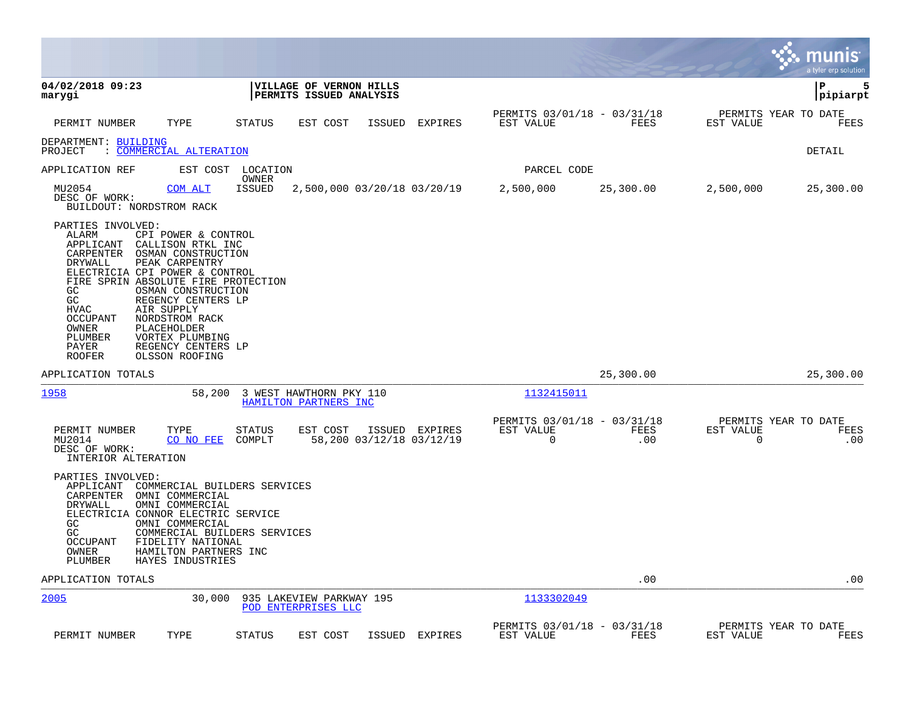|                                                                                                                                                                                                                                                                                                                                                                                                                                                                                |                                                              |                                                    |               |                                            |                                               |             |                | munis<br>a tyler erp solution       |
|--------------------------------------------------------------------------------------------------------------------------------------------------------------------------------------------------------------------------------------------------------------------------------------------------------------------------------------------------------------------------------------------------------------------------------------------------------------------------------|--------------------------------------------------------------|----------------------------------------------------|---------------|--------------------------------------------|-----------------------------------------------|-------------|----------------|-------------------------------------|
| 04/02/2018 09:23<br>marygi                                                                                                                                                                                                                                                                                                                                                                                                                                                     |                                                              | VILLAGE OF VERNON HILLS<br>PERMITS ISSUED ANALYSIS |               |                                            |                                               |             |                | P<br>5<br> pipiarpt                 |
| PERMIT NUMBER<br>TYPE                                                                                                                                                                                                                                                                                                                                                                                                                                                          | STATUS                                                       | EST COST                                           | <b>ISSUED</b> | EXPIRES                                    | PERMITS 03/01/18 - 03/31/18<br>EST VALUE      | <b>FEES</b> | EST VALUE      | PERMITS YEAR TO DATE<br>FEES        |
| DEPARTMENT: BUILDING<br>: COMMERCIAL ALTERATION<br>PROJECT                                                                                                                                                                                                                                                                                                                                                                                                                     |                                                              |                                                    |               |                                            |                                               |             |                | <b>DETAIL</b>                       |
| APPLICATION REF<br>EST COST                                                                                                                                                                                                                                                                                                                                                                                                                                                    | LOCATION                                                     |                                                    |               |                                            | PARCEL CODE                                   |             |                |                                     |
| MU2054<br>COM ALT<br>DESC OF WORK:<br>BUILDOUT: NORDSTROM RACK                                                                                                                                                                                                                                                                                                                                                                                                                 | OWNER<br>ISSUED                                              | 2,500,000 03/20/18 03/20/19                        |               |                                            | 2,500,000                                     | 25,300.00   | 2,500,000      | 25,300.00                           |
| PARTIES INVOLVED:<br>ALARM<br>CPI POWER & CONTROL<br>APPLICANT<br>CALLISON RTKL INC<br>CARPENTER<br>OSMAN CONSTRUCTION<br>DRYWALL<br>PEAK CARPENTRY<br>ELECTRICIA CPI POWER & CONTROL<br>FIRE SPRIN ABSOLUTE FIRE PROTECTION<br>GC<br>OSMAN CONSTRUCTION<br>GC<br>REGENCY CENTERS LP<br><b>HVAC</b><br>AIR SUPPLY<br><b>OCCUPANT</b><br>NORDSTROM RACK<br>PLACEHOLDER<br>OWNER<br>PLUMBER<br>VORTEX PLUMBING<br>PAYER<br>REGENCY CENTERS LP<br><b>ROOFER</b><br>OLSSON ROOFING |                                                              |                                                    |               |                                            |                                               |             |                |                                     |
| APPLICATION TOTALS                                                                                                                                                                                                                                                                                                                                                                                                                                                             |                                                              |                                                    |               |                                            |                                               | 25,300.00   |                | 25,300.00                           |
| 1958                                                                                                                                                                                                                                                                                                                                                                                                                                                                           | 58,200                                                       | 3 WEST HAWTHORN PKY 110<br>HAMILTON PARTNERS INC   |               |                                            | 1132415011                                    |             |                |                                     |
| TYPE<br>PERMIT NUMBER<br>MU2014<br>CO NO FEE<br>DESC OF WORK:<br>INTERIOR ALTERATION                                                                                                                                                                                                                                                                                                                                                                                           | <b>STATUS</b><br>COMPLT                                      | EST COST                                           |               | ISSUED EXPIRES<br>58,200 03/12/18 03/12/19 | PERMITS 03/01/18 - 03/31/18<br>EST VALUE<br>0 | FEES<br>.00 | EST VALUE<br>0 | PERMITS YEAR TO DATE<br>FEES<br>.00 |
| PARTIES INVOLVED:<br>APPLICANT<br>CARPENTER<br>OMNI COMMERCIAL<br>OMNI COMMERCIAL<br>DRYWALL<br>ELECTRICIA CONNOR ELECTRIC SERVICE<br>GC<br>OMNI COMMERCIAL<br>GC<br>OCCUPANT<br>FIDELITY NATIONAL<br>OWNER<br>HAMILTON PARTNERS INC<br>PLUMBER<br>HAYES INDUSTRIES                                                                                                                                                                                                            | COMMERCIAL BUILDERS SERVICES<br>COMMERCIAL BUILDERS SERVICES |                                                    |               |                                            |                                               |             |                |                                     |
| APPLICATION TOTALS                                                                                                                                                                                                                                                                                                                                                                                                                                                             |                                                              |                                                    |               |                                            |                                               | .00         |                | .00                                 |
| 2005                                                                                                                                                                                                                                                                                                                                                                                                                                                                           | 30,000                                                       | 935 LAKEVIEW PARKWAY 195<br>POD ENTERPRISES LLC    |               |                                            | 1133302049                                    |             |                |                                     |
| PERMIT NUMBER<br>TYPE                                                                                                                                                                                                                                                                                                                                                                                                                                                          | <b>STATUS</b>                                                | EST COST                                           | ISSUED        | EXPIRES                                    | PERMITS 03/01/18 - 03/31/18<br>EST VALUE      | FEES        | EST VALUE      | PERMITS YEAR TO DATE<br>FEES        |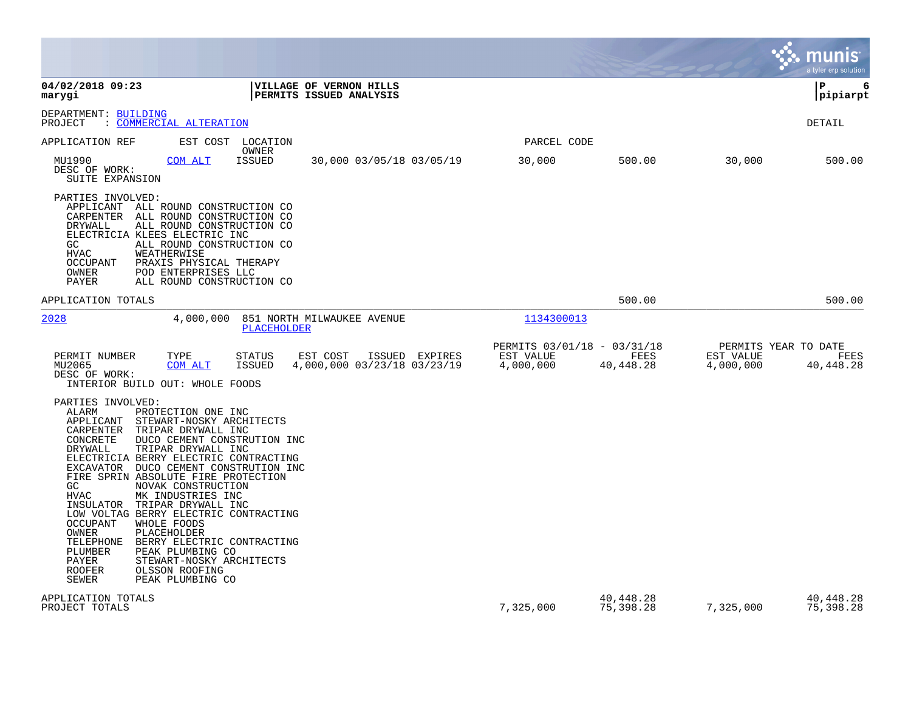|                                                                                                                                                                                                                                                                                                                                                                                                                                                                                                                                                                                                                                                                                                                               |                                                       |                        |                                                | munıs<br>a tyler erp solution |
|-------------------------------------------------------------------------------------------------------------------------------------------------------------------------------------------------------------------------------------------------------------------------------------------------------------------------------------------------------------------------------------------------------------------------------------------------------------------------------------------------------------------------------------------------------------------------------------------------------------------------------------------------------------------------------------------------------------------------------|-------------------------------------------------------|------------------------|------------------------------------------------|-------------------------------|
| 04/02/2018 09:23<br>VILLAGE OF VERNON HILLS<br>marygi<br>PERMITS ISSUED ANALYSIS                                                                                                                                                                                                                                                                                                                                                                                                                                                                                                                                                                                                                                              |                                                       |                        |                                                | 6<br>P<br> pipiarpt           |
| DEPARTMENT: BUILDING<br>: COMMERCIAL ALTERATION<br>PROJECT                                                                                                                                                                                                                                                                                                                                                                                                                                                                                                                                                                                                                                                                    |                                                       |                        |                                                | DETAIL                        |
| APPLICATION REF<br>EST COST LOCATION                                                                                                                                                                                                                                                                                                                                                                                                                                                                                                                                                                                                                                                                                          | PARCEL CODE                                           |                        |                                                |                               |
| OWNER<br>MU1990<br><b>COM ALT</b><br><b>ISSUED</b><br>30,000 03/05/18 03/05/19<br>DESC OF WORK:<br>SUITE EXPANSION                                                                                                                                                                                                                                                                                                                                                                                                                                                                                                                                                                                                            | 30,000                                                | 500.00                 | 30,000                                         | 500.00                        |
| PARTIES INVOLVED:<br>APPLICANT<br>ALL ROUND CONSTRUCTION CO<br>CARPENTER<br>ALL ROUND CONSTRUCTION CO<br>DRYWALL<br>ALL ROUND CONSTRUCTION CO<br>ELECTRICIA KLEES ELECTRIC INC<br>GC<br>ALL ROUND CONSTRUCTION CO<br><b>HVAC</b><br>WEATHERWISE<br>OCCUPANT<br>PRAXIS PHYSICAL THERAPY<br>OWNER<br>POD ENTERPRISES LLC<br>PAYER<br>ALL ROUND CONSTRUCTION CO                                                                                                                                                                                                                                                                                                                                                                  |                                                       |                        |                                                |                               |
| APPLICATION TOTALS                                                                                                                                                                                                                                                                                                                                                                                                                                                                                                                                                                                                                                                                                                            |                                                       | 500.00                 |                                                | 500.00                        |
| 2028<br>4,000,000<br>851 NORTH MILWAUKEE AVENUE<br>PLACEHOLDER                                                                                                                                                                                                                                                                                                                                                                                                                                                                                                                                                                                                                                                                | 1134300013                                            |                        |                                                |                               |
| PERMIT NUMBER<br>TYPE<br><b>STATUS</b><br>EST COST<br>ISSUED EXPIRES<br>4,000,000 03/23/18 03/23/19<br>MU2065<br>COM ALT<br><b>ISSUED</b><br>DESC OF WORK:<br>INTERIOR BUILD OUT: WHOLE FOODS                                                                                                                                                                                                                                                                                                                                                                                                                                                                                                                                 | PERMITS 03/01/18 - 03/31/18<br>EST VALUE<br>4,000,000 | FEES<br>40,448.28      | PERMITS YEAR TO DATE<br>EST VALUE<br>4,000,000 | <b>FEES</b><br>40,448.28      |
| PARTIES INVOLVED:<br>ALARM<br>PROTECTION ONE INC<br>APPLICANT<br>STEWART-NOSKY ARCHITECTS<br>CARPENTER<br>TRIPAR DRYWALL INC<br>CONCRETE<br>DUCO CEMENT CONSTRUTION INC<br>DRYWALL<br>TRIPAR DRYWALL INC<br>ELECTRICIA BERRY ELECTRIC CONTRACTING<br>EXCAVATOR DUCO CEMENT CONSTRUTION INC<br>FIRE SPRIN ABSOLUTE FIRE PROTECTION<br>GC<br>NOVAK CONSTRUCTION<br><b>HVAC</b><br>MK INDUSTRIES INC<br>INSULATOR<br>TRIPAR DRYWALL INC<br>LOW VOLTAG BERRY ELECTRIC CONTRACTING<br>WHOLE FOODS<br><b>OCCUPANT</b><br>OWNER<br>PLACEHOLDER<br>TELEPHONE<br>BERRY ELECTRIC CONTRACTING<br>PLUMBER<br>PEAK PLUMBING CO<br>PAYER<br>STEWART-NOSKY ARCHITECTS<br><b>ROOFER</b><br>OLSSON ROOFING<br><b>SEWER</b><br>PEAK PLUMBING CO |                                                       |                        |                                                |                               |
| APPLICATION TOTALS<br>PROJECT TOTALS                                                                                                                                                                                                                                                                                                                                                                                                                                                                                                                                                                                                                                                                                          | 7,325,000                                             | 40,448.28<br>75,398.28 | 7,325,000                                      | 40,448.28<br>75,398.28        |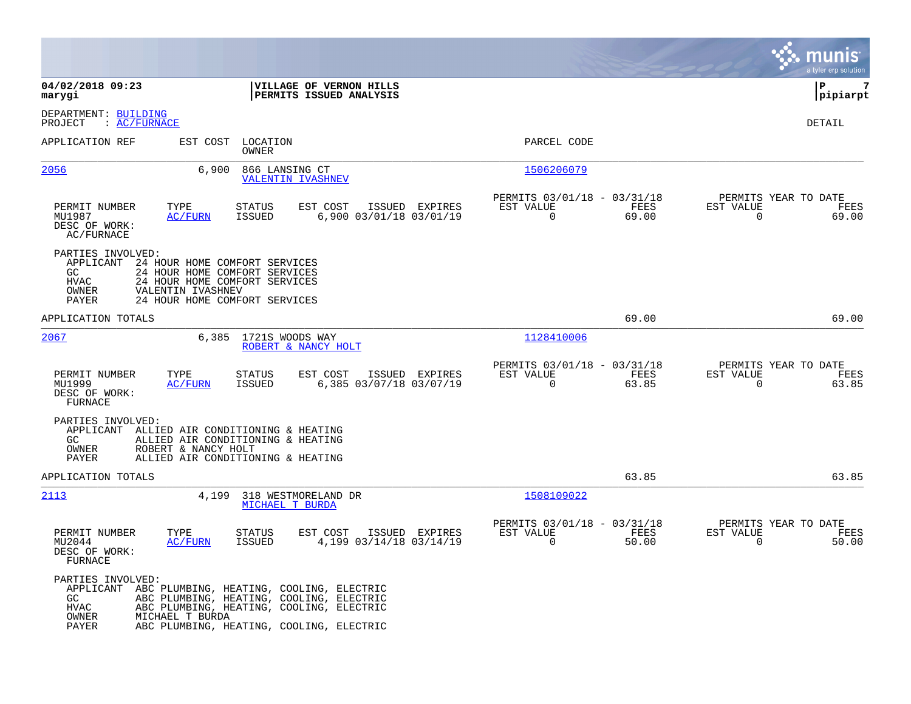|                                                                                     |                                                                                                                                                                              |                                                                          | munis<br>a tyler erp solution                                     |
|-------------------------------------------------------------------------------------|------------------------------------------------------------------------------------------------------------------------------------------------------------------------------|--------------------------------------------------------------------------|-------------------------------------------------------------------|
| 04/02/2018 09:23<br>marygi                                                          | VILLAGE OF VERNON HILLS<br>PERMITS ISSUED ANALYSIS                                                                                                                           |                                                                          | lР<br>7<br> pipiarpt                                              |
| DEPARTMENT: BUILDING<br>$\colon$ AC/FURNACE<br>PROJECT                              |                                                                                                                                                                              |                                                                          | DETAIL                                                            |
| APPLICATION REF                                                                     | EST COST LOCATION<br>OWNER                                                                                                                                                   | PARCEL CODE                                                              |                                                                   |
| 2056                                                                                | 6,900<br>866 LANSING CT<br><b>VALENTIN IVASHNEV</b>                                                                                                                          | 1506206079                                                               |                                                                   |
| PERMIT NUMBER<br>TYPE<br>MU1987<br>AC/FURN<br>DESC OF WORK:<br>AC/FURNACE           | STATUS<br>EST COST<br>ISSUED EXPIRES<br><b>ISSUED</b><br>6,900 03/01/18 03/01/19                                                                                             | PERMITS 03/01/18 - 03/31/18<br>EST VALUE<br>FEES<br>$\Omega$<br>69.00    | PERMITS YEAR TO DATE<br>EST VALUE<br>FEES<br>$\Omega$<br>69.00    |
| PARTIES INVOLVED:<br>APPLICANT<br>GC<br>HVAC<br>VALENTIN IVASHNEV<br>OWNER<br>PAYER | 24 HOUR HOME COMFORT SERVICES<br>24 HOUR HOME COMFORT SERVICES<br>24 HOUR HOME COMFORT SERVICES<br>24 HOUR HOME COMFORT SERVICES                                             |                                                                          |                                                                   |
| APPLICATION TOTALS                                                                  |                                                                                                                                                                              | 69.00                                                                    | 69.00                                                             |
| 2067                                                                                | 6,385<br>1721S WOODS WAY<br>ROBERT & NANCY HOLT                                                                                                                              | 1128410006                                                               |                                                                   |
| TYPE<br>PERMIT NUMBER<br>MU1999<br><b>AC/FURN</b><br>DESC OF WORK:<br>FURNACE       | EST COST<br>ISSUED EXPIRES<br>STATUS<br>ISSUED<br>6,385 03/07/18 03/07/19                                                                                                    | PERMITS 03/01/18 - 03/31/18<br>EST VALUE<br>FEES<br>$\mathbf 0$<br>63.85 | PERMITS YEAR TO DATE<br>EST VALUE<br>FEES<br>$\mathbf 0$<br>63.85 |
| PARTIES INVOLVED:<br>GC<br>ROBERT & NANCY HOLT<br>OWNER<br>PAYER                    | APPLICANT ALLIED AIR CONDITIONING & HEATING<br>ALLIED AIR CONDITIONING & HEATING<br>ALLIED AIR CONDITIONING & HEATING                                                        |                                                                          |                                                                   |
| APPLICATION TOTALS                                                                  |                                                                                                                                                                              | 63.85                                                                    | 63.85                                                             |
| 2113                                                                                | 4,199<br>318 WESTMORELAND DR<br>MICHAEL T BURDA                                                                                                                              | 1508109022                                                               |                                                                   |
| PERMIT NUMBER<br>TYPE<br>MU2044<br><u>AC/FURN</u><br>DESC OF WORK:<br>FURNACE       | <b>STATUS</b><br>EST COST<br>ISSUED EXPIRES<br><b>ISSUED</b><br>4,199 03/14/18 03/14/19                                                                                      | PERMITS 03/01/18 - 03/31/18<br>EST VALUE<br>FEES<br>$\Omega$<br>50.00    | PERMITS YEAR TO DATE<br>EST VALUE<br>FEES<br>$\Omega$<br>50.00    |
| PARTIES INVOLVED:<br>APPLICANT<br>GC.<br>HVAC<br>OWNER<br>MICHAEL T BURDA<br>PAYER  | ABC PLUMBING, HEATING, COOLING, ELECTRIC<br>ABC PLUMBING, HEATING, COOLING, ELECTRIC<br>ABC PLUMBING, HEATING, COOLING, ELECTRIC<br>ABC PLUMBING, HEATING, COOLING, ELECTRIC |                                                                          |                                                                   |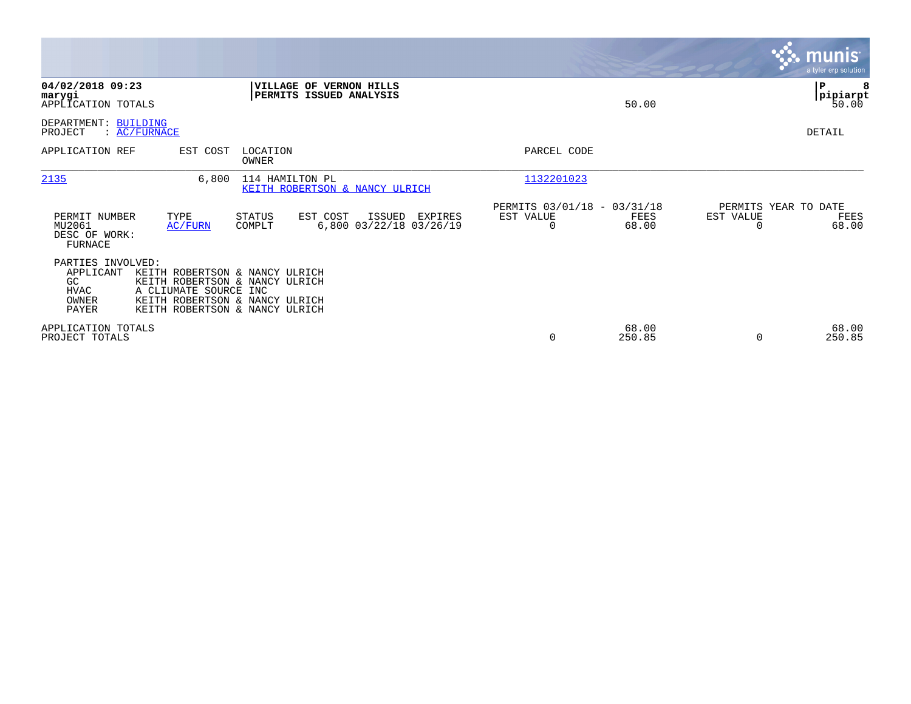|                                                                                         |                                                                                                                                      |                                                                | <b>munis</b><br>a tyler erp solution               |
|-----------------------------------------------------------------------------------------|--------------------------------------------------------------------------------------------------------------------------------------|----------------------------------------------------------------|----------------------------------------------------|
| 04/02/2018 09:23<br>marygi<br>APPLICATION TOTALS                                        | VILLAGE OF VERNON HILLS<br>PERMITS ISSUED ANALYSIS                                                                                   | 50.00                                                          | P<br> pipiarpt<br>50.00                            |
| DEPARTMENT: BUILDING<br>PROJECT<br>$\colon$ AC/FURNACE                                  |                                                                                                                                      |                                                                | <b>DETAIL</b>                                      |
| APPLICATION REF<br>EST COST                                                             | LOCATION<br>OWNER                                                                                                                    | PARCEL CODE                                                    |                                                    |
| 2135                                                                                    | 6,800<br>114 HAMILTON PL<br>KEITH ROBERTSON & NANCY ULRICH                                                                           | 1132201023                                                     |                                                    |
| TYPE<br>PERMIT NUMBER<br>MU2061<br>AC/FURN<br>DESC OF WORK:<br>FURNACE                  | STATUS<br>EST COST<br>ISSUED<br>EXPIRES<br>6,800 03/22/18 03/26/19<br>COMPLT                                                         | PERMITS 03/01/18 - 03/31/18<br>EST VALUE<br>FEES<br>68.00<br>0 | PERMITS YEAR TO DATE<br>EST VALUE<br>FEES<br>68.00 |
| PARTIES INVOLVED:<br>APPLICANT<br>GC<br>HVAC<br>A CLIUMATE SOURCE INC<br>OWNER<br>PAYER | KEITH ROBERTSON & NANCY ULRICH<br>KEITH ROBERTSON & NANCY ULRICH<br>KEITH ROBERTSON & NANCY ULRICH<br>KEITH ROBERTSON & NANCY ULRICH |                                                                |                                                    |
| APPLICATION TOTALS<br>PROJECT TOTALS                                                    |                                                                                                                                      | 68.00<br>250.85<br>0                                           | 68.00<br>250.85<br>$\Omega$                        |

**Contract**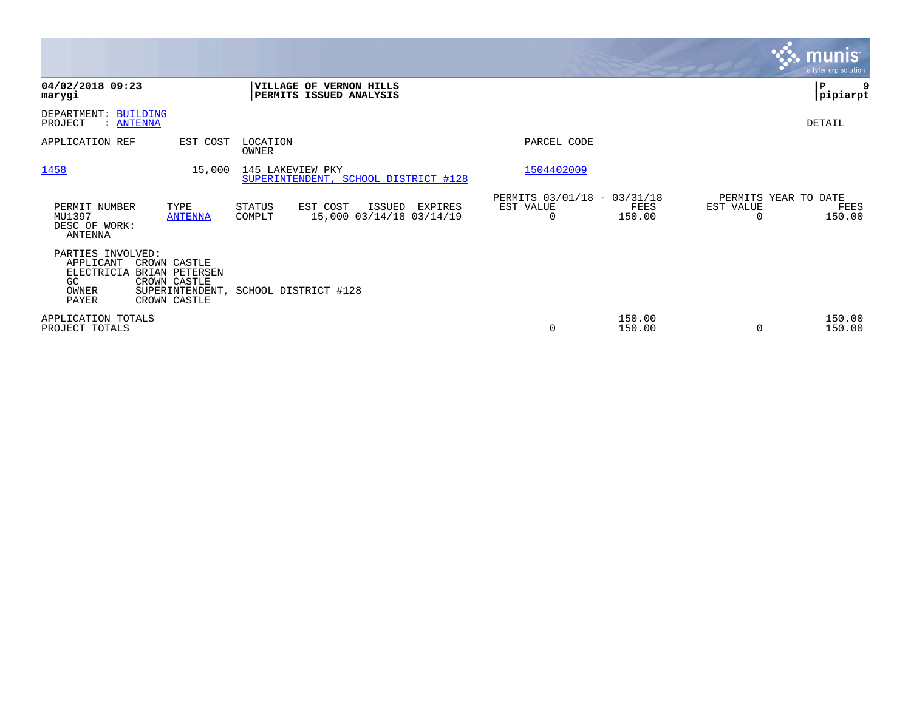|                                                                                                                                        |                                                                               |                                                                        | <b>munis</b><br>a tyler erp solution                |
|----------------------------------------------------------------------------------------------------------------------------------------|-------------------------------------------------------------------------------|------------------------------------------------------------------------|-----------------------------------------------------|
| 04/02/2018 09:23<br>marygi                                                                                                             | VILLAGE OF VERNON HILLS<br>PERMITS ISSUED ANALYSIS                            |                                                                        | ∣P<br> pipiarpt                                     |
| DEPARTMENT: BUILDING<br>PROJECT<br>: ANTENNA                                                                                           |                                                                               |                                                                        | DETAIL                                              |
| APPLICATION REF                                                                                                                        | EST COST<br>LOCATION<br>OWNER                                                 | PARCEL CODE                                                            |                                                     |
| 1458                                                                                                                                   | 145 LAKEVIEW PKY<br>15,000<br>SUPERINTENDENT, SCHOOL DISTRICT #128            | 1504402009                                                             |                                                     |
| PERMIT NUMBER<br>TYPE<br>MU1397<br><b>ANTENNA</b><br>DESC OF WORK:<br><b>ANTENNA</b>                                                   | STATUS<br>EST COST<br>ISSUED<br>EXPIRES<br>15,000 03/14/18 03/14/19<br>COMPLT | PERMITS 03/01/18 - 03/31/18<br>EST VALUE<br>FEES<br>150.00<br>$\Omega$ | PERMITS YEAR TO DATE<br>EST VALUE<br>FEES<br>150.00 |
| PARTIES INVOLVED:<br>APPLICANT<br>CROWN CASTLE<br>ELECTRICIA<br>BRIAN PETERSEN<br>GC<br>CROWN CASTLE<br>OWNER<br>PAYER<br>CROWN CASTLE | SUPERINTENDENT, SCHOOL DISTRICT #128                                          |                                                                        |                                                     |
| APPLICATION TOTALS<br>PROJECT TOTALS                                                                                                   |                                                                               | 150.00<br>0<br>150.00                                                  | 150.00<br>150.00                                    |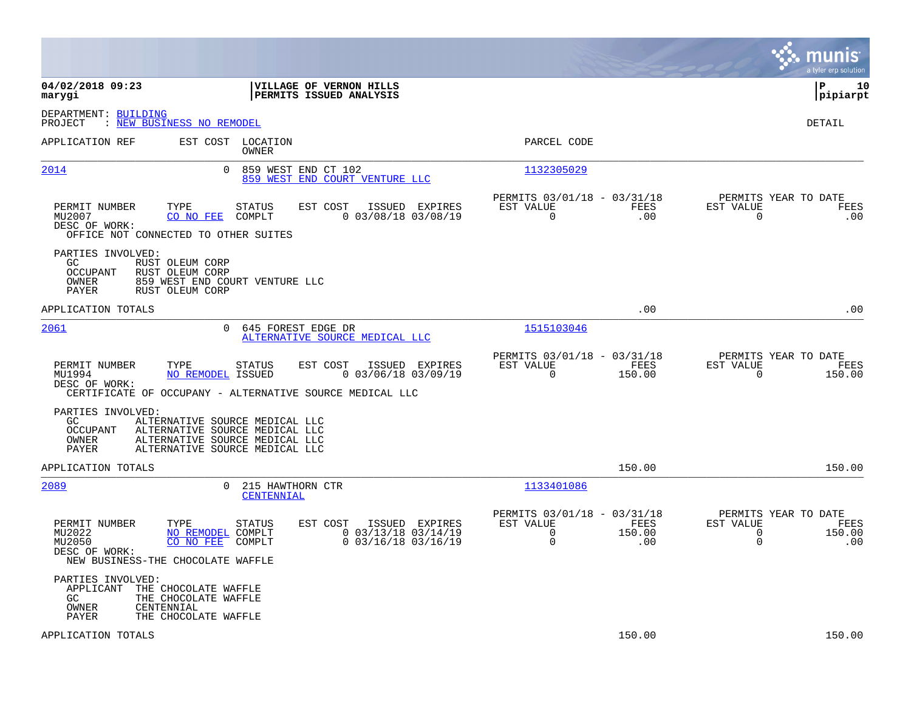|                                                                                                                               |                                                                                                                                      |                                                                              |                                                              |                       |                                                       | munis<br>a tyler erp solution |
|-------------------------------------------------------------------------------------------------------------------------------|--------------------------------------------------------------------------------------------------------------------------------------|------------------------------------------------------------------------------|--------------------------------------------------------------|-----------------------|-------------------------------------------------------|-------------------------------|
| 04/02/2018 09:23<br>marygi                                                                                                    |                                                                                                                                      | VILLAGE OF VERNON HILLS<br>PERMITS ISSUED ANALYSIS                           |                                                              |                       |                                                       | ΙP<br>10<br> pipiarpt         |
| DEPARTMENT: BUILDING<br>PROJECT<br>: <u>NEW BUSINESS NO REMODEL</u>                                                           |                                                                                                                                      |                                                                              |                                                              |                       |                                                       | <b>DETAIL</b>                 |
| APPLICATION REF                                                                                                               | EST COST LOCATION<br>OWNER                                                                                                           |                                                                              | PARCEL CODE                                                  |                       |                                                       |                               |
| 2014                                                                                                                          | $\mathbf{0}$<br>859 WEST END CT 102                                                                                                  | 859 WEST END COURT VENTURE LLC                                               | 1132305029                                                   |                       |                                                       |                               |
| TYPE<br>PERMIT NUMBER<br>MU2007<br>CO NO FEE<br>DESC OF WORK:<br>OFFICE NOT CONNECTED TO OTHER SUITES                         | <b>STATUS</b><br>COMPLT                                                                                                              | EST COST<br>ISSUED EXPIRES<br>$0$ 03/08/18 03/08/19                          | PERMITS 03/01/18 - 03/31/18<br>EST VALUE<br>$\Omega$         | FEES<br>.00           | PERMITS YEAR TO DATE<br>EST VALUE<br>$\Omega$         | FEES<br>.00                   |
| PARTIES INVOLVED:<br>RUST OLEUM CORP<br>GC.<br><b>OCCUPANT</b><br>RUST OLEUM CORP<br>OWNER<br><b>PAYER</b><br>RUST OLEUM CORP | 859 WEST END COURT VENTURE LLC                                                                                                       |                                                                              |                                                              |                       |                                                       |                               |
| APPLICATION TOTALS                                                                                                            |                                                                                                                                      |                                                                              |                                                              | .00                   |                                                       | .00                           |
| 2061                                                                                                                          | 645 FOREST EDGE DR<br>$\Omega$                                                                                                       | ALTERNATIVE SOURCE MEDICAL LLC                                               | 1515103046                                                   |                       |                                                       |                               |
| PERMIT NUMBER<br>TYPE<br>MU1994<br>DESC OF WORK:<br>CERTIFICATE OF OCCUPANY - ALTERNATIVE SOURCE MEDICAL LLC                  | STATUS<br><b>NO REMODEL ISSUED</b>                                                                                                   | EST COST<br>ISSUED EXPIRES<br>$0$ 03/06/18 03/09/19                          | PERMITS 03/01/18 - 03/31/18<br>EST VALUE<br>$\Omega$         | FEES<br>150.00        | PERMITS YEAR TO DATE<br>EST VALUE<br>$\Omega$         | FEES<br>150.00                |
| PARTIES INVOLVED:<br>GC.<br>OCCUPANT<br>OWNER<br>PAYER                                                                        | ALTERNATIVE SOURCE MEDICAL LLC<br>ALTERNATIVE SOURCE MEDICAL LLC<br>ALTERNATIVE SOURCE MEDICAL LLC<br>ALTERNATIVE SOURCE MEDICAL LLC |                                                                              |                                                              |                       |                                                       |                               |
| APPLICATION TOTALS                                                                                                            |                                                                                                                                      |                                                                              |                                                              | 150.00                |                                                       | 150.00                        |
| 2089                                                                                                                          | 215 HAWTHORN CTR<br>$\Omega$<br>CENTENNIAL                                                                                           |                                                                              | 1133401086                                                   |                       |                                                       |                               |
| PERMIT NUMBER<br>TYPE<br>MU2022<br>MU2050<br>CO NO FEE<br>DESC OF WORK:<br>NEW BUSINESS-THE CHOCOLATE WAFFLE                  | <b>STATUS</b><br>NO REMODEL COMPLT<br>COMPLT                                                                                         | EST COST<br>ISSUED EXPIRES<br>$0$ 03/13/18 03/14/19<br>$0$ 03/16/18 03/16/19 | PERMITS 03/01/18 - 03/31/18<br>EST VALUE<br>$\mathbf 0$<br>0 | FEES<br>150.00<br>.00 | PERMITS YEAR TO DATE<br>EST VALUE<br>0<br>$\mathbf 0$ | FEES<br>150.00<br>.00         |
| PARTIES INVOLVED:<br>APPLICANT<br>GC.<br>OWNER<br>CENTENNIAL<br>PAYER                                                         | THE CHOCOLATE WAFFLE<br>THE CHOCOLATE WAFFLE<br>THE CHOCOLATE WAFFLE                                                                 |                                                                              |                                                              |                       |                                                       |                               |
| APPLICATION TOTALS                                                                                                            |                                                                                                                                      |                                                                              |                                                              | 150.00                |                                                       | 150.00                        |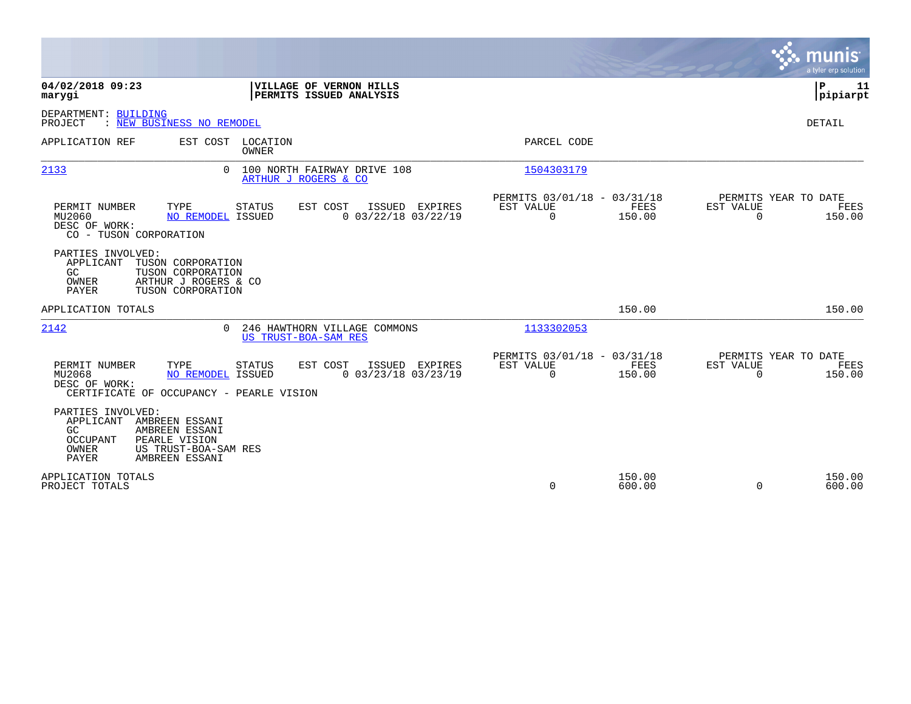|                                                                                                                                                                                                  |                                                                        | <b>munis</b><br>a tyler erp solution                            |
|--------------------------------------------------------------------------------------------------------------------------------------------------------------------------------------------------|------------------------------------------------------------------------|-----------------------------------------------------------------|
| 04/02/2018 09:23<br><b>VILLAGE OF VERNON HILLS</b><br>PERMITS ISSUED ANALYSIS<br>marygi                                                                                                          |                                                                        | ΙP<br>11<br> pipiarpt                                           |
| DEPARTMENT: BUILDING<br>PROJECT<br>: NEW BUSINESS NO REMODEL                                                                                                                                     |                                                                        | <b>DETAIL</b>                                                   |
| EST COST LOCATION<br>APPLICATION REF<br><b>OWNER</b>                                                                                                                                             | PARCEL CODE                                                            |                                                                 |
| 2133<br>100 NORTH FAIRWAY DRIVE 108<br>$\Omega$<br>ARTHUR J ROGERS & CO                                                                                                                          | 1504303179                                                             |                                                                 |
| PERMIT NUMBER<br>TYPE<br>STATUS<br>EST COST<br>ISSUED EXPIRES<br>$0$ 03/22/18 03/22/19<br>MU2060<br>NO REMODEL ISSUED<br>DESC OF WORK:<br>CO - TUSON CORPORATION                                 | PERMITS 03/01/18 - 03/31/18<br>EST VALUE<br>FEES<br>$\Omega$<br>150.00 | PERMITS YEAR TO DATE<br>EST VALUE<br>FEES<br>$\Omega$<br>150.00 |
| PARTIES INVOLVED:<br>APPLICANT<br>TUSON CORPORATION<br>GC<br>TUSON CORPORATION<br>ARTHUR J ROGERS & CO<br>OWNER<br><b>PAYER</b><br>TUSON CORPORATION                                             |                                                                        |                                                                 |
| APPLICATION TOTALS                                                                                                                                                                               | 150.00                                                                 | 150.00                                                          |
| 2142<br>246 HAWTHORN VILLAGE COMMONS<br>$\Omega$<br>US TRUST-BOA-SAM RES                                                                                                                         | 1133302053                                                             |                                                                 |
| PERMIT NUMBER<br>TYPE<br><b>STATUS</b><br>EST COST<br>ISSUED EXPIRES<br>MU2068<br><b>NO REMODEL ISSUED</b><br>$0$ 03/23/18 03/23/19<br>DESC OF WORK:<br>CERTIFICATE OF OCCUPANCY - PEARLE VISION | PERMITS 03/01/18 - 03/31/18<br>EST VALUE<br>FEES<br>150.00<br>$\Omega$ | PERMITS YEAR TO DATE<br>EST VALUE<br>FEES<br>$\Omega$<br>150.00 |
| PARTIES INVOLVED:<br>AMBREEN ESSANI<br>APPLICANT<br>GC<br>AMBREEN ESSANI<br><b>OCCUPANT</b><br>PEARLE VISION<br>OWNER<br>US TRUST-BOA-SAM RES<br><b>PAYER</b><br>AMBREEN ESSANI                  |                                                                        |                                                                 |
| APPLICATION TOTALS<br>PROJECT TOTALS                                                                                                                                                             | 150.00<br>$\Omega$<br>600.00                                           | 150.00<br>$\Omega$<br>600.00                                    |

 $\mathcal{L}^{\mathcal{L}}$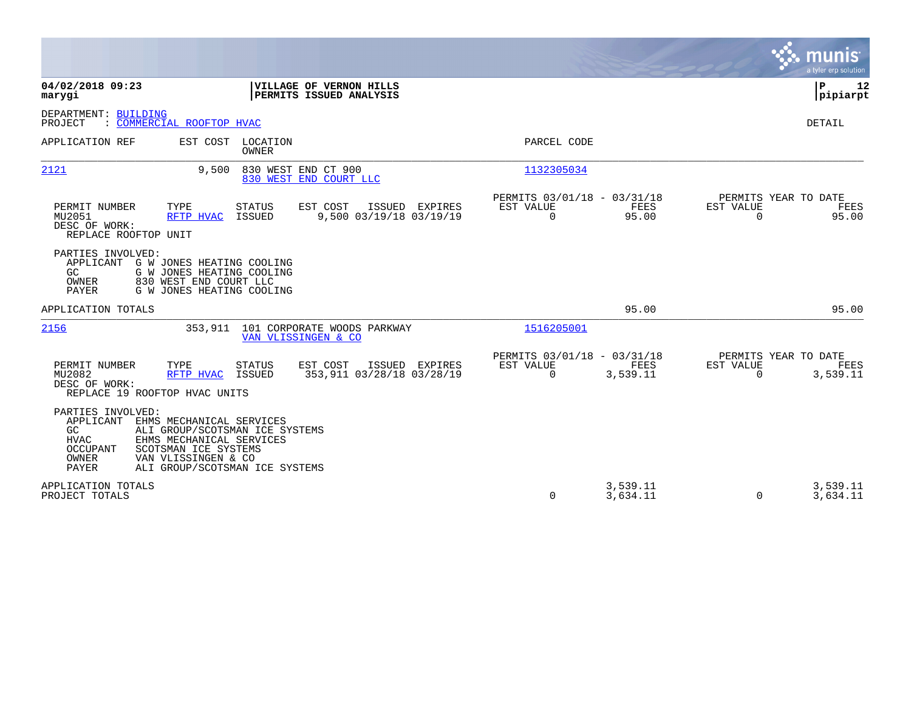|                                                                                                                                                                                                                                                              |                                                                             | munis<br>a tyler erp solution                                     |
|--------------------------------------------------------------------------------------------------------------------------------------------------------------------------------------------------------------------------------------------------------------|-----------------------------------------------------------------------------|-------------------------------------------------------------------|
| 04/02/2018 09:23<br>VILLAGE OF VERNON HILLS<br>PERMITS ISSUED ANALYSIS<br>marygi                                                                                                                                                                             |                                                                             | ΙP<br>12<br> pipiarpt                                             |
| DEPARTMENT: BUILDING<br>PROJECT<br>: COMMERCIAL ROOFTOP HVAC                                                                                                                                                                                                 |                                                                             | <b>DETAIL</b>                                                     |
| APPLICATION REF<br>EST COST LOCATION<br><b>OWNER</b>                                                                                                                                                                                                         | PARCEL CODE                                                                 |                                                                   |
| 830 WEST END CT 900<br>2121<br>9.500<br>830 WEST END COURT LLC                                                                                                                                                                                               | 1132305034                                                                  |                                                                   |
| PERMIT NUMBER<br>EST COST<br>ISSUED EXPIRES<br>TYPE<br><b>STATUS</b><br>9,500 03/19/18 03/19/19<br>MU2051<br>RFTP HVAC<br>ISSUED<br>DESC OF WORK:<br>REPLACE ROOFTOP UNIT                                                                                    | PERMITS 03/01/18 - 03/31/18<br>EST VALUE<br>FEES<br>$\mathbf 0$<br>95.00    | PERMITS YEAR TO DATE<br>EST VALUE<br>FEES<br>$\Omega$<br>95.00    |
| PARTIES INVOLVED:<br>APPLICANT G W JONES HEATING COOLING<br>GC.<br>G W JONES HEATING COOLING<br>830 WEST END COURT LLC<br>OWNER<br><b>PAYER</b><br>G W JONES HEATING COOLING                                                                                 |                                                                             |                                                                   |
| APPLICATION TOTALS                                                                                                                                                                                                                                           | 95.00                                                                       | 95.00                                                             |
| 2156<br>353,911 101 CORPORATE WOODS PARKWAY<br>VAN VLISSINGEN & CO                                                                                                                                                                                           | 1516205001                                                                  |                                                                   |
| PERMIT NUMBER<br>TYPE<br><b>STATUS</b><br>EST COST<br>ISSUED EXPIRES<br>353,911 03/28/18 03/28/19<br>MU2082<br>ISSUED<br>RFTP HVAC<br>DESC OF WORK:<br>REPLACE 19 ROOFTOP HVAC UNITS                                                                         | PERMITS 03/01/18 - 03/31/18<br>EST VALUE<br>FEES<br>$\mathbf 0$<br>3,539.11 | PERMITS YEAR TO DATE<br>EST VALUE<br>FEES<br>$\Omega$<br>3,539.11 |
| PARTIES INVOLVED:<br>APPLICANT<br>EHMS MECHANICAL SERVICES<br>GC<br>ALI GROUP/SCOTSMAN ICE SYSTEMS<br><b>HVAC</b><br>EHMS MECHANICAL SERVICES<br>SCOTSMAN ICE SYSTEMS<br>OCCUPANT<br>OWNER<br>VAN VLISSINGEN & CO<br>PAYER<br>ALI GROUP/SCOTSMAN ICE SYSTEMS |                                                                             |                                                                   |
| APPLICATION TOTALS<br>PROJECT TOTALS                                                                                                                                                                                                                         | 3,539.11<br>0<br>3,634.11                                                   | 3,539.11<br>3,634.11<br>0                                         |

a sa mga magaalang na mga magaalang ng mga magaalang ng mga magaalang ng mga magaalang ng mga magaalang ng mga

the property of the control of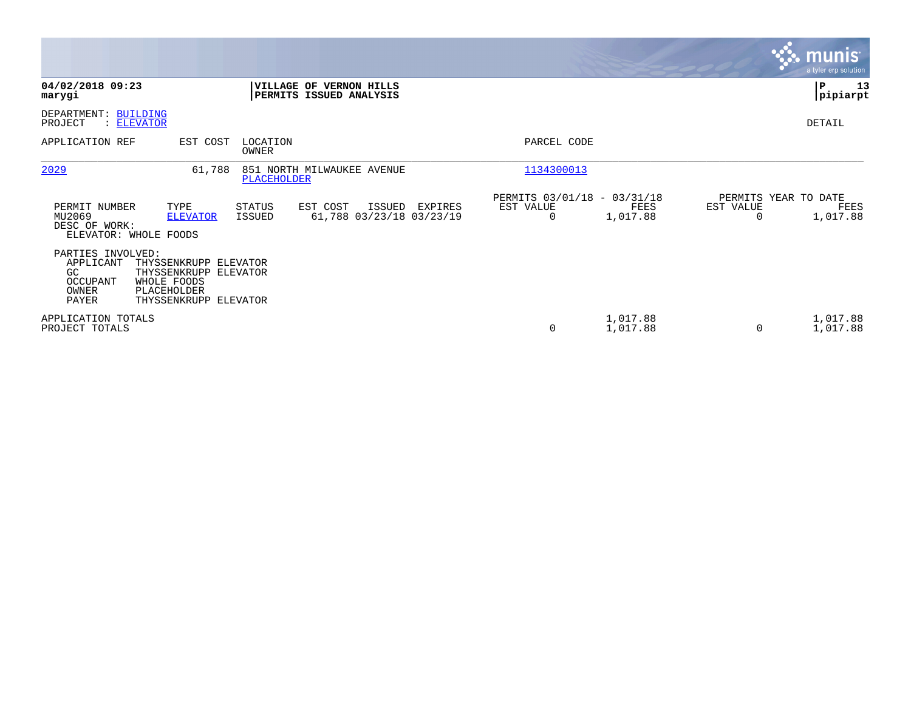|                                                                     |                                                                                                       |                         |                                                    |         |                                               |                      |                | <b>munis</b><br>a tyler erp solution     |
|---------------------------------------------------------------------|-------------------------------------------------------------------------------------------------------|-------------------------|----------------------------------------------------|---------|-----------------------------------------------|----------------------|----------------|------------------------------------------|
| 04/02/2018 09:23<br>marygi                                          |                                                                                                       |                         | VILLAGE OF VERNON HILLS<br>PERMITS ISSUED ANALYSIS |         |                                               |                      |                | 13<br>P<br> pipiarpt                     |
| DEPARTMENT: BUILDING<br>PROJECT                                     | : ELEVATOR                                                                                            |                         |                                                    |         |                                               |                      |                | DETAIL                                   |
| APPLICATION REF                                                     | EST COST                                                                                              | LOCATION<br>OWNER       |                                                    |         | PARCEL CODE                                   |                      |                |                                          |
| 2029                                                                | 61,788                                                                                                | <b>PLACEHOLDER</b>      | 851 NORTH MILWAUKEE AVENUE                         |         | 1134300013                                    |                      |                |                                          |
| PERMIT NUMBER<br>MU2069<br>DESC OF WORK:                            | TYPE<br><b>ELEVATOR</b><br>ELEVATOR: WHOLE FOODS                                                      | <b>STATUS</b><br>ISSUED | EST COST<br>ISSUED<br>61,788 03/23/18 03/23/19     | EXPIRES | PERMITS 03/01/18 - 03/31/18<br>EST VALUE<br>0 | FEES<br>1,017.88     | EST VALUE<br>0 | PERMITS YEAR TO DATE<br>FEES<br>1,017.88 |
| PARTIES INVOLVED:<br>APPLICANT<br>GC.<br>OCCUPANT<br>OWNER<br>PAYER | THYSSENKRUPP ELEVATOR<br>THYSSENKRUPP ELEVATOR<br>WHOLE FOODS<br>PLACEHOLDER<br>THYSSENKRUPP ELEVATOR |                         |                                                    |         |                                               |                      |                |                                          |
| APPLICATION TOTALS<br>PROJECT TOTALS                                |                                                                                                       |                         |                                                    |         | $\mathbf 0$                                   | 1,017.88<br>1,017.88 | $\Omega$       | 1,017.88<br>1,017.88                     |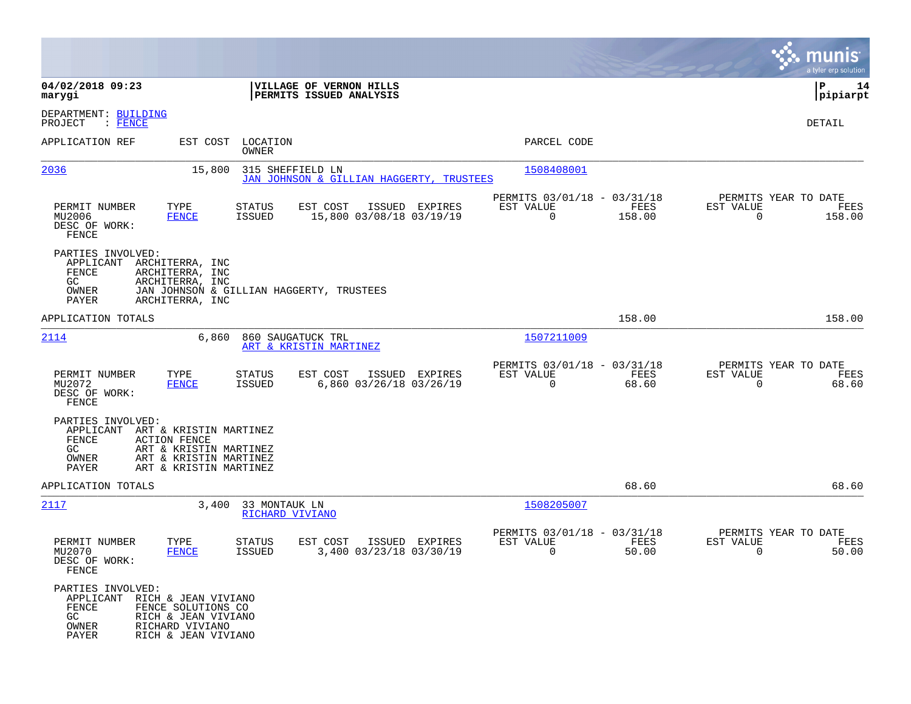|                                                                                        |                                                                                                                      |                                                        |                                                                           | munis<br>a tyler erp solution                                   |
|----------------------------------------------------------------------------------------|----------------------------------------------------------------------------------------------------------------------|--------------------------------------------------------|---------------------------------------------------------------------------|-----------------------------------------------------------------|
| 04/02/2018 09:23<br>marygi                                                             |                                                                                                                      | VILLAGE OF VERNON HILLS<br>PERMITS ISSUED ANALYSIS     |                                                                           | P<br>14<br> pipiarpt                                            |
| DEPARTMENT: BUILDING<br>PROJECT<br>: FENCE                                             |                                                                                                                      |                                                        |                                                                           | DETAIL                                                          |
| APPLICATION REF                                                                        | EST COST<br>LOCATION<br>OWNER                                                                                        |                                                        | PARCEL CODE                                                               |                                                                 |
| 2036                                                                                   | 15,800                                                                                                               | 315 SHEFFIELD LN<br>JAN JOHNSON & GILLIAN HAGGERTY,    | 1508408001<br>TRUSTEES                                                    |                                                                 |
| PERMIT NUMBER<br>MU2006<br>DESC OF WORK:<br>FENCE                                      | TYPE<br>STATUS<br><b>ISSUED</b><br><b>FENCE</b>                                                                      | EST COST<br>ISSUED EXPIRES<br>15,800 03/08/18 03/19/19 | PERMITS 03/01/18 - 03/31/18<br>FEES<br>EST VALUE<br>$\mathbf 0$<br>158.00 | PERMITS YEAR TO DATE<br>EST VALUE<br>FEES<br>$\Omega$<br>158.00 |
| PARTIES INVOLVED:<br>APPLICANT<br>FENCE<br>GC<br>OWNER<br>PAYER                        | ARCHITERRA, INC<br>ARCHITERRA, INC<br>ARCHITERRA, INC<br>JAN JOHNSON & GILLIAN HAGGERTY, TRUSTEES<br>ARCHITERRA, INC |                                                        |                                                                           |                                                                 |
| APPLICATION TOTALS                                                                     |                                                                                                                      |                                                        | 158.00                                                                    | 158.00                                                          |
| 2114                                                                                   | 6,860                                                                                                                | 860 SAUGATUCK TRL<br>ART & KRISTIN MARTINEZ            | 1507211009                                                                |                                                                 |
| PERMIT NUMBER<br>MU2072<br>DESC OF WORK:<br>FENCE                                      | TYPE<br>STATUS<br><b>ISSUED</b><br><b>FENCE</b>                                                                      | EST COST<br>ISSUED EXPIRES<br>6,860 03/26/18 03/26/19  | PERMITS 03/01/18 - 03/31/18<br>EST VALUE<br>FEES<br>$\mathbf 0$<br>68.60  | PERMITS YEAR TO DATE<br>EST VALUE<br>FEES<br>$\Omega$<br>68.60  |
| PARTIES INVOLVED:<br>APPLICANT<br>FENCE<br><b>ACTION FENCE</b><br>GC<br>OWNER<br>PAYER | ART & KRISTIN MARTINEZ<br>ART & KRISTIN MARTINEZ<br>ART & KRISTIN MARTINEZ<br>ART & KRISTIN MARTINEZ                 |                                                        |                                                                           |                                                                 |
| APPLICATION TOTALS                                                                     |                                                                                                                      |                                                        | 68.60                                                                     | 68.60                                                           |
| 2117                                                                                   | 33 MONTAUK LN<br>3,400<br>RICHARD VIVIANO                                                                            |                                                        | 1508205007                                                                |                                                                 |
| PERMIT NUMBER<br>MU2070<br>DESC OF WORK:<br>FENCE                                      | TYPE<br>STATUS<br><b>FENCE</b><br>ISSUED                                                                             | EST COST<br>ISSUED EXPIRES<br>3,400 03/23/18 03/30/19  | PERMITS 03/01/18 - 03/31/18<br>EST VALUE<br>FEES<br>0<br>50.00            | PERMITS YEAR TO DATE<br>EST VALUE<br>FEES<br>0<br>50.00         |
| PARTIES INVOLVED:<br>APPLICANT RICH & JEAN VIVIANO<br>FENCE<br>GC<br>OWNER<br>PAYER    | FENCE SOLUTIONS CO<br>RICH & JEAN VIVIANO<br>RICHARD VIVIANO<br>RICH & JEAN VIVIANO                                  |                                                        |                                                                           |                                                                 |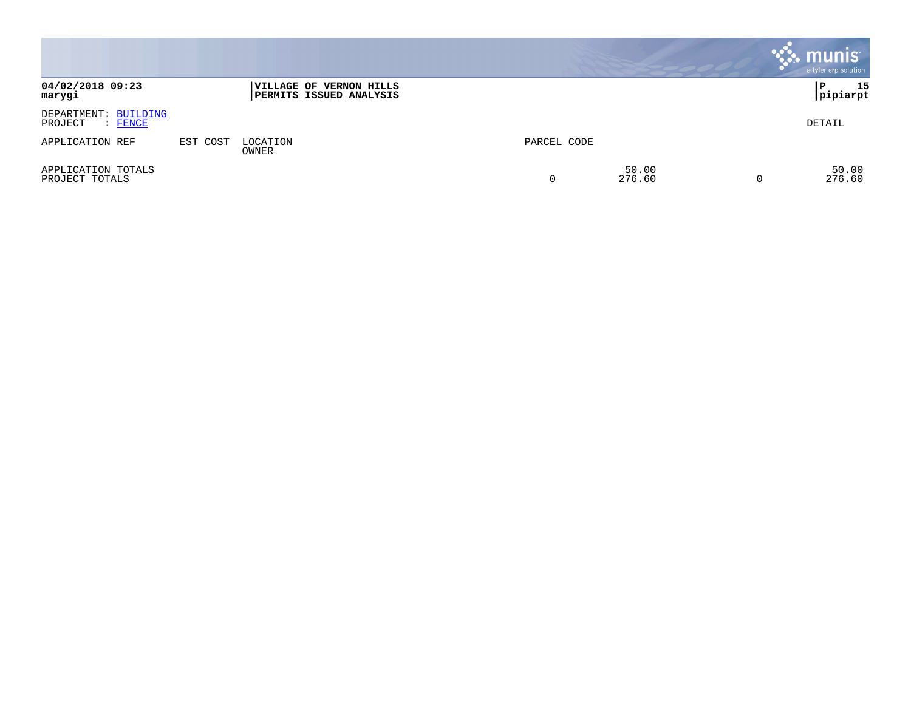|                                                   |          |                                                                  |             |                 | <b>munis</b><br>a tyler erp solution |
|---------------------------------------------------|----------|------------------------------------------------------------------|-------------|-----------------|--------------------------------------|
| 04/02/2018 09:23<br>marygi                        |          | <b>VILLAGE OF VERNON HILLS</b><br><b>PERMITS ISSUED ANALYSIS</b> |             |                 | 15<br>P<br> pipiarpt                 |
| DEPARTMENT: BUILDING<br>PROJECT<br>$\colon$ FENCE |          |                                                                  |             |                 | DETAIL                               |
| APPLICATION REF                                   | EST COST | LOCATION<br>OWNER                                                | PARCEL CODE |                 |                                      |
| APPLICATION TOTALS<br>PROJECT TOTALS              |          |                                                                  | 0           | 50.00<br>276.60 | 50.00<br>276.60                      |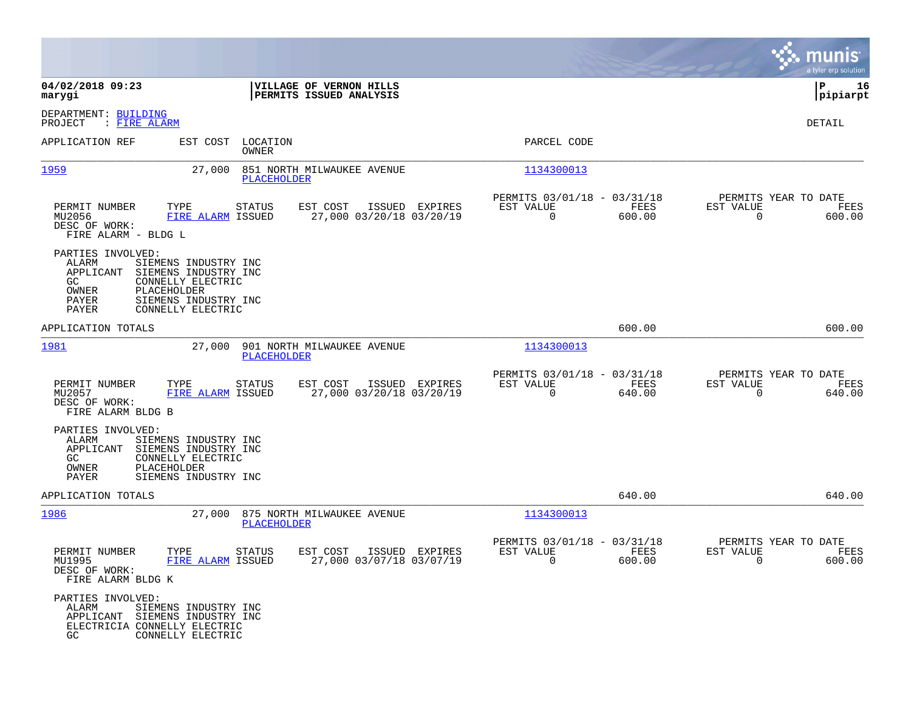|                                                                               |                                                                                                                               |                                                    |                |                                                         |                |                                                  | munis<br>a tyler erp solution |
|-------------------------------------------------------------------------------|-------------------------------------------------------------------------------------------------------------------------------|----------------------------------------------------|----------------|---------------------------------------------------------|----------------|--------------------------------------------------|-------------------------------|
| 04/02/2018 09:23<br>marygi                                                    |                                                                                                                               | VILLAGE OF VERNON HILLS<br>PERMITS ISSUED ANALYSIS |                |                                                         |                |                                                  | l P<br>16<br> pipiarpt        |
| DEPARTMENT: BUILDING<br>PROJECT<br>: FIRE ALARM                               |                                                                                                                               |                                                    |                |                                                         |                |                                                  | DETAIL                        |
| APPLICATION REF                                                               | LOCATION<br>EST COST<br><b>OWNER</b>                                                                                          |                                                    |                | PARCEL CODE                                             |                |                                                  |                               |
| 1959                                                                          | 27,000<br><b>PLACEHOLDER</b>                                                                                                  | 851 NORTH MILWAUKEE AVENUE                         |                | 1134300013                                              |                |                                                  |                               |
| PERMIT NUMBER<br>MU2056<br>DESC OF WORK:<br>FIRE ALARM - BLDG L               | TYPE<br><b>STATUS</b><br>FIRE ALARM ISSUED                                                                                    | EST COST<br>27,000 03/20/18 03/20/19               | ISSUED EXPIRES | PERMITS 03/01/18 - 03/31/18<br>EST VALUE<br>0           | FEES<br>600.00 | PERMITS YEAR TO DATE<br>EST VALUE<br>$\mathbf 0$ | FEES<br>600.00                |
| PARTIES INVOLVED:<br>ALARM<br>APPLICANT<br>GC<br>OWNER<br>PAYER<br>PAYER      | SIEMENS INDUSTRY INC<br>SIEMENS INDUSTRY INC<br>CONNELLY ELECTRIC<br>PLACEHOLDER<br>SIEMENS INDUSTRY INC<br>CONNELLY ELECTRIC |                                                    |                |                                                         |                |                                                  |                               |
| APPLICATION TOTALS                                                            |                                                                                                                               |                                                    |                |                                                         | 600.00         |                                                  | 600.00                        |
| <u> 1981</u>                                                                  | 27,000<br>PLACEHOLDER                                                                                                         | 901 NORTH MILWAUKEE AVENUE                         |                | 1134300013                                              |                |                                                  |                               |
| PERMIT NUMBER<br>MU2057<br>DESC OF WORK:<br>FIRE ALARM BLDG B                 | TYPE<br><b>STATUS</b><br>FIRE ALARM ISSUED                                                                                    | EST COST<br>27,000 03/20/18 03/20/19               | ISSUED EXPIRES | PERMITS 03/01/18 - 03/31/18<br>EST VALUE<br>$\mathbf 0$ | FEES<br>640.00 | PERMITS YEAR TO DATE<br>EST VALUE<br>$\mathbf 0$ | FEES<br>640.00                |
| PARTIES INVOLVED:<br>ALARM<br>APPLICANT<br>GC.<br>OWNER<br>PAYER              | SIEMENS INDUSTRY INC<br>SIEMENS INDUSTRY INC<br>CONNELLY ELECTRIC<br>PLACEHOLDER<br>SIEMENS INDUSTRY INC                      |                                                    |                |                                                         |                |                                                  |                               |
| APPLICATION TOTALS                                                            |                                                                                                                               |                                                    |                |                                                         | 640.00         |                                                  | 640.00                        |
| 1986                                                                          | 27,000<br>PLACEHOLDER                                                                                                         | 875 NORTH MILWAUKEE AVENUE                         |                | 1134300013                                              |                |                                                  |                               |
| PERMIT NUMBER<br>MU1995<br>DESC OF WORK:<br>FIRE ALARM BLDG K                 | TYPE<br>STATUS<br>FIRE ALARM ISSUED                                                                                           | EST COST<br>27,000 03/07/18 03/07/19               | ISSUED EXPIRES | PERMITS 03/01/18 - 03/31/18<br>EST VALUE<br>$\mathbf 0$ | FEES<br>600.00 | PERMITS YEAR TO DATE<br>EST VALUE<br>0           | FEES<br>600.00                |
| PARTIES INVOLVED:<br>ALARM<br>APPLICANT<br>ELECTRICIA CONNELLY ELECTRIC<br>GC | SIEMENS INDUSTRY INC<br>SIEMENS INDUSTRY INC<br>CONNELLY ELECTRIC                                                             |                                                    |                |                                                         |                |                                                  |                               |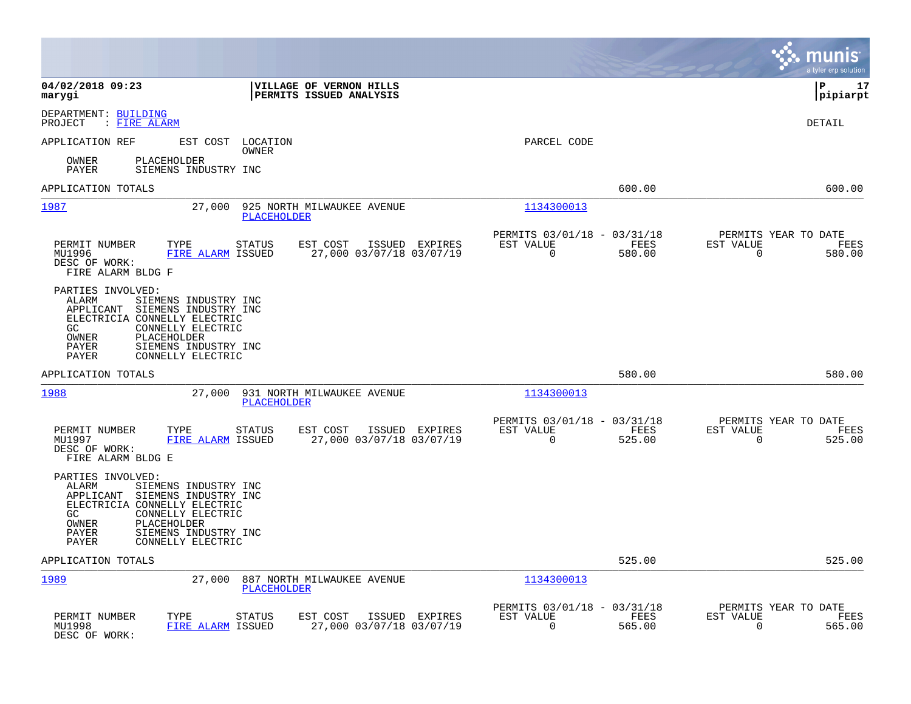|                                                                                                                                                                                                                                                                |                                                                         |                                                                           | munis<br>a tyler erp solution                                   |
|----------------------------------------------------------------------------------------------------------------------------------------------------------------------------------------------------------------------------------------------------------------|-------------------------------------------------------------------------|---------------------------------------------------------------------------|-----------------------------------------------------------------|
| 04/02/2018 09:23<br>marygi                                                                                                                                                                                                                                     | VILLAGE OF VERNON HILLS<br>PERMITS ISSUED ANALYSIS                      |                                                                           | l P<br>17<br> pipiarpt                                          |
| DEPARTMENT: BUILDING<br>PROJECT<br>: FIRE ALARM                                                                                                                                                                                                                |                                                                         |                                                                           | DETAIL                                                          |
| APPLICATION REF<br>EST COST                                                                                                                                                                                                                                    | LOCATION<br>OWNER                                                       | PARCEL CODE                                                               |                                                                 |
| PLACEHOLDER<br>OWNER<br>PAYER<br>SIEMENS INDUSTRY INC                                                                                                                                                                                                          |                                                                         |                                                                           |                                                                 |
| APPLICATION TOTALS                                                                                                                                                                                                                                             |                                                                         | 600.00                                                                    | 600.00                                                          |
| 1987<br>27,000                                                                                                                                                                                                                                                 | 925 NORTH MILWAUKEE AVENUE<br>PLACEHOLDER                               | 1134300013                                                                |                                                                 |
| PERMIT NUMBER<br>TYPE<br>MU1996<br>FIRE ALARM ISSUED<br>DESC OF WORK:<br>FIRE ALARM BLDG F                                                                                                                                                                     | <b>STATUS</b><br>EST COST<br>ISSUED EXPIRES<br>27,000 03/07/18 03/07/19 | PERMITS 03/01/18 - 03/31/18<br>EST VALUE<br>FEES<br>$\Omega$<br>580.00    | PERMITS YEAR TO DATE<br>EST VALUE<br>FEES<br>$\Omega$<br>580.00 |
| PARTIES INVOLVED:<br><b>ALARM</b><br>SIEMENS INDUSTRY INC<br>APPLICANT<br>SIEMENS INDUSTRY INC<br>ELECTRICIA CONNELLY ELECTRIC<br>GC<br>CONNELLY ELECTRIC<br>OWNER<br>PLACEHOLDER<br><b>PAYER</b><br>SIEMENS INDUSTRY INC<br><b>PAYER</b><br>CONNELLY ELECTRIC |                                                                         |                                                                           |                                                                 |
| APPLICATION TOTALS                                                                                                                                                                                                                                             |                                                                         | 580.00                                                                    | 580.00                                                          |
| 1988<br>27,000                                                                                                                                                                                                                                                 | 931 NORTH MILWAUKEE AVENUE<br>PLACEHOLDER                               | 1134300013                                                                |                                                                 |
| PERMIT NUMBER<br>TYPE<br>MU1997<br>FIRE ALARM ISSUED<br>DESC OF WORK:<br>FIRE ALARM BLDG E                                                                                                                                                                     | EST COST<br><b>STATUS</b><br>ISSUED EXPIRES<br>27,000 03/07/18 03/07/19 | PERMITS 03/01/18 - 03/31/18<br>EST VALUE<br>FEES<br>$\mathbf 0$<br>525.00 | PERMITS YEAR TO DATE<br>EST VALUE<br>FEES<br>525.00<br>0        |
| PARTIES INVOLVED:<br>ALARM<br>SIEMENS INDUSTRY INC<br>APPLICANT<br>SIEMENS INDUSTRY INC<br>ELECTRICIA CONNELLY ELECTRIC<br>CONNELLY ELECTRIC<br>GC.<br>OWNER<br>PLACEHOLDER<br>SIEMENS INDUSTRY INC<br>PAYER<br>PAYER<br>CONNELLY ELECTRIC                     |                                                                         |                                                                           |                                                                 |
| APPLICATION TOTALS                                                                                                                                                                                                                                             |                                                                         | 525.00                                                                    | 525.00                                                          |
| 1989<br>27,000                                                                                                                                                                                                                                                 | 887 NORTH MILWAUKEE AVENUE<br><b>PLACEHOLDER</b>                        | 1134300013                                                                |                                                                 |
| PERMIT NUMBER<br>TYPE<br>MU1998<br>FIRE ALARM ISSUED<br>DESC OF WORK:                                                                                                                                                                                          | <b>STATUS</b><br>EST COST<br>ISSUED EXPIRES<br>27,000 03/07/18 03/07/19 | PERMITS 03/01/18 - 03/31/18<br>EST VALUE<br><b>FEES</b><br>0<br>565.00    | PERMITS YEAR TO DATE<br>EST VALUE<br>FEES<br>0<br>565.00        |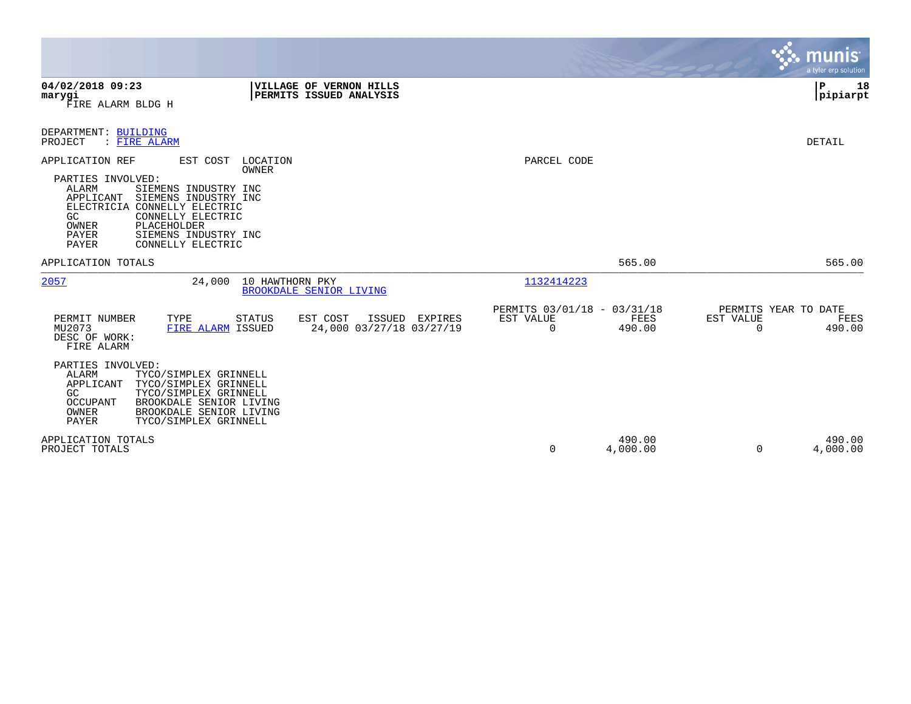|                                                                                                                                                                                                                                                                          |                                                                  |                                                         |                    | munis <sup>.</sup><br>a tyler erp solution                      |
|--------------------------------------------------------------------------------------------------------------------------------------------------------------------------------------------------------------------------------------------------------------------------|------------------------------------------------------------------|---------------------------------------------------------|--------------------|-----------------------------------------------------------------|
| 04/02/2018 09:23<br>marygi<br>FIRE ALARM BLDG H                                                                                                                                                                                                                          | VILLAGE OF VERNON HILLS<br>PERMITS ISSUED ANALYSIS               |                                                         |                    | IΡ<br>18<br> pipiarpt                                           |
| DEPARTMENT: BUILDING<br>PROJECT<br>: FIRE ALARM                                                                                                                                                                                                                          |                                                                  |                                                         |                    | DETAIL                                                          |
| APPLICATION REF<br>EST COST<br>PARTIES INVOLVED:<br>ALARM<br>SIEMENS INDUSTRY INC<br>APPLICANT<br>SIEMENS INDUSTRY INC<br>ELECTRICIA CONNELLY ELECTRIC<br>GC<br>CONNELLY ELECTRIC<br>OWNER<br>PLACEHOLDER<br>PAYER<br>SIEMENS INDUSTRY INC<br>PAYER<br>CONNELLY ELECTRIC | LOCATION<br>OWNER                                                | PARCEL CODE                                             |                    |                                                                 |
| APPLICATION TOTALS                                                                                                                                                                                                                                                       |                                                                  |                                                         | 565.00             | 565.00                                                          |
| 2057<br>24,000                                                                                                                                                                                                                                                           | 10 HAWTHORN PKY<br><b>BROOKDALE SENIOR LIVING</b>                | 1132414223                                              |                    |                                                                 |
| PERMIT NUMBER<br>TYPE<br>MU2073<br>FIRE ALARM ISSUED<br>DESC OF WORK:<br>FIRE ALARM                                                                                                                                                                                      | EST COST<br>ISSUED EXPIRES<br>STATUS<br>24,000 03/27/18 03/27/19 | PERMITS 03/01/18 - 03/31/18<br>EST VALUE<br>$\mathbf 0$ | FEES<br>490.00     | PERMITS YEAR TO DATE<br>EST VALUE<br>FEES<br>$\Omega$<br>490.00 |
| PARTIES INVOLVED:<br>ALARM<br>TYCO/SIMPLEX GRINNELL<br>APPLICANT<br>TYCO/SIMPLEX GRINNELL<br>TYCO/SIMPLEX GRINNELL<br>GC<br>BROOKDALE SENIOR LIVING<br>OCCUPANT<br>OWNER<br>BROOKDALE SENIOR LIVING<br>PAYER<br>TYCO/SIMPLEX GRINNELL                                    |                                                                  |                                                         |                    |                                                                 |
| APPLICATION TOTALS<br>PROJECT TOTALS                                                                                                                                                                                                                                     |                                                                  | 0                                                       | 490.00<br>4,000.00 | 490.00<br>4,000.00<br>$\Omega$                                  |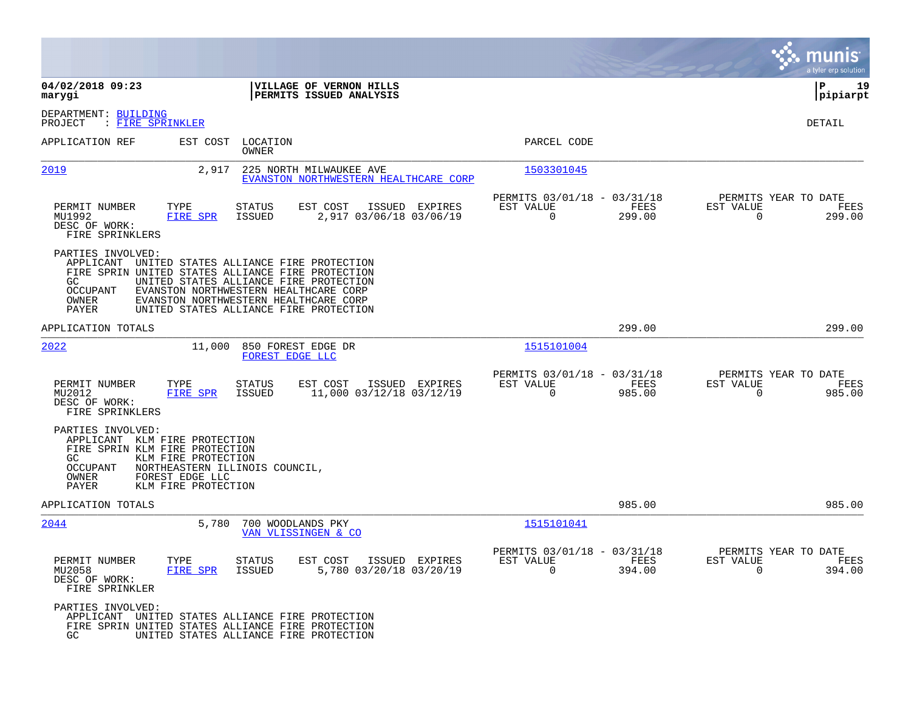|                                                                                                                                              |                                                                                                                                                                                                                                                                             |                                                                        | munis<br>a tyler erp solution                                      |
|----------------------------------------------------------------------------------------------------------------------------------------------|-----------------------------------------------------------------------------------------------------------------------------------------------------------------------------------------------------------------------------------------------------------------------------|------------------------------------------------------------------------|--------------------------------------------------------------------|
| 04/02/2018 09:23<br>marygi                                                                                                                   | VILLAGE OF VERNON HILLS<br>PERMITS ISSUED ANALYSIS                                                                                                                                                                                                                          |                                                                        | ΙP<br>19<br> pipiarpt                                              |
| DEPARTMENT: BUILDING<br>PROJECT<br>: FIRE SPRINKLER                                                                                          |                                                                                                                                                                                                                                                                             |                                                                        | DETAIL                                                             |
| APPLICATION REF                                                                                                                              | EST COST<br>LOCATION<br>OWNER                                                                                                                                                                                                                                               | PARCEL CODE                                                            |                                                                    |
| 2019                                                                                                                                         | 2,917<br>225 NORTH MILWAUKEE AVE<br>EVANSTON NORTHWESTERN HEALTHCARE CORP                                                                                                                                                                                                   | 1503301045                                                             |                                                                    |
| TYPE<br>PERMIT NUMBER<br>MU1992<br>DESC OF WORK:<br>FIRE SPRINKLERS                                                                          | EST COST<br>ISSUED EXPIRES<br>STATUS<br>2,917 03/06/18 03/06/19<br>FIRE SPR<br><b>ISSUED</b>                                                                                                                                                                                | PERMITS 03/01/18 - 03/31/18<br>EST VALUE<br>FEES<br>$\Omega$<br>299.00 | PERMITS YEAR TO DATE<br>EST VALUE<br>FEES<br>$\Omega$<br>299.00    |
| PARTIES INVOLVED:<br>GC.<br><b>OCCUPANT</b><br>OWNER<br>PAYER                                                                                | APPLICANT UNITED STATES ALLIANCE FIRE PROTECTION<br>FIRE SPRIN UNITED STATES ALLIANCE FIRE PROTECTION<br>UNITED STATES ALLIANCE FIRE PROTECTION<br>EVANSTON NORTHWESTERN HEALTHCARE CORP<br>EVANSTON NORTHWESTERN HEALTHCARE CORP<br>UNITED STATES ALLIANCE FIRE PROTECTION |                                                                        |                                                                    |
| APPLICATION TOTALS                                                                                                                           |                                                                                                                                                                                                                                                                             | 299.00                                                                 | 299.00                                                             |
| 2022                                                                                                                                         | 850 FOREST EDGE DR<br>11,000<br>FOREST EDGE LLC                                                                                                                                                                                                                             | 1515101004                                                             |                                                                    |
| PERMIT NUMBER<br>TYPE<br>MU2012<br>DESC OF WORK:<br>FIRE SPRINKLERS                                                                          | <b>STATUS</b><br>EST COST<br>ISSUED EXPIRES<br><b>FIRE SPR</b><br>11,000 03/12/18 03/12/19<br>ISSUED                                                                                                                                                                        | PERMITS 03/01/18 - 03/31/18<br>EST VALUE<br>FEES<br>0<br>985.00        | PERMITS YEAR TO DATE<br>EST VALUE<br>FEES<br>$\mathbf 0$<br>985.00 |
| PARTIES INVOLVED:<br>APPLICANT KLM FIRE PROTECTION<br>FIRE SPRIN KLM FIRE PROTECTION<br>GC.<br>OCCUPANT<br>OWNER<br>FOREST EDGE LLC<br>PAYER | KLM FIRE PROTECTION<br>NORTHEASTERN ILLINOIS COUNCIL,<br>KLM FIRE PROTECTION                                                                                                                                                                                                |                                                                        |                                                                    |
| APPLICATION TOTALS                                                                                                                           |                                                                                                                                                                                                                                                                             | 985.00                                                                 | 985.00                                                             |
| 2044                                                                                                                                         | 5,780<br>700 WOODLANDS PKY<br>VAN VLISSINGEN & CO                                                                                                                                                                                                                           | 1515101041                                                             |                                                                    |
| PERMIT NUMBER<br>TYPE<br>MU2058<br>DESC OF WORK:<br>FIRE SPRINKLER                                                                           | <b>STATUS</b><br>EST COST<br>ISSUED EXPIRES<br><b>FIRE SPR</b><br>5,780 03/20/18 03/20/19<br><b>ISSUED</b>                                                                                                                                                                  | PERMITS 03/01/18 -<br>03/31/18<br>EST VALUE<br>FEES<br>0<br>394.00     | PERMITS YEAR TO DATE<br>EST VALUE<br>FEES<br>$\Omega$<br>394.00    |
| PARTIES INVOLVED:<br>APPLICANT<br>GC.                                                                                                        | UNITED STATES ALLIANCE FIRE PROTECTION<br>FIRE SPRIN UNITED STATES ALLIANCE FIRE PROTECTION<br>UNITED STATES ALLIANCE FIRE PROTECTION                                                                                                                                       |                                                                        |                                                                    |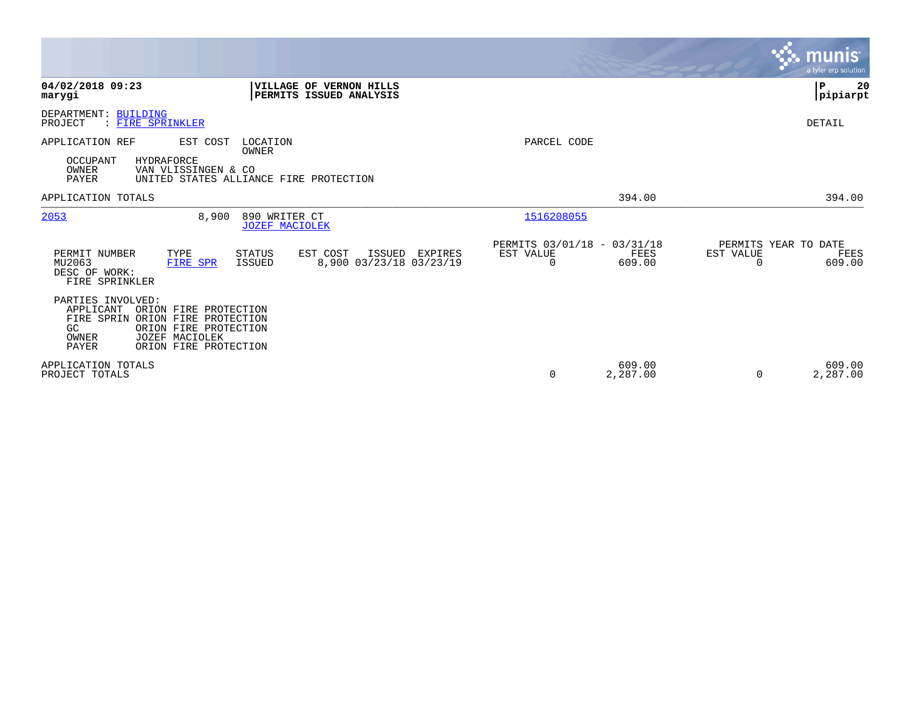|                                                                                                                                                                                                |                                                                        | <b>munis</b><br>a tyler erp solution.                           |
|------------------------------------------------------------------------------------------------------------------------------------------------------------------------------------------------|------------------------------------------------------------------------|-----------------------------------------------------------------|
| 04/02/2018 09:23<br>VILLAGE OF VERNON HILLS<br>PERMITS ISSUED ANALYSIS<br>marygi                                                                                                               |                                                                        | P<br>20<br> pipiarpt                                            |
| DEPARTMENT: BUILDING<br>PROJECT<br>: FIRE SPRINKLER                                                                                                                                            |                                                                        | DETAIL                                                          |
| APPLICATION REF<br>EST COST<br>LOCATION<br>OWNER<br>OCCUPANT<br>HYDRAFORCE<br>OWNER<br>VAN VLISSINGEN & CO<br><b>PAYER</b><br>UNITED STATES ALLIANCE FIRE PROTECTION                           | PARCEL CODE                                                            |                                                                 |
| APPLICATION TOTALS                                                                                                                                                                             | 394.00                                                                 | 394.00                                                          |
| 2053<br>8,900<br>890 WRITER CT<br><b>JOZEF MACIOLEK</b>                                                                                                                                        | 1516208055                                                             |                                                                 |
| PERMIT NUMBER<br>TYPE<br>STATUS<br>EST COST<br>ISSUED<br>EXPIRES<br>8,900 03/23/18 03/23/19<br>MU2063<br><b>ISSUED</b><br>FIRE SPR<br>DESC OF WORK:<br>FIRE SPRINKLER                          | PERMITS 03/01/18 - 03/31/18<br>EST VALUE<br>FEES<br>609.00<br>$\Omega$ | PERMITS YEAR TO DATE<br>EST VALUE<br>FEES<br>609.00<br>$\Omega$ |
| PARTIES INVOLVED:<br>APPLICANT<br>ORION FIRE PROTECTION<br>FIRE SPRIN ORION FIRE PROTECTION<br>ORION FIRE PROTECTION<br>GC<br>JOZEF MACIOLEK<br>OWNER<br><b>PAYER</b><br>ORION FIRE PROTECTION |                                                                        |                                                                 |
| APPLICATION TOTALS<br>PROJECT TOTALS                                                                                                                                                           | 609.00<br>2,287.00<br>0                                                | 609.00<br>2,287.00<br>0                                         |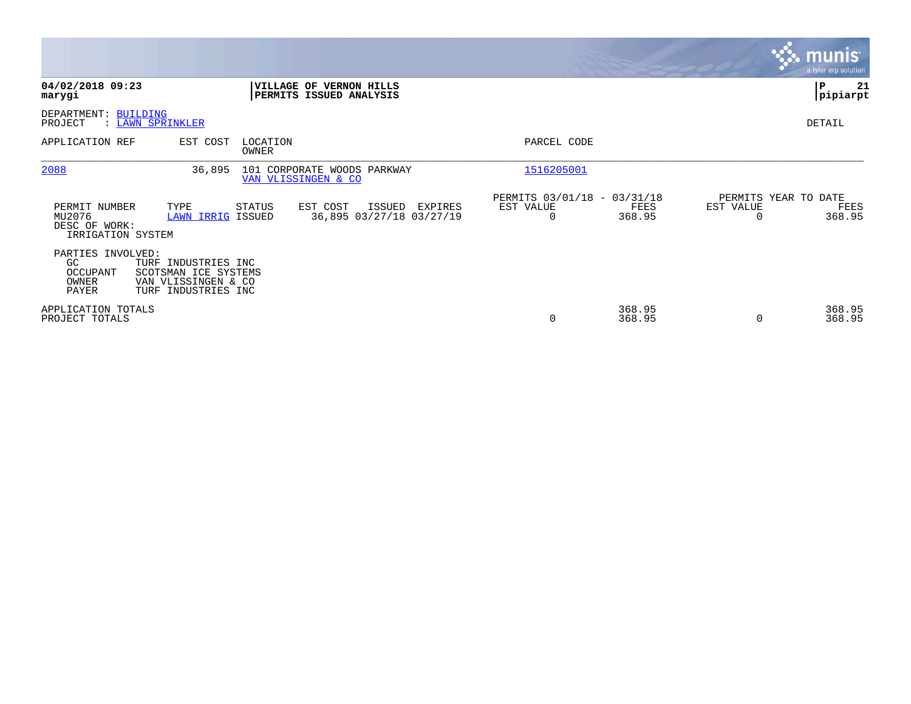|                                                               |                                                                                           |                     |                                                           |         |                                                      |                  |           | <b>munis</b><br>a tyler erp solution   |
|---------------------------------------------------------------|-------------------------------------------------------------------------------------------|---------------------|-----------------------------------------------------------|---------|------------------------------------------------------|------------------|-----------|----------------------------------------|
| 04/02/2018 09:23<br>marygi                                    |                                                                                           |                     | <b>VILLAGE OF VERNON HILLS</b><br>PERMITS ISSUED ANALYSIS |         |                                                      |                  |           | l P<br>21<br> pipiarpt                 |
| DEPARTMENT: BUILDING<br>PROJECT                               | : LAWN SPRINKLER                                                                          |                     |                                                           |         |                                                      |                  |           | DETAIL                                 |
| APPLICATION REF                                               | EST COST                                                                                  | LOCATION<br>OWNER   |                                                           |         | PARCEL CODE                                          |                  |           |                                        |
| 2088                                                          | 36,895                                                                                    | VAN VLISSINGEN & CO | 101 CORPORATE WOODS PARKWAY                               |         | 1516205001                                           |                  |           |                                        |
| PERMIT NUMBER<br>MU2076<br>DESC OF WORK:<br>IRRIGATION SYSTEM | TYPE<br><b>LAWN IRRIG ISSUED</b>                                                          | STATUS              | EST COST<br>ISSUED<br>36,895 03/27/18 03/27/19            | EXPIRES | PERMITS 03/01/18 - 03/31/18<br>EST VALUE<br>$\Omega$ | FEES<br>368.95   | EST VALUE | PERMITS YEAR TO DATE<br>FEES<br>368.95 |
| PARTIES INVOLVED:<br>GC<br>OCCUPANT<br>OWNER<br>PAYER         | TURF INDUSTRIES INC<br>SCOTSMAN ICE SYSTEMS<br>VAN VLISSINGEN & CO<br>TURF INDUSTRIES INC |                     |                                                           |         |                                                      |                  |           |                                        |
| APPLICATION TOTALS<br>PROJECT TOTALS                          |                                                                                           |                     |                                                           |         | 0                                                    | 368.95<br>368.95 | 0         | 368.95<br>368.95                       |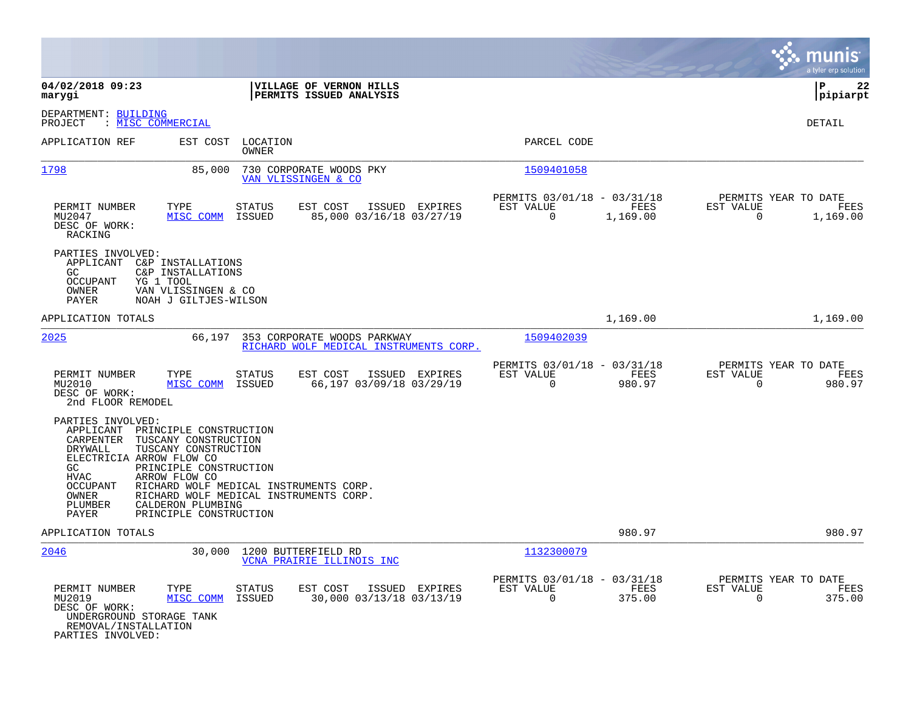|                                                                                                                                                                                                                                                                                                                                                                                                                  |                                                                                 | munis<br>a tyler erp solution                                            |
|------------------------------------------------------------------------------------------------------------------------------------------------------------------------------------------------------------------------------------------------------------------------------------------------------------------------------------------------------------------------------------------------------------------|---------------------------------------------------------------------------------|--------------------------------------------------------------------------|
| 04/02/2018 09:23<br>VILLAGE OF VERNON HILLS<br>PERMITS ISSUED ANALYSIS<br>marygi                                                                                                                                                                                                                                                                                                                                 |                                                                                 | P<br>22<br>pipiarpt                                                      |
| DEPARTMENT: BUILDING<br>: MISC COMMERCIAL<br>PROJECT                                                                                                                                                                                                                                                                                                                                                             |                                                                                 | DETAIL                                                                   |
| APPLICATION REF<br>EST COST<br>LOCATION<br>OWNER                                                                                                                                                                                                                                                                                                                                                                 | PARCEL CODE                                                                     |                                                                          |
| 1798<br>85,000<br>730 CORPORATE WOODS PKY<br>VAN VLISSINGEN & CO                                                                                                                                                                                                                                                                                                                                                 | 1509401058                                                                      |                                                                          |
| TYPE<br><b>STATUS</b><br>EST COST<br>PERMIT NUMBER<br>ISSUED EXPIRES<br>MISC COMM<br>ISSUED<br>85,000 03/16/18 03/27/19<br>MU2047<br>DESC OF WORK:<br>RACKING                                                                                                                                                                                                                                                    | PERMITS 03/01/18 - 03/31/18<br><b>FEES</b><br>EST VALUE<br>$\Omega$<br>1,169.00 | PERMITS YEAR TO DATE<br>EST VALUE<br><b>FEES</b><br>$\Omega$<br>1,169.00 |
| PARTIES INVOLVED:<br>C&P INSTALLATIONS<br>APPLICANT<br>GC<br>C&P INSTALLATIONS<br><b>OCCUPANT</b><br>YG 1 TOOL<br>OWNER<br>VAN VLISSINGEN & CO<br>NOAH J GILTJES-WILSON<br>PAYER                                                                                                                                                                                                                                 |                                                                                 |                                                                          |
| APPLICATION TOTALS                                                                                                                                                                                                                                                                                                                                                                                               | 1,169.00                                                                        | 1,169.00                                                                 |
| 2025<br>66,197<br>353 CORPORATE WOODS PARKWAY<br>RICHARD WOLF MEDICAL INSTRUMENTS CORP.                                                                                                                                                                                                                                                                                                                          | 1509402039                                                                      |                                                                          |
| PERMIT NUMBER<br>TYPE<br><b>STATUS</b><br>EST COST<br>ISSUED EXPIRES<br>MU2010<br>MISC COMM<br>ISSUED<br>66,197 03/09/18 03/29/19<br>DESC OF WORK:<br>2nd FLOOR REMODEL                                                                                                                                                                                                                                          | PERMITS 03/01/18 - 03/31/18<br>EST VALUE<br>FEES<br>0<br>980.97                 | PERMITS YEAR TO DATE<br>EST VALUE<br>FEES<br>$\mathbf 0$<br>980.97       |
| PARTIES INVOLVED:<br>APPLICANT<br>PRINCIPLE CONSTRUCTION<br>CARPENTER<br>TUSCANY CONSTRUCTION<br>TUSCANY CONSTRUCTION<br>DRYWALL<br>ELECTRICIA ARROW FLOW CO<br>PRINCIPLE CONSTRUCTION<br>GC.<br><b>HVAC</b><br>ARROW FLOW CO<br><b>OCCUPANT</b><br>RICHARD WOLF MEDICAL INSTRUMENTS CORP.<br>OWNER<br>RICHARD WOLF MEDICAL INSTRUMENTS CORP.<br>CALDERON PLUMBING<br>PLUMBER<br>PAYER<br>PRINCIPLE CONSTRUCTION |                                                                                 |                                                                          |
| APPLICATION TOTALS                                                                                                                                                                                                                                                                                                                                                                                               | 980.97                                                                          | 980.97                                                                   |
| 2046<br>30,000<br>1200 BUTTERFIELD RD<br>VCNA PRAIRIE ILLINOIS INC                                                                                                                                                                                                                                                                                                                                               | 1132300079                                                                      |                                                                          |
| PERMIT NUMBER<br>TYPE<br>EST COST<br>STATUS<br>ISSUED EXPIRES<br>MISC COMM<br>30,000 03/13/18 03/13/19<br>MU2019<br>ISSUED<br>DESC OF WORK:<br>UNDERGROUND STORAGE TANK<br>REMOVAL/INSTALLATION<br>PARTIES INVOLVED:                                                                                                                                                                                             | PERMITS 03/01/18 -<br>03/31/18<br><b>FEES</b><br>EST VALUE<br>0<br>375.00       | PERMITS YEAR TO DATE<br>EST VALUE<br>FEES<br>$\mathbf 0$<br>375.00       |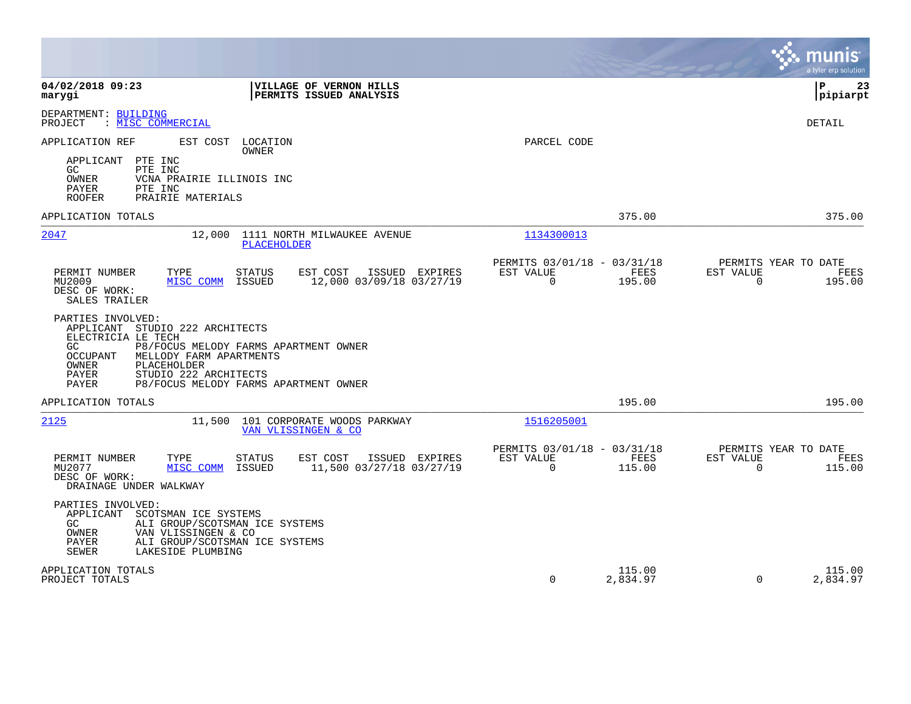|                                                                                                                                                                                                                |                                                                                   |                                                      |                    |                                               | munis<br>a tyler erp solution |
|----------------------------------------------------------------------------------------------------------------------------------------------------------------------------------------------------------------|-----------------------------------------------------------------------------------|------------------------------------------------------|--------------------|-----------------------------------------------|-------------------------------|
| 04/02/2018 09:23<br>marygi                                                                                                                                                                                     | <b>VILLAGE OF VERNON HILLS</b><br>PERMITS ISSUED ANALYSIS                         |                                                      |                    |                                               | l P<br>23<br> pipiarpt        |
| DEPARTMENT: BUILDING<br>PROJECT<br>: MISC COMMERCIAL                                                                                                                                                           |                                                                                   |                                                      |                    |                                               | <b>DETAIL</b>                 |
| APPLICATION REF<br>EST COST<br>PTE INC<br>APPLICANT<br>GC<br>PTE INC<br>OWNER<br>VCNA PRAIRIE ILLINOIS INC<br>PAYER<br>PTE INC<br><b>ROOFER</b><br>PRAIRIE MATERIALS                                           | LOCATION<br>OWNER                                                                 | PARCEL CODE                                          |                    |                                               |                               |
| APPLICATION TOTALS                                                                                                                                                                                             |                                                                                   |                                                      | 375.00             |                                               | 375.00                        |
| 2047<br>12,000                                                                                                                                                                                                 | 1111 NORTH MILWAUKEE AVENUE<br><b>PLACEHOLDER</b>                                 | 1134300013                                           |                    |                                               |                               |
| PERMIT NUMBER<br>TYPE<br>MU2009<br>MISC COMM<br>DESC OF WORK:<br>SALES TRAILER                                                                                                                                 | ISSUED EXPIRES<br><b>STATUS</b><br>EST COST<br>12,000 03/09/18 03/27/19<br>ISSUED | PERMITS 03/01/18 - 03/31/18<br>EST VALUE<br>$\Omega$ | FEES<br>195.00     | PERMITS YEAR TO DATE<br>EST VALUE<br>$\Omega$ | FEES<br>195.00                |
| PARTIES INVOLVED:<br>APPLICANT STUDIO 222 ARCHITECTS<br>ELECTRICIA LE TECH<br>GC<br>OCCUPANT<br>MELLODY FARM APARTMENTS<br>PLACEHOLDER<br>OWNER<br>PAYER<br>STUDIO 222 ARCHITECTS<br>PAYER                     | P8/FOCUS MELODY FARMS APARTMENT OWNER<br>P8/FOCUS MELODY FARMS APARTMENT OWNER    |                                                      |                    |                                               |                               |
| APPLICATION TOTALS                                                                                                                                                                                             |                                                                                   |                                                      | 195.00             |                                               | 195.00                        |
| 2125                                                                                                                                                                                                           | 11,500 101 CORPORATE WOODS PARKWAY<br>VAN VLISSINGEN & CO                         | 1516205001                                           |                    |                                               |                               |
| PERMIT NUMBER<br>TYPE<br>MU2077<br>MISC COMM<br>DESC OF WORK:<br>DRAINAGE UNDER WALKWAY                                                                                                                        | STATUS<br>EST COST<br>ISSUED EXPIRES<br>11,500 03/27/18 03/27/19<br>ISSUED        | PERMITS 03/01/18 - 03/31/18<br>EST VALUE<br>$\Omega$ | FEES<br>115.00     | PERMITS YEAR TO DATE<br>EST VALUE<br>$\Omega$ | FEES<br>115.00                |
| PARTIES INVOLVED:<br>APPLICANT<br>SCOTSMAN ICE SYSTEMS<br>GC<br>ALI GROUP/SCOTSMAN ICE SYSTEMS<br>OWNER<br>VAN VLISSINGEN & CO<br>PAYER<br>ALI GROUP/SCOTSMAN ICE SYSTEMS<br><b>SEWER</b><br>LAKESIDE PLUMBING |                                                                                   |                                                      |                    |                                               |                               |
| APPLICATION TOTALS<br>PROJECT TOTALS                                                                                                                                                                           |                                                                                   | $\Omega$                                             | 115.00<br>2,834.97 | $\Omega$                                      | 115.00<br>2,834.97            |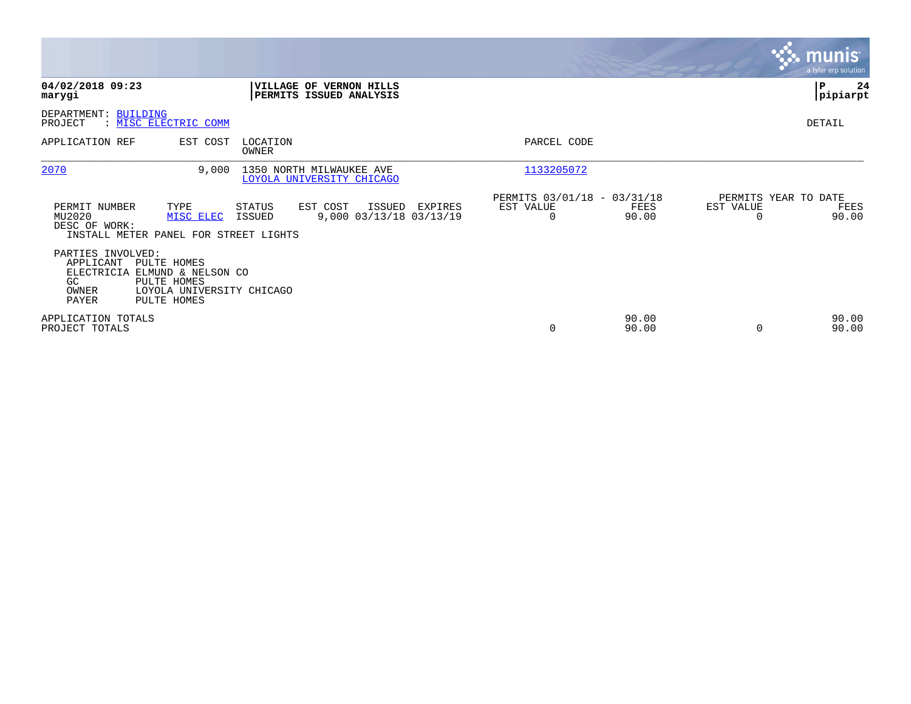|                                                                                                                                                                       |                                                                              |                                                                | $\mathbf{3.3}\ \text{m units}$<br>a tyler erp solution |
|-----------------------------------------------------------------------------------------------------------------------------------------------------------------------|------------------------------------------------------------------------------|----------------------------------------------------------------|--------------------------------------------------------|
| 04/02/2018 09:23<br>marygi                                                                                                                                            | VILLAGE OF VERNON HILLS<br>PERMITS ISSUED ANALYSIS                           |                                                                | ∣P<br>24<br> pipiarpt                                  |
| DEPARTMENT: BUILDING<br>: MISC ELECTRIC COMM<br>PROJECT                                                                                                               |                                                                              |                                                                | DETAIL                                                 |
| APPLICATION REF<br>EST COST                                                                                                                                           | LOCATION<br>OWNER                                                            | PARCEL CODE                                                    |                                                        |
| 2070<br>9,000                                                                                                                                                         | 1350 NORTH MILWAUKEE AVE<br>LOYOLA UNIVERSITY CHICAGO                        | 1133205072                                                     |                                                        |
| PERMIT NUMBER<br>TYPE<br>MU2020<br>MISC ELEC<br>DESC OF WORK:<br>INSTALL METER PANEL FOR STREET LIGHTS                                                                | STATUS<br>EST COST<br>ISSUED<br>EXPIRES<br>9,000 03/13/18 03/13/19<br>ISSUED | PERMITS 03/01/18 - 03/31/18<br>EST VALUE<br>FEES<br>90.00<br>0 | PERMITS YEAR TO DATE<br>EST VALUE<br>FEES<br>90.00     |
| PARTIES INVOLVED:<br>APPLICANT<br>PULTE HOMES<br>ELECTRICIA<br>ELMUND & NELSON CO<br>PULTE HOMES<br>GC.<br>OWNER<br>LOYOLA UNIVERSITY CHICAGO<br>PAYER<br>PULTE HOMES |                                                                              |                                                                |                                                        |
| APPLICATION TOTALS<br>PROJECT TOTALS                                                                                                                                  |                                                                              | 90.00<br>0<br>90.00                                            | 90.00<br>90.00                                         |

the property of the control of

a sa mga magaalang na mga magaalang ng mga magaalang ng mga magaalang ng mga magaalang ng mga magaalang ng mga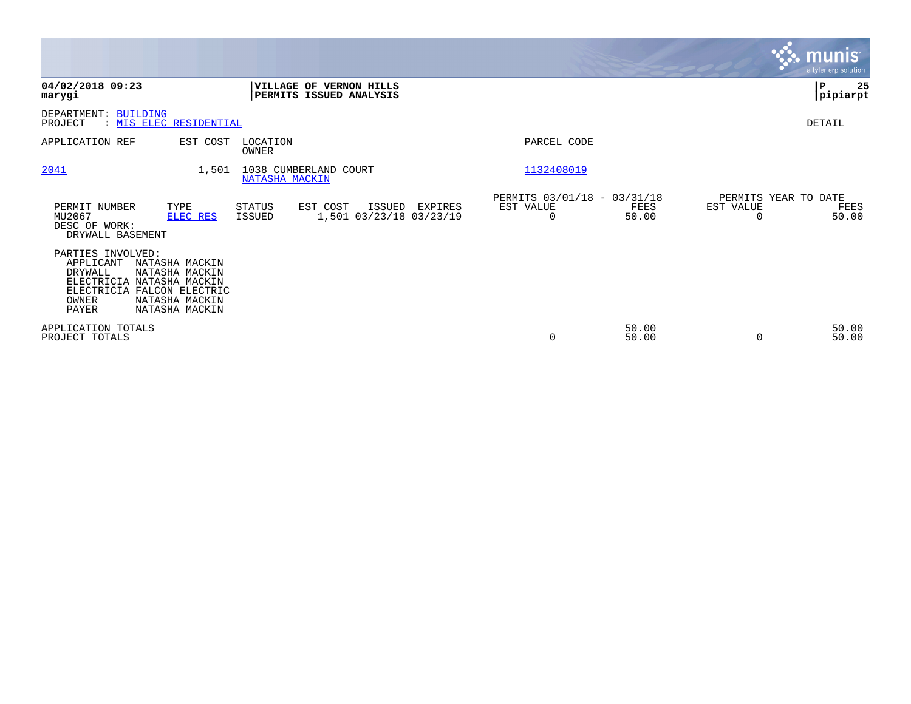|                                                                                                                                                                                                |                                                                                     |                                                                | <b>munis</b><br>a tyler erp solution               |
|------------------------------------------------------------------------------------------------------------------------------------------------------------------------------------------------|-------------------------------------------------------------------------------------|----------------------------------------------------------------|----------------------------------------------------|
| 04/02/2018 09:23<br>marygi                                                                                                                                                                     | <b>VILLAGE OF VERNON HILLS</b><br>PERMITS ISSUED ANALYSIS                           |                                                                | 25<br>∣P<br> pipiarpt                              |
| DEPARTMENT: BUILDING<br>PROJECT<br>: MIS ELEC RESIDENTIAL                                                                                                                                      |                                                                                     |                                                                | DETAIL                                             |
| APPLICATION REF<br>EST COST                                                                                                                                                                    | LOCATION<br>OWNER                                                                   | PARCEL CODE                                                    |                                                    |
| 2041                                                                                                                                                                                           | 1038 CUMBERLAND COURT<br>1,501<br>NATASHA MACKIN                                    | 1132408019                                                     |                                                    |
| PERMIT NUMBER<br>TYPE<br>MU2067<br>ELEC RES<br>DESC OF WORK:<br>DRYWALL BASEMENT                                                                                                               | STATUS<br>EST COST<br>ISSUED<br>EXPIRES<br>1,501 03/23/18 03/23/19<br><b>ISSUED</b> | PERMITS 03/01/18 - 03/31/18<br>EST VALUE<br>FEES<br>50.00<br>0 | PERMITS YEAR TO DATE<br>EST VALUE<br>FEES<br>50.00 |
| PARTIES INVOLVED:<br>APPLICANT<br>NATASHA MACKIN<br>DRYWALL<br>NATASHA MACKIN<br>ELECTRICIA NATASHA MACKIN<br>ELECTRICIA FALCON ELECTRIC<br>OWNER<br>NATASHA MACKIN<br>PAYER<br>NATASHA MACKIN |                                                                                     |                                                                |                                                    |
| APPLICATION TOTALS<br>PROJECT TOTALS                                                                                                                                                           |                                                                                     | 50.00<br>50.00<br>0                                            | 50.00<br>50.00<br>$\Omega$                         |

the property of the control of

a sa mga magaalang na mga magaalang ng mga magaalang ng mga magaalang ng mga magaalang ng mga magaalang ng mga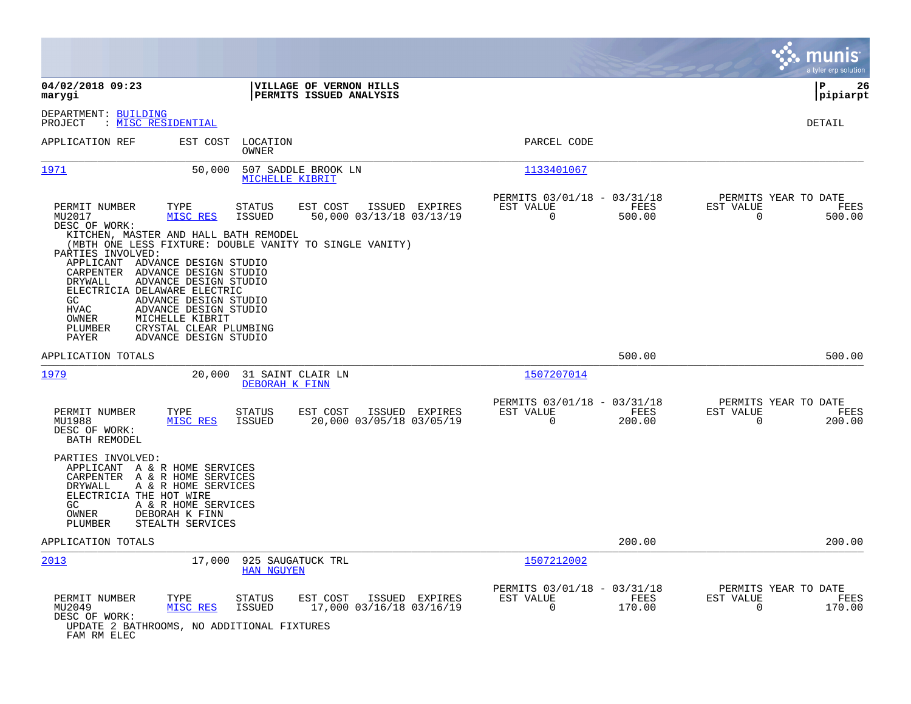|                                                                                                                                                                                                                                                     |                                                                                                                                                                                            |                                        |                                                                                                 |                |                                                         |                       |                                                  | munis<br>a tyler erp solution |
|-----------------------------------------------------------------------------------------------------------------------------------------------------------------------------------------------------------------------------------------------------|--------------------------------------------------------------------------------------------------------------------------------------------------------------------------------------------|----------------------------------------|-------------------------------------------------------------------------------------------------|----------------|---------------------------------------------------------|-----------------------|--------------------------------------------------|-------------------------------|
| 04/02/2018 09:23<br>marygi                                                                                                                                                                                                                          |                                                                                                                                                                                            |                                        | <b>VILLAGE OF VERNON HILLS</b><br>PERMITS ISSUED ANALYSIS                                       |                |                                                         |                       |                                                  | ΙP<br>26<br> pipiarpt         |
| DEPARTMENT: BUILDING<br>PROJECT                                                                                                                                                                                                                     | : MISC RESIDENTIAL                                                                                                                                                                         |                                        |                                                                                                 |                |                                                         |                       |                                                  | <b>DETAIL</b>                 |
| APPLICATION REF                                                                                                                                                                                                                                     | EST COST                                                                                                                                                                                   | LOCATION<br>OWNER                      |                                                                                                 |                | PARCEL CODE                                             |                       |                                                  |                               |
| 1971                                                                                                                                                                                                                                                | 50,000                                                                                                                                                                                     | MICHELLE KIBRIT                        | 507 SADDLE BROOK LN                                                                             |                | 1133401067                                              |                       |                                                  |                               |
| PERMIT NUMBER<br>MU2017<br>DESC OF WORK:<br>KITCHEN, MASTER AND HALL BATH REMODEL<br>PARTIES INVOLVED:<br>APPLICANT ADVANCE DESIGN STUDIO<br>CARPENTER<br>DRYWALL<br>ELECTRICIA DELAWARE ELECTRIC<br>GC<br><b>HVAC</b><br>OWNER<br>PLUMBER<br>PAYER | TYPE<br>MISC RES<br>ADVANCE DESIGN STUDIO<br>ADVANCE DESIGN STUDIO<br>ADVANCE DESIGN STUDIO<br>ADVANCE DESIGN STUDIO<br>MICHELLE KIBRIT<br>CRYSTAL CLEAR PLUMBING<br>ADVANCE DESIGN STUDIO | <b>STATUS</b><br><b>ISSUED</b>         | EST COST<br>50,000 03/13/18 03/13/19<br>(MBTH ONE LESS FIXTURE: DOUBLE VANITY TO SINGLE VANITY) | ISSUED EXPIRES | PERMITS 03/01/18 - 03/31/18<br>EST VALUE<br>$\Omega$    | FEES<br>500.00        | PERMITS YEAR TO DATE<br>EST VALUE<br>$\Omega$    | FEES<br>500.00                |
| APPLICATION TOTALS                                                                                                                                                                                                                                  |                                                                                                                                                                                            |                                        |                                                                                                 |                |                                                         | 500.00                |                                                  | 500.00                        |
| 1979                                                                                                                                                                                                                                                | 20,000                                                                                                                                                                                     | 31 SAINT CLAIR LN<br>DEBORAH K FINN    |                                                                                                 |                | 1507207014                                              |                       |                                                  |                               |
| PERMIT NUMBER<br>MU1988<br>DESC OF WORK:<br>BATH REMODEL                                                                                                                                                                                            | TYPE<br>MISC RES                                                                                                                                                                           | <b>STATUS</b><br><b>ISSUED</b>         | EST COST<br>20,000 03/05/18 03/05/19                                                            | ISSUED EXPIRES | PERMITS 03/01/18 - 03/31/18<br>EST VALUE<br>$\mathbf 0$ | <b>FEES</b><br>200.00 | PERMITS YEAR TO DATE<br>EST VALUE<br>$\mathbf 0$ | FEES<br>200.00                |
| PARTIES INVOLVED:<br>APPLICANT A & R HOME SERVICES<br>CARPENTER A & R HOME SERVICES<br>DRYWALL<br>ELECTRICIA THE HOT WIRE<br>GC.<br>OWNER<br>PLUMBER                                                                                                | A & R HOME SERVICES<br>A & R HOME SERVICES<br>DEBORAH K FINN<br>STEALTH SERVICES                                                                                                           |                                        |                                                                                                 |                |                                                         |                       |                                                  |                               |
| APPLICATION TOTALS                                                                                                                                                                                                                                  |                                                                                                                                                                                            |                                        |                                                                                                 |                |                                                         | 200.00                |                                                  | 200.00                        |
| 2013                                                                                                                                                                                                                                                | 17,000                                                                                                                                                                                     | 925 SAUGATUCK TRL<br><b>HAN NGUYEN</b> |                                                                                                 |                | 1507212002                                              |                       |                                                  |                               |
| PERMIT NUMBER<br>MU2049<br>DESC OF WORK:<br>UPDATE 2 BATHROOMS, NO ADDITIONAL FIXTURES<br>FAM RM ELEC                                                                                                                                               | TYPE<br>MISC RES                                                                                                                                                                           | <b>STATUS</b><br><b>ISSUED</b>         | EST COST<br>17,000 03/16/18 03/16/19                                                            | ISSUED EXPIRES | PERMITS 03/01/18 - 03/31/18<br>EST VALUE<br>$\Omega$    | FEES<br>170.00        | PERMITS YEAR TO DATE<br>EST VALUE<br>$\Omega$    | FEES<br>170.00                |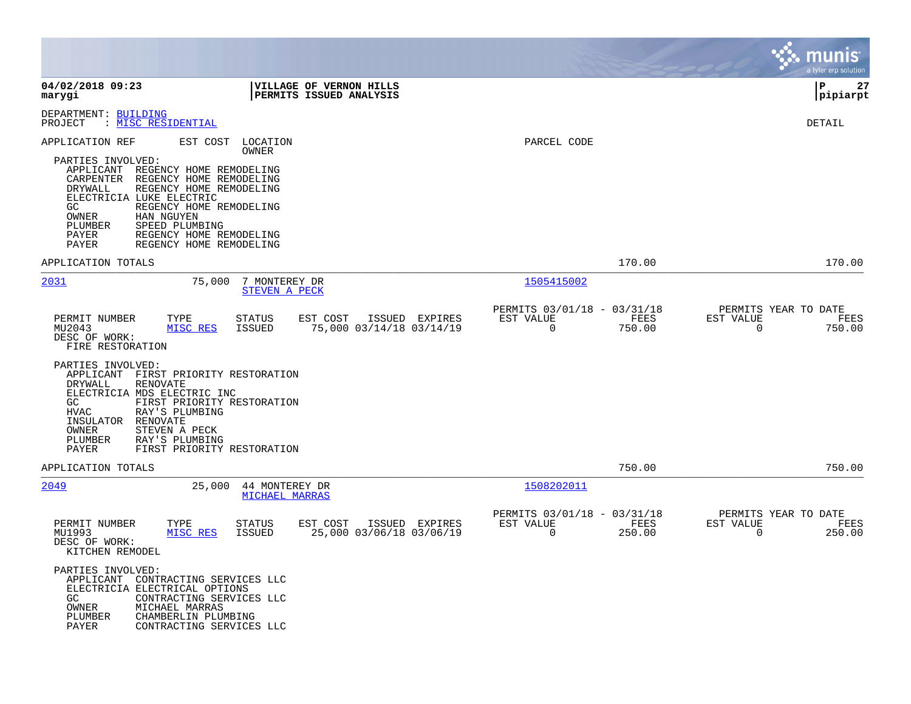|                                                                                                                                                                                                                                                                                                                                                                                      |                                                                           | munis<br>a tyler erp solution                                      |
|--------------------------------------------------------------------------------------------------------------------------------------------------------------------------------------------------------------------------------------------------------------------------------------------------------------------------------------------------------------------------------------|---------------------------------------------------------------------------|--------------------------------------------------------------------|
| 04/02/2018 09:23<br><b>VILLAGE OF VERNON HILLS</b><br>marygi<br>PERMITS ISSUED ANALYSIS                                                                                                                                                                                                                                                                                              |                                                                           | 27<br>ΙP<br> pipiarpt                                              |
| DEPARTMENT: BUILDING<br>: MISC RESIDENTIAL<br>PROJECT                                                                                                                                                                                                                                                                                                                                |                                                                           | DETAIL                                                             |
| APPLICATION REF<br>EST COST<br>LOCATION<br>OWNER<br>PARTIES INVOLVED:<br>APPLICANT<br>REGENCY HOME REMODELING<br>CARPENTER<br>REGENCY HOME REMODELING<br>DRYWALL<br>REGENCY HOME REMODELING<br>ELECTRICIA LUKE ELECTRIC<br>GC<br>REGENCY HOME REMODELING<br>OWNER<br>HAN NGUYEN<br>PLUMBER<br>SPEED PLUMBING<br>PAYER<br>REGENCY HOME REMODELING<br>PAYER<br>REGENCY HOME REMODELING | PARCEL CODE                                                               |                                                                    |
| APPLICATION TOTALS                                                                                                                                                                                                                                                                                                                                                                   | 170.00                                                                    | 170.00                                                             |
| 2031<br>75,000<br>7 MONTEREY DR<br><b>STEVEN A PECK</b>                                                                                                                                                                                                                                                                                                                              | 1505415002                                                                |                                                                    |
| PERMIT NUMBER<br>TYPE<br><b>STATUS</b><br>EST COST<br>ISSUED EXPIRES<br>75,000 03/14/18 03/14/19<br>MU2043<br>MISC RES<br>ISSUED<br>DESC OF WORK:<br>FIRE RESTORATION                                                                                                                                                                                                                | PERMITS 03/01/18 - 03/31/18<br>EST VALUE<br>FEES<br>$\mathbf 0$<br>750.00 | PERMITS YEAR TO DATE<br>EST VALUE<br>FEES<br>$\mathbf 0$<br>750.00 |
| PARTIES INVOLVED:<br>APPLICANT FIRST PRIORITY RESTORATION<br>DRYWALL<br><b>RENOVATE</b><br>ELECTRICIA MDS ELECTRIC INC<br>GC<br>FIRST PRIORITY RESTORATION<br><b>HVAC</b><br>RAY'S PLUMBING<br>INSULATOR<br>RENOVATE<br>OWNER<br>STEVEN A PECK<br>PLUMBER<br>RAY'S PLUMBING<br>PAYER<br>FIRST PRIORITY RESTORATION                                                                   |                                                                           |                                                                    |
| APPLICATION TOTALS                                                                                                                                                                                                                                                                                                                                                                   | 750.00                                                                    | 750.00                                                             |
| 2049<br>25,000<br>44 MONTEREY DR<br><b>MICHAEL MARRAS</b>                                                                                                                                                                                                                                                                                                                            | 1508202011                                                                |                                                                    |
| EST COST<br>ISSUED EXPIRES<br>PERMIT NUMBER<br>TYPE<br><b>STATUS</b><br>MU1993<br>MISC RES<br>ISSUED<br>25,000 03/06/18 03/06/19<br>DESC OF WORK:<br>KITCHEN REMODEL                                                                                                                                                                                                                 | PERMITS 03/01/18 - 03/31/18<br>EST VALUE<br>FEES<br>$\mathbf 0$<br>250.00 | PERMITS YEAR TO DATE<br>EST VALUE<br>FEES<br>0<br>250.00           |
| PARTIES INVOLVED:<br>APPLICANT CONTRACTING SERVICES LLC<br>ELECTRICIA ELECTRICAL OPTIONS<br>GC<br>CONTRACTING SERVICES LLC<br>OWNER<br>MICHAEL MARRAS<br>PLUMBER<br>CHAMBERLIN PLUMBING<br>PAYER<br>CONTRACTING SERVICES LLC                                                                                                                                                         |                                                                           |                                                                    |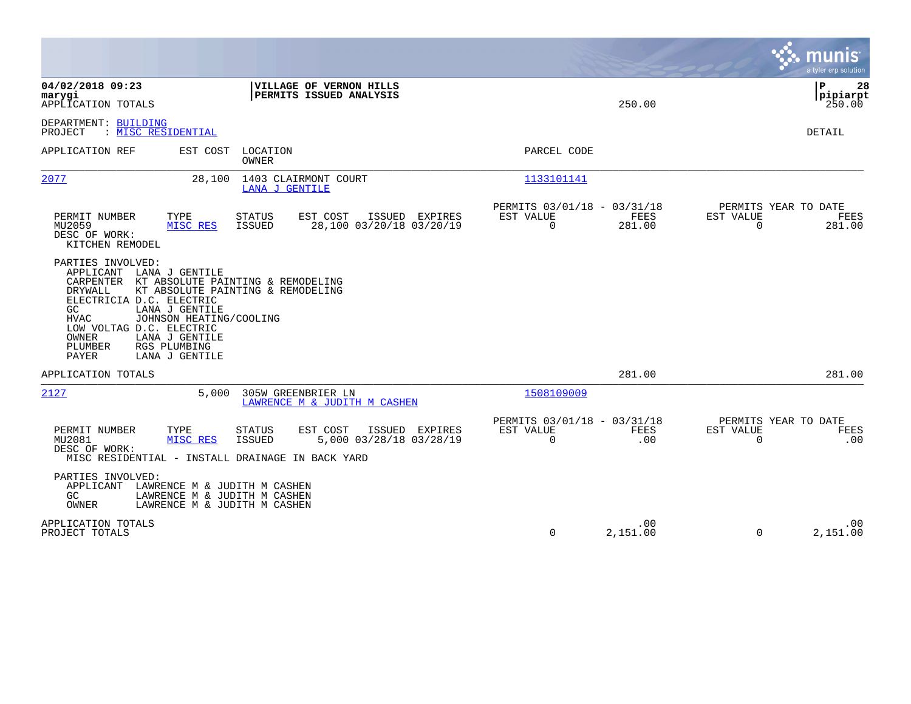|                                                                                                                                                                                                                                                                                                                                        |                                                                                         |                                                                               | munis<br>a tyler erp solution                                   |
|----------------------------------------------------------------------------------------------------------------------------------------------------------------------------------------------------------------------------------------------------------------------------------------------------------------------------------------|-----------------------------------------------------------------------------------------|-------------------------------------------------------------------------------|-----------------------------------------------------------------|
| 04/02/2018 09:23<br>marygi<br>APPLICATION TOTALS                                                                                                                                                                                                                                                                                       | VILLAGE OF VERNON HILLS<br><b>PERMITS ISSUED ANALYSIS</b>                               | 250.00                                                                        | l P<br>28<br> pipiarpt<br>250.00                                |
| DEPARTMENT: BUILDING<br>PROJECT<br>: MISC RESIDENTIAL                                                                                                                                                                                                                                                                                  |                                                                                         |                                                                               | <b>DETAIL</b>                                                   |
| APPLICATION REF<br>EST COST                                                                                                                                                                                                                                                                                                            | LOCATION<br>OWNER                                                                       | PARCEL CODE                                                                   |                                                                 |
| 2077<br>28,100                                                                                                                                                                                                                                                                                                                         | 1403 CLAIRMONT COURT<br>LANA J GENTILE                                                  | 1133101141                                                                    |                                                                 |
| TYPE<br>PERMIT NUMBER<br>MU2059<br>MISC RES<br>DESC OF WORK:<br>KITCHEN REMODEL                                                                                                                                                                                                                                                        | <b>STATUS</b><br>EST COST<br>ISSUED EXPIRES<br>ISSUED<br>28,100 03/20/18 03/20/19       | PERMITS 03/01/18 - 03/31/18<br><b>FEES</b><br>EST VALUE<br>$\Omega$<br>281.00 | PERMITS YEAR TO DATE<br>EST VALUE<br>FEES<br>$\Omega$<br>281.00 |
| PARTIES INVOLVED:<br>APPLICANT<br>LANA J GENTILE<br>CARPENTER<br>KT ABSOLUTE PAINTING & REMODELING<br>DRYWALL<br>ELECTRICIA D.C. ELECTRIC<br>LANA J GENTILE<br>GC<br><b>HVAC</b><br>JOHNSON HEATING/COOLING<br>LOW VOLTAG D.C. ELECTRIC<br><b>OWNER</b><br>LANA J GENTILE<br>PLUMBER<br>RGS PLUMBING<br><b>PAYER</b><br>LANA J GENTILE | KT ABSOLUTE PAINTING & REMODELING                                                       |                                                                               |                                                                 |
| APPLICATION TOTALS                                                                                                                                                                                                                                                                                                                     |                                                                                         | 281.00                                                                        | 281.00                                                          |
| 2127<br>5,000                                                                                                                                                                                                                                                                                                                          | 305W GREENBRIER LN<br>LAWRENCE M & JUDITH M CASHEN                                      | 1508109009                                                                    |                                                                 |
| PERMIT NUMBER<br>TYPE<br>MU2081<br>MISC RES<br>DESC OF WORK:<br>MISC RESIDENTIAL - INSTALL DRAINAGE IN BACK YARD                                                                                                                                                                                                                       | <b>STATUS</b><br>EST COST<br>ISSUED EXPIRES<br>5,000 03/28/18 03/28/19<br><b>ISSUED</b> | PERMITS 03/01/18 - 03/31/18<br>EST VALUE<br><b>FEES</b><br>$\Omega$<br>.00    | PERMITS YEAR TO DATE<br>EST VALUE<br>FEES<br>$\Omega$<br>.00    |
| PARTIES INVOLVED:<br>APPLICANT LAWRENCE M & JUDITH M CASHEN<br>GC<br>LAWRENCE M & JUDITH M CASHEN<br>OWNER<br>LAWRENCE M & JUDITH M CASHEN                                                                                                                                                                                             |                                                                                         |                                                                               |                                                                 |
| APPLICATION TOTALS<br>PROJECT TOTALS                                                                                                                                                                                                                                                                                                   |                                                                                         | .00<br>0<br>2,151.00                                                          | .00<br>$\Omega$<br>2,151.00                                     |

**Contract**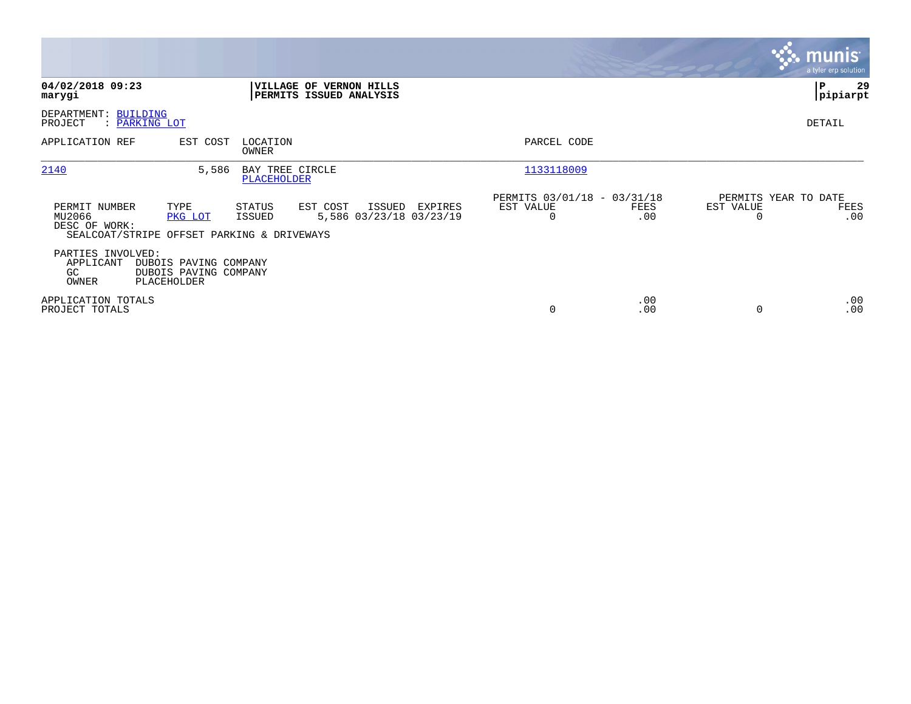|                                                |                                                               |                                |                                                    |         |                                                      |             |           | <b>munis</b><br>a tyler erp solution. |
|------------------------------------------------|---------------------------------------------------------------|--------------------------------|----------------------------------------------------|---------|------------------------------------------------------|-------------|-----------|---------------------------------------|
| 04/02/2018 09:23<br>marygi                     |                                                               |                                | VILLAGE OF VERNON HILLS<br>PERMITS ISSUED ANALYSIS |         |                                                      |             |           | l P<br>29<br> pipiarpt                |
| DEPARTMENT: BUILDING<br>PROJECT                | : <u>PARKING LOT</u>                                          |                                |                                                    |         |                                                      |             |           | DETAIL                                |
| APPLICATION REF                                | EST COST                                                      | LOCATION<br>OWNER              |                                                    |         | PARCEL CODE                                          |             |           |                                       |
| 2140                                           | 5,586                                                         | BAY TREE CIRCLE<br>PLACEHOLDER |                                                    |         | 1133118009                                           |             |           |                                       |
| PERMIT NUMBER<br>MU2066<br>DESC OF WORK:       | TYPE<br>PKG LOT<br>SEALCOAT/STRIPE OFFSET PARKING & DRIVEWAYS | STATUS<br>ISSUED               | EST COST<br>ISSUED<br>5,586 03/23/18 03/23/19      | EXPIRES | PERMITS 03/01/18 - 03/31/18<br>EST VALUE<br>$\Omega$ | FEES<br>.00 | EST VALUE | PERMITS YEAR TO DATE<br>FEES<br>.00   |
| PARTIES INVOLVED:<br>APPLICANT<br>GC.<br>OWNER | DUBOIS PAVING COMPANY<br>DUBOIS PAVING COMPANY<br>PLACEHOLDER |                                |                                                    |         |                                                      |             |           |                                       |
| APPLICATION TOTALS<br>PROJECT TOTALS           |                                                               |                                |                                                    |         | 0                                                    | .00<br>.00  | $\Omega$  | .00<br>.00                            |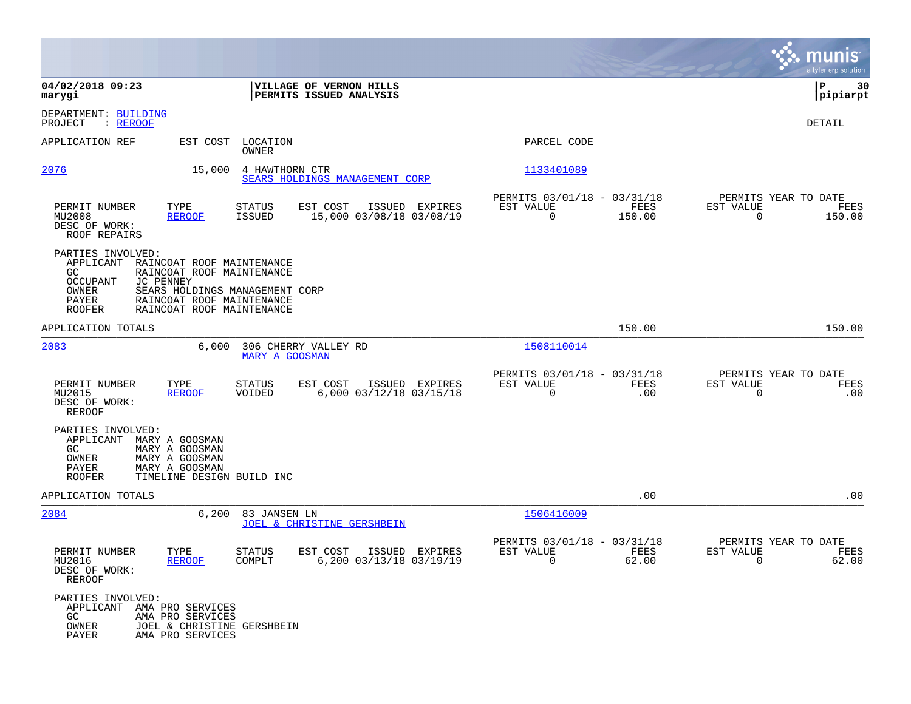|                                                                                            |                                                                                                                                                                 |                       |                                                    |                |                                                         |                |                                                     | munis<br>a tyler erp solution |
|--------------------------------------------------------------------------------------------|-----------------------------------------------------------------------------------------------------------------------------------------------------------------|-----------------------|----------------------------------------------------|----------------|---------------------------------------------------------|----------------|-----------------------------------------------------|-------------------------------|
| 04/02/2018 09:23<br>marygi                                                                 |                                                                                                                                                                 |                       | VILLAGE OF VERNON HILLS<br>PERMITS ISSUED ANALYSIS |                |                                                         |                |                                                     | P<br>30<br> pipiarpt          |
| DEPARTMENT: BUILDING<br>PROJECT<br>: REROOF                                                |                                                                                                                                                                 |                       |                                                    |                |                                                         |                |                                                     | DETAIL                        |
| APPLICATION REF                                                                            | EST COST                                                                                                                                                        | LOCATION<br>OWNER     |                                                    |                | PARCEL CODE                                             |                |                                                     |                               |
| 2076                                                                                       | 15,000                                                                                                                                                          | 4 HAWTHORN CTR        | SEARS HOLDINGS MANAGEMENT CORP                     |                | 1133401089                                              |                |                                                     |                               |
| PERMIT NUMBER<br>MU2008<br>DESC OF WORK:<br>ROOF REPAIRS                                   | TYPE<br><b>REROOF</b>                                                                                                                                           | STATUS<br>ISSUED      | EST COST<br>15,000 03/08/18 03/08/19               | ISSUED EXPIRES | PERMITS 03/01/18 - 03/31/18<br>EST VALUE<br>$\mathbf 0$ | FEES<br>150.00 | PERMITS YEAR TO DATE<br>EST VALUE<br>0              | FEES<br>150.00                |
| PARTIES INVOLVED:<br>APPLICANT<br>GC<br><b>OCCUPANT</b><br>OWNER<br>PAYER<br><b>ROOFER</b> | RAINCOAT ROOF MAINTENANCE<br>RAINCOAT ROOF MAINTENANCE<br>JC PENNEY<br>SEARS HOLDINGS MANAGEMENT CORP<br>RAINCOAT ROOF MAINTENANCE<br>RAINCOAT ROOF MAINTENANCE |                       |                                                    |                |                                                         |                |                                                     |                               |
| APPLICATION TOTALS                                                                         |                                                                                                                                                                 |                       |                                                    |                |                                                         | 150.00         |                                                     | 150.00                        |
| 2083                                                                                       | 6,000                                                                                                                                                           | <b>MARY A GOOSMAN</b> | 306 CHERRY VALLEY RD                               |                | 1508110014                                              |                |                                                     |                               |
| PERMIT NUMBER<br>MU2015<br>DESC OF WORK:<br>REROOF                                         | TYPE<br><b>REROOF</b>                                                                                                                                           | STATUS<br>VOIDED      | EST COST<br>6,000 03/12/18 03/15/18                | ISSUED EXPIRES | PERMITS 03/01/18 - 03/31/18<br>EST VALUE<br>$\Omega$    | FEES<br>.00    | PERMITS YEAR TO DATE<br>EST VALUE<br>$\mathbf 0$    | FEES<br>.00                   |
| PARTIES INVOLVED:<br>APPLICANT<br>GC.<br>OWNER<br>PAYER<br><b>ROOFER</b>                   | MARY A GOOSMAN<br>MARY A GOOSMAN<br>MARY A GOOSMAN<br>MARY A GOOSMAN<br>TIMELINE DESIGN BUILD INC                                                               |                       |                                                    |                |                                                         |                |                                                     |                               |
| APPLICATION TOTALS                                                                         |                                                                                                                                                                 |                       |                                                    |                |                                                         | .00            |                                                     | .00                           |
| 2084                                                                                       | 6,200                                                                                                                                                           | 83 JANSEN LN          | JOEL & CHRISTINE GERSHBEIN                         |                | 1506416009                                              |                |                                                     |                               |
| PERMIT NUMBER<br>MU2016<br>DESC OF WORK:<br>REROOF                                         | TYPE<br><b>REROOF</b>                                                                                                                                           | STATUS<br>COMPLT      | EST COST<br>6,200 03/13/18 03/19/19                | ISSUED EXPIRES | PERMITS 03/01/18 - 03/31/18<br>EST VALUE<br>$\sim$ 0    | FEES<br>62.00  | PERMITS YEAR TO DATE<br>EST VALUE<br>$\overline{0}$ | FEES<br>62.00                 |
| PARTIES INVOLVED:<br>APPLICANT AMA PRO SERVICES<br>GC<br>OWNER<br>PAYER                    | AMA PRO SERVICES<br>JOEL & CHRISTINE GERSHBEIN<br>AMA PRO SERVICES                                                                                              |                       |                                                    |                |                                                         |                |                                                     |                               |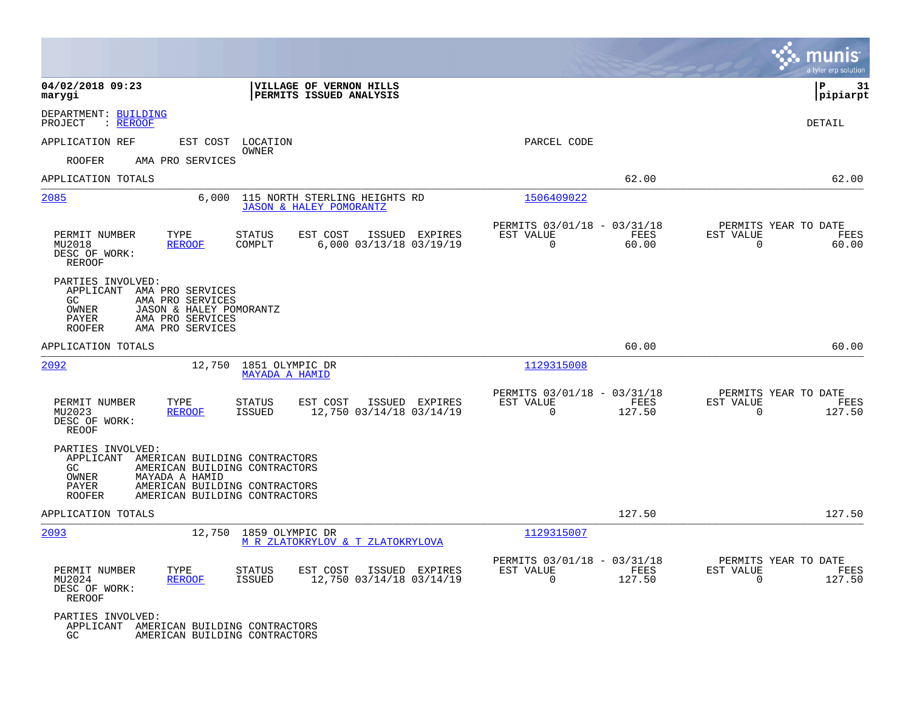|                                                                                                                                                                                 |                                                                                                                                  |                                                                   | munis<br>a tyler erp solution                                                 |
|---------------------------------------------------------------------------------------------------------------------------------------------------------------------------------|----------------------------------------------------------------------------------------------------------------------------------|-------------------------------------------------------------------|-------------------------------------------------------------------------------|
| 04/02/2018 09:23<br>marygi                                                                                                                                                      | VILLAGE OF VERNON HILLS<br>PERMITS ISSUED ANALYSIS                                                                               |                                                                   | ΙP<br>31<br> pipiarpt                                                         |
| DEPARTMENT: BUILDING<br>: REROOF<br>PROJECT                                                                                                                                     |                                                                                                                                  |                                                                   | DETAIL                                                                        |
| APPLICATION REF<br>EST COST                                                                                                                                                     | LOCATION                                                                                                                         | PARCEL CODE                                                       |                                                                               |
| <b>ROOFER</b><br>AMA PRO SERVICES                                                                                                                                               | OWNER                                                                                                                            |                                                                   |                                                                               |
| APPLICATION TOTALS                                                                                                                                                              |                                                                                                                                  | 62.00                                                             | 62.00                                                                         |
| 2085<br>6,000                                                                                                                                                                   | 115 NORTH STERLING HEIGHTS RD<br><b>JASON &amp; HALEY POMORANTZ</b>                                                              | 1506409022                                                        |                                                                               |
| PERMIT NUMBER<br>TYPE<br>MU2018<br><b>REROOF</b><br>DESC OF WORK:<br><b>REROOF</b>                                                                                              | <b>STATUS</b><br>EST COST<br>ISSUED EXPIRES<br>6,000 03/13/18 03/19/19<br>COMPLT                                                 | PERMITS 03/01/18 - 03/31/18<br>EST VALUE<br>$\Omega$<br>60.00     | PERMITS YEAR TO DATE<br>FEES<br>EST VALUE<br>FEES<br>$\overline{0}$<br>60.00  |
| PARTIES INVOLVED:<br>APPLICANT AMA PRO SERVICES<br>GC<br>AMA PRO SERVICES<br>OWNER<br>JASON & HALEY POMORANTZ<br>PAYER<br>AMA PRO SERVICES<br><b>ROOFER</b><br>AMA PRO SERVICES |                                                                                                                                  |                                                                   |                                                                               |
| APPLICATION TOTALS                                                                                                                                                              |                                                                                                                                  | 60.00                                                             | 60.00                                                                         |
| 2092<br>12,750                                                                                                                                                                  | 1851 OLYMPIC DR<br><b>MAYADA A HAMID</b>                                                                                         | 1129315008                                                        |                                                                               |
| PERMIT NUMBER<br>TYPE<br><b>REROOF</b><br>MU2023<br>DESC OF WORK:<br><b>REOOF</b>                                                                                               | EST COST<br>ISSUED EXPIRES<br><b>STATUS</b><br>12,750 03/14/18 03/14/19<br><b>ISSUED</b>                                         | PERMITS 03/01/18 - 03/31/18<br>EST VALUE<br>$\mathbf 0$<br>127.50 | PERMITS YEAR TO DATE<br>FEES<br>EST VALUE<br>FEES<br>$\overline{0}$<br>127.50 |
| PARTIES INVOLVED:<br>APPLICANT<br>GC.<br>OWNER<br>MAYADA A HAMID<br>PAYER<br><b>ROOFER</b>                                                                                      | AMERICAN BUILDING CONTRACTORS<br>AMERICAN BUILDING CONTRACTORS<br>AMERICAN BUILDING CONTRACTORS<br>AMERICAN BUILDING CONTRACTORS |                                                                   |                                                                               |
| APPLICATION TOTALS                                                                                                                                                              |                                                                                                                                  | 127.50                                                            | 127.50                                                                        |
| 2093<br>12,750                                                                                                                                                                  | 1859 OLYMPIC DR<br>M R ZLATOKRYLOV & T ZLATOKRYLOVA                                                                              | 1129315007                                                        |                                                                               |
| PERMIT NUMBER<br>TYPE<br><b>REROOF</b><br>MU2024<br>DESC OF WORK:<br><b>REROOF</b>                                                                                              | <b>STATUS</b><br>EST COST<br>ISSUED EXPIRES<br>12,750 03/14/18 03/14/19<br>ISSUED                                                | PERMITS 03/01/18 - 03/31/18<br>EST VALUE<br>$\mathbf 0$<br>127.50 | PERMITS YEAR TO DATE<br>FEES<br>EST VALUE<br>FEES<br>$\overline{0}$<br>127.50 |
| PARTIES INVOLVED:<br>APPLICANT AMERICAN BUILDING CONTRACTORS<br>GC.                                                                                                             | AMERICAN BUILDING CONTRACTORS                                                                                                    |                                                                   |                                                                               |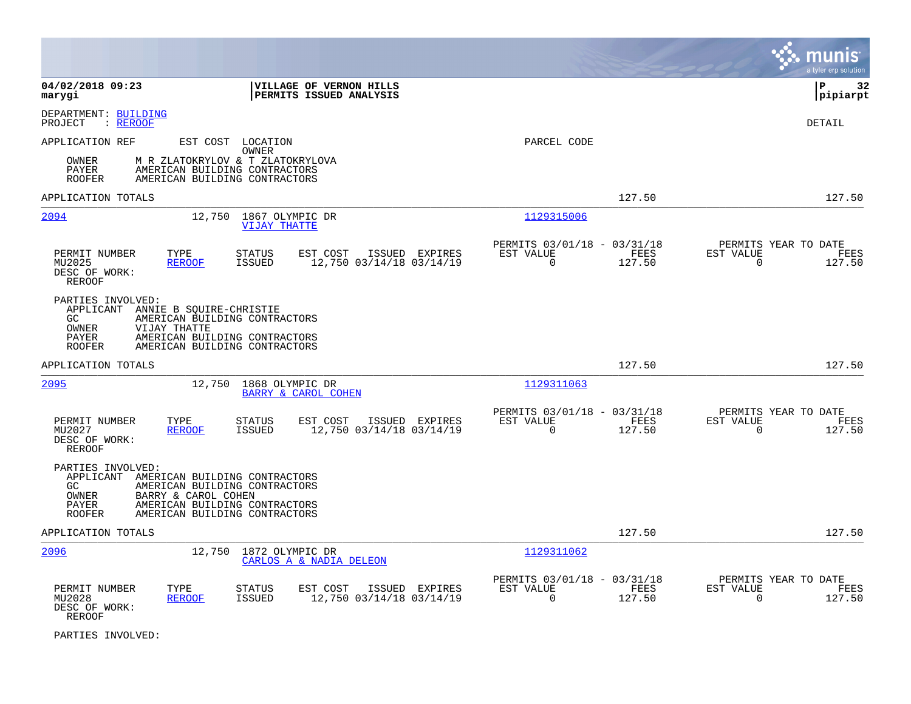|                                                                                                                                                                                                                                     |                                                                                         | munis<br>a tyler erp solution                                      |
|-------------------------------------------------------------------------------------------------------------------------------------------------------------------------------------------------------------------------------------|-----------------------------------------------------------------------------------------|--------------------------------------------------------------------|
| 04/02/2018 09:23<br>VILLAGE OF VERNON HILLS<br>PERMITS ISSUED ANALYSIS<br>marygi                                                                                                                                                    |                                                                                         | l P<br>32<br> pipiarpt                                             |
| DEPARTMENT: BUILDING<br>: <u>REROOF</u><br>PROJECT                                                                                                                                                                                  |                                                                                         | DETAIL                                                             |
| APPLICATION REF<br>EST COST LOCATION<br>OWNER                                                                                                                                                                                       | PARCEL CODE                                                                             |                                                                    |
| M R ZLATOKRYLOV & T ZLATOKRYLOVA<br>OWNER<br>AMERICAN BUILDING CONTRACTORS<br>PAYER<br><b>ROOFER</b><br>AMERICAN BUILDING CONTRACTORS                                                                                               |                                                                                         |                                                                    |
| APPLICATION TOTALS                                                                                                                                                                                                                  | 127.50                                                                                  | 127.50                                                             |
| 2094<br>12,750 1867 OLYMPIC DR<br><b>VIJAY THATTE</b>                                                                                                                                                                               | 1129315006                                                                              |                                                                    |
| PERMIT NUMBER<br><b>STATUS</b><br>EST COST<br>ISSUED EXPIRES<br>TYPE<br>MU2025<br><b>REROOF</b><br><b>ISSUED</b><br>12,750 03/14/18 03/14/19<br>DESC OF WORK:<br>REROOF                                                             | PERMITS 03/01/18 - 03/31/18<br>EST VALUE<br>FEES<br>$\Omega$<br>127.50                  | PERMITS YEAR TO DATE<br>EST VALUE<br>FEES<br>$\Omega$<br>127.50    |
| PARTIES INVOLVED:<br>APPLICANT ANNIE B SQUIRE-CHRISTIE<br>AMERICAN BUILDING CONTRACTORS<br>GC.<br><b>OWNER</b><br>VIJAY THATTE<br>AMERICAN BUILDING CONTRACTORS<br>PAYER<br><b>ROOFER</b><br>AMERICAN BUILDING CONTRACTORS          |                                                                                         |                                                                    |
| APPLICATION TOTALS                                                                                                                                                                                                                  | 127.50                                                                                  | 127.50                                                             |
| 2095<br>12,750<br>1868 OLYMPIC DR<br>BARRY & CAROL COHEN                                                                                                                                                                            | 1129311063                                                                              |                                                                    |
| PERMIT NUMBER<br>TYPE<br><b>STATUS</b><br>EST COST<br>ISSUED EXPIRES<br><b>REROOF</b><br><b>ISSUED</b><br>12,750 03/14/18 03/14/19<br>MU2027<br>DESC OF WORK:<br><b>REROOF</b>                                                      | PERMITS 03/01/18 - 03/31/18<br><b>EST VALUE</b><br><b>FEES</b><br>$\mathbf 0$<br>127.50 | PERMITS YEAR TO DATE<br>EST VALUE<br>FEES<br>$\mathbf 0$<br>127.50 |
| PARTIES INVOLVED:<br>APPLICANT<br>AMERICAN BUILDING CONTRACTORS<br>AMERICAN BUILDING CONTRACTORS<br>GC.<br>BARRY & CAROL COHEN<br>OWNER<br>AMERICAN BUILDING CONTRACTORS<br>PAYER<br>AMERICAN BUILDING CONTRACTORS<br><b>ROOFER</b> |                                                                                         |                                                                    |
| APPLICATION TOTALS                                                                                                                                                                                                                  | 127.50                                                                                  | 127.50                                                             |
| 2096<br>12,750<br>1872 OLYMPIC DR<br>CARLOS A & NADIA DELEON                                                                                                                                                                        | 1129311062                                                                              |                                                                    |
| PERMIT NUMBER<br>TYPE<br>STATUS<br>EST COST<br>ISSUED EXPIRES<br>12,750 03/14/18 03/14/19<br>MU2028<br><b>REROOF</b><br><b>ISSUED</b><br>DESC OF WORK:<br><b>REROOF</b>                                                             | PERMITS 03/01/18 - 03/31/18<br>EST VALUE<br>FEES<br>$\Omega$<br>127.50                  | PERMITS YEAR TO DATE<br>EST VALUE<br>FEES<br>127.50<br>$\mathbf 0$ |

PARTIES INVOLVED: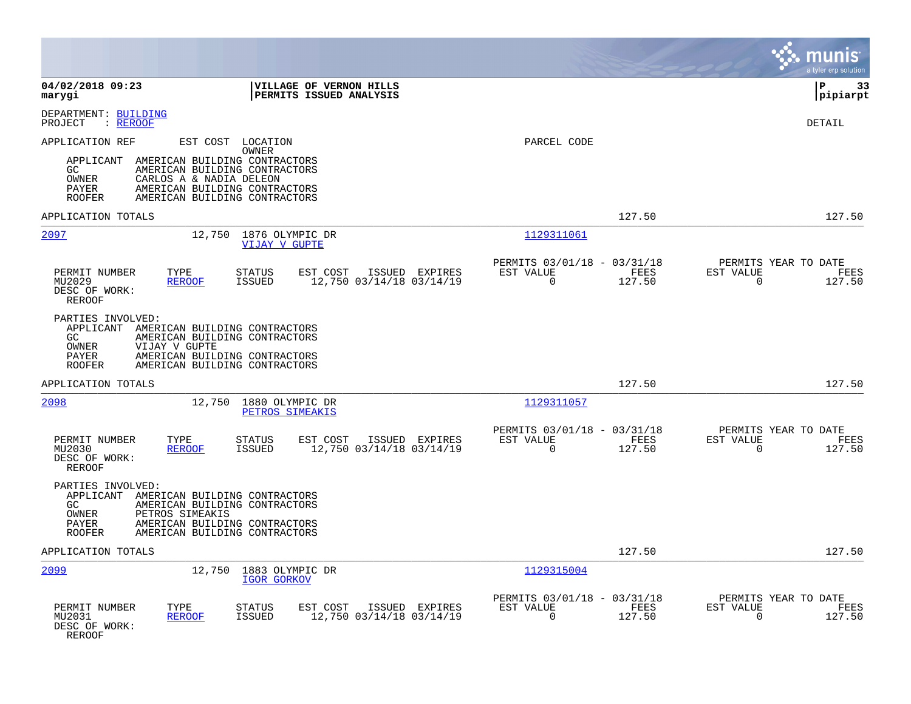|                                                                                                                                                                                                                                                                           |                                                                           | munis<br>a tyler erp solution                                      |
|---------------------------------------------------------------------------------------------------------------------------------------------------------------------------------------------------------------------------------------------------------------------------|---------------------------------------------------------------------------|--------------------------------------------------------------------|
| 04/02/2018 09:23<br>VILLAGE OF VERNON HILLS<br>marygi<br>PERMITS ISSUED ANALYSIS                                                                                                                                                                                          |                                                                           | ΙP<br>33<br> pipiarpt                                              |
| DEPARTMENT: BUILDING<br>PROJECT<br>: REROOF                                                                                                                                                                                                                               |                                                                           | DETAIL                                                             |
| APPLICATION REF<br>EST COST LOCATION<br>OWNER<br>AMERICAN BUILDING CONTRACTORS<br>APPLICANT<br>GC<br>AMERICAN BUILDING CONTRACTORS<br>OWNER<br>CARLOS A & NADIA DELEON<br><b>PAYER</b><br>AMERICAN BUILDING CONTRACTORS<br><b>ROOFER</b><br>AMERICAN BUILDING CONTRACTORS | PARCEL CODE                                                               |                                                                    |
| APPLICATION TOTALS                                                                                                                                                                                                                                                        | 127.50                                                                    | 127.50                                                             |
| 2097<br>12,750 1876 OLYMPIC DR<br><b>VIJAY V GUPTE</b>                                                                                                                                                                                                                    | 1129311061                                                                |                                                                    |
| PERMIT NUMBER<br>TYPE<br><b>STATUS</b><br>EST COST<br>ISSUED EXPIRES<br>12,750 03/14/18 03/14/19<br>MU2029<br><b>REROOF</b><br><b>ISSUED</b><br>DESC OF WORK:<br><b>REROOF</b>                                                                                            | PERMITS 03/01/18 - 03/31/18<br>FEES<br>EST VALUE<br>$\mathbf 0$<br>127.50 | PERMITS YEAR TO DATE<br>EST VALUE<br>FEES<br>$\mathbf 0$<br>127.50 |
| PARTIES INVOLVED:<br>APPLICANT<br>AMERICAN BUILDING CONTRACTORS<br>GC<br>AMERICAN BUILDING CONTRACTORS<br>OWNER<br>VIJAY V GUPTE<br>PAYER<br>AMERICAN BUILDING CONTRACTORS<br>AMERICAN BUILDING CONTRACTORS<br><b>ROOFER</b>                                              |                                                                           |                                                                    |
| APPLICATION TOTALS                                                                                                                                                                                                                                                        | 127.50                                                                    | 127.50                                                             |
| 2098<br>12,750<br>1880 OLYMPIC DR<br>PETROS SIMEAKIS                                                                                                                                                                                                                      | 1129311057                                                                |                                                                    |
| TYPE<br>PERMIT NUMBER<br><b>STATUS</b><br>EST COST<br>ISSUED EXPIRES<br><b>ISSUED</b><br>12,750 03/14/18 03/14/19<br>MU2030<br><b>REROOF</b><br>DESC OF WORK:<br><b>REROOF</b>                                                                                            | PERMITS 03/01/18 - 03/31/18<br>EST VALUE<br>FEES<br>$\mathbf 0$<br>127.50 | PERMITS YEAR TO DATE<br>EST VALUE<br>FEES<br>$\Omega$<br>127.50    |
| PARTIES INVOLVED:<br>APPLICANT<br>AMERICAN BUILDING CONTRACTORS<br>GC<br>AMERICAN BUILDING CONTRACTORS<br>OWNER<br>PETROS SIMEAKIS<br>PAYER<br>AMERICAN BUILDING CONTRACTORS<br><b>ROOFER</b><br>AMERICAN BUILDING CONTRACTORS                                            |                                                                           |                                                                    |
| APPLICATION TOTALS                                                                                                                                                                                                                                                        | 127.50                                                                    | 127.50                                                             |
| 2099<br>12,750<br>1883 OLYMPIC DR<br><b>IGOR GORKOV</b>                                                                                                                                                                                                                   | 1129315004                                                                |                                                                    |
| PERMIT NUMBER<br>TYPE<br>EST COST<br><b>STATUS</b><br>ISSUED EXPIRES<br>12,750 03/14/18 03/14/19<br>MU2031<br><b>REROOF</b><br><b>ISSUED</b><br>DESC OF WORK:<br><b>REROOF</b>                                                                                            | PERMITS 03/01/18 - 03/31/18<br>EST VALUE<br>FEES<br>$\Omega$<br>127.50    | PERMITS YEAR TO DATE<br>EST VALUE<br>FEES<br>$\Omega$<br>127.50    |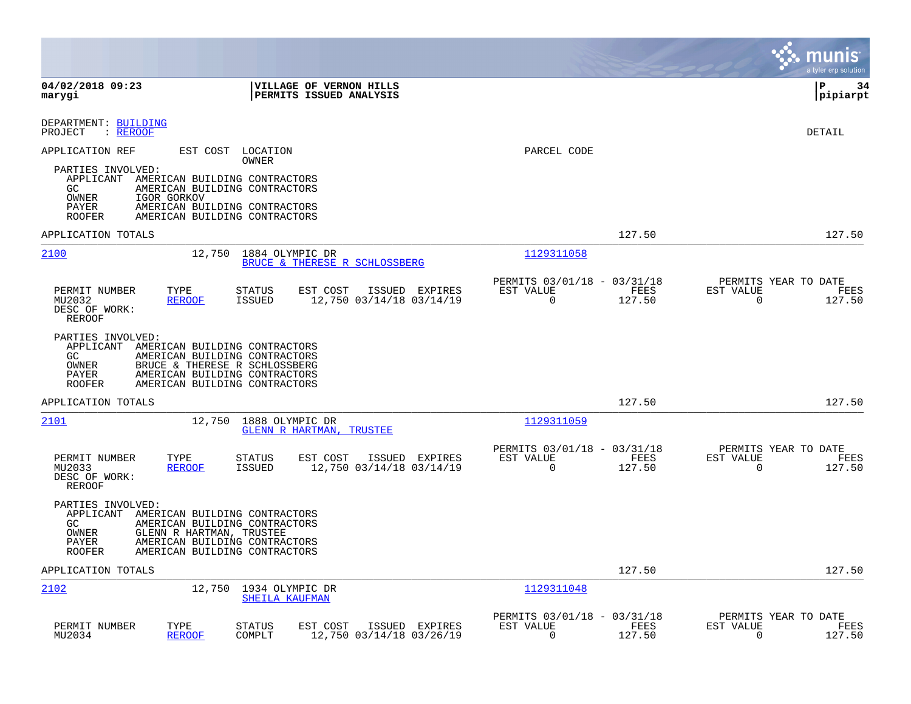|                                                                                                                                                                                                                                            |                                                                           | munis<br>a tyler erp solution                                      |
|--------------------------------------------------------------------------------------------------------------------------------------------------------------------------------------------------------------------------------------------|---------------------------------------------------------------------------|--------------------------------------------------------------------|
| 04/02/2018 09:23<br>VILLAGE OF VERNON HILLS<br>PERMITS ISSUED ANALYSIS<br>marygi                                                                                                                                                           |                                                                           | l P<br>34<br> pipiarpt                                             |
| DEPARTMENT: BUILDING<br>PROJECT<br>: REROOF                                                                                                                                                                                                |                                                                           | DETAIL                                                             |
| EST COST<br>APPLICATION REF<br>LOCATION<br>OWNER                                                                                                                                                                                           | PARCEL CODE                                                               |                                                                    |
| PARTIES INVOLVED:<br>APPLICANT AMERICAN BUILDING CONTRACTORS<br>AMERICAN BUILDING CONTRACTORS<br>GC.<br>OWNER<br>IGOR GORKOV<br>PAYER<br>AMERICAN BUILDING CONTRACTORS<br>AMERICAN BUILDING CONTRACTORS<br><b>ROOFER</b>                   |                                                                           |                                                                    |
| APPLICATION TOTALS                                                                                                                                                                                                                         | 127.50                                                                    | 127.50                                                             |
| 2100<br>1884 OLYMPIC DR<br>12,750<br>BRUCE & THERESE R SCHLOSSBERG                                                                                                                                                                         | 1129311058                                                                |                                                                    |
| PERMIT NUMBER<br>EST COST<br>ISSUED EXPIRES<br>TYPE<br>STATUS<br>MU2032<br><b>REROOF</b><br><b>ISSUED</b><br>12,750 03/14/18 03/14/19<br>DESC OF WORK:<br>REROOF                                                                           | PERMITS 03/01/18 - 03/31/18<br>FEES<br>EST VALUE<br>$\Omega$<br>127.50    | PERMITS YEAR TO DATE<br>EST VALUE<br>FEES<br>$\Omega$<br>127.50    |
| PARTIES INVOLVED:<br>APPLICANT AMERICAN BUILDING CONTRACTORS<br>AMERICAN BUILDING CONTRACTORS<br>GC.<br>OWNER<br>BRUCE & THERESE R SCHLOSSBERG<br>AMERICAN BUILDING CONTRACTORS<br>PAYER<br>AMERICAN BUILDING CONTRACTORS<br><b>ROOFER</b> |                                                                           |                                                                    |
| APPLICATION TOTALS                                                                                                                                                                                                                         | 127.50                                                                    | 127.50                                                             |
| 2101<br>12,750<br>1888 OLYMPIC DR<br><b>GLENN R HARTMAN, TRUSTEE</b>                                                                                                                                                                       | 1129311059                                                                |                                                                    |
| PERMIT NUMBER<br>TYPE<br><b>STATUS</b><br>EST COST<br>ISSUED EXPIRES<br>MU2033<br><b>REROOF</b><br><b>ISSUED</b><br>12,750 03/14/18 03/14/19<br>DESC OF WORK:<br>REROOF                                                                    | PERMITS 03/01/18 - 03/31/18<br>EST VALUE<br>FEES<br>$\Omega$<br>127.50    | PERMITS YEAR TO DATE<br>EST VALUE<br>FEES<br>$\mathbf 0$<br>127.50 |
| PARTIES INVOLVED:<br>APPLICANT<br>AMERICAN BUILDING CONTRACTORS<br>GC<br>AMERICAN BUILDING CONTRACTORS<br>OWNER<br>GLENN R HARTMAN, TRUSTEE<br>PAYER<br>AMERICAN BUILDING CONTRACTORS<br>AMERICAN BUILDING CONTRACTORS<br><b>ROOFER</b>    |                                                                           |                                                                    |
| APPLICATION TOTALS                                                                                                                                                                                                                         | 127.50                                                                    | 127.50                                                             |
| 2102<br>12,750<br>1934 OLYMPIC DR<br>SHEILA KAUFMAN                                                                                                                                                                                        | 1129311048                                                                |                                                                    |
| PERMIT NUMBER<br>TYPE<br>EST COST<br>ISSUED EXPIRES<br>STATUS<br>MU2034<br><b>REROOF</b><br>COMPLT<br>12,750 03/14/18 03/26/19                                                                                                             | PERMITS 03/01/18 - 03/31/18<br>EST VALUE<br>FEES<br>$\mathbf 0$<br>127.50 | PERMITS YEAR TO DATE<br>EST VALUE<br>FEES<br>$\mathbf 0$<br>127.50 |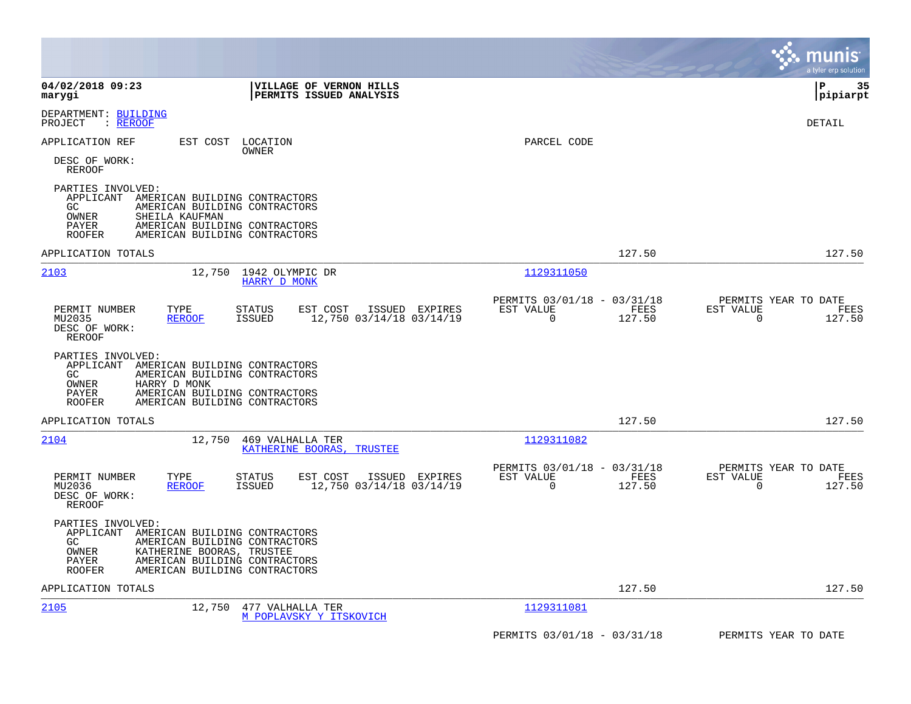|                                                                                                                                                                                                                                           |                                                                 | a tyler erp solution                                            |
|-------------------------------------------------------------------------------------------------------------------------------------------------------------------------------------------------------------------------------------------|-----------------------------------------------------------------|-----------------------------------------------------------------|
| 04/02/2018 09:23<br><b>VILLAGE OF VERNON HILLS</b><br>PERMITS ISSUED ANALYSIS<br>marygi                                                                                                                                                   |                                                                 | l P<br>35<br> pipiarpt                                          |
| DEPARTMENT: BUILDING<br>: REROOF<br>PROJECT                                                                                                                                                                                               |                                                                 | DETAIL                                                          |
| APPLICATION REF<br>EST COST LOCATION<br>OWNER                                                                                                                                                                                             | PARCEL CODE                                                     |                                                                 |
| DESC OF WORK:<br><b>REROOF</b>                                                                                                                                                                                                            |                                                                 |                                                                 |
| PARTIES INVOLVED:<br>APPLICANT<br>AMERICAN BUILDING CONTRACTORS<br>GC.<br>AMERICAN BUILDING CONTRACTORS<br>OWNER<br>SHEILA KAUFMAN<br>PAYER<br>AMERICAN BUILDING CONTRACTORS<br>AMERICAN BUILDING CONTRACTORS<br><b>ROOFER</b>            |                                                                 |                                                                 |
| APPLICATION TOTALS                                                                                                                                                                                                                        | 127.50                                                          | 127.50                                                          |
| 2103<br>12,750<br>1942 OLYMPIC DR<br><b>HARRY D MONK</b>                                                                                                                                                                                  | 1129311050                                                      |                                                                 |
| EST COST<br>ISSUED EXPIRES<br>PERMIT NUMBER<br>TYPE<br>STATUS<br>12,750 03/14/18 03/14/19<br>MU2035<br>ISSUED<br><b>REROOF</b><br>DESC OF WORK:<br>REROOF                                                                                 | PERMITS 03/01/18 - 03/31/18<br>EST VALUE<br>FEES<br>0<br>127.50 | PERMITS YEAR TO DATE<br>EST VALUE<br>FEES<br>0<br>127.50        |
| PARTIES INVOLVED:<br>APPLICANT AMERICAN BUILDING CONTRACTORS<br>GC<br>AMERICAN BUILDING CONTRACTORS<br>OWNER<br>HARRY D MONK<br>PAYER<br>AMERICAN BUILDING CONTRACTORS<br><b>ROOFER</b><br>AMERICAN BUILDING CONTRACTORS                  |                                                                 |                                                                 |
| APPLICATION TOTALS                                                                                                                                                                                                                        | 127.50                                                          | 127.50                                                          |
| 2104<br>12,750<br>469 VALHALLA TER<br>KATHERINE BOORAS, TRUSTEE                                                                                                                                                                           | 1129311082                                                      |                                                                 |
| TYPE<br>EST COST<br>ISSUED EXPIRES<br>PERMIT NUMBER<br><b>STATUS</b><br>12,750 03/14/18 03/14/19<br>MU2036<br><b>REROOF</b><br>ISSUED<br>DESC OF WORK:<br>REROOF                                                                          | PERMITS 03/01/18 - 03/31/18<br>EST VALUE<br>FEES<br>127.50<br>0 | PERMITS YEAR TO DATE<br>EST VALUE<br>FEES<br>127.50<br>$\Omega$ |
| PARTIES INVOLVED:<br>APPLICANT<br>AMERICAN BUILDING CONTRACTORS<br>AMERICAN BUILDING CONTRACTORS<br>GC.<br>OWNER<br>KATHERINE BOORAS, TRUSTEE<br>PAYER<br>AMERICAN BUILDING CONTRACTORS<br><b>ROOFER</b><br>AMERICAN BUILDING CONTRACTORS |                                                                 |                                                                 |
| APPLICATION TOTALS                                                                                                                                                                                                                        | 127.50                                                          | 127.50                                                          |
| 2105<br>12,750<br>477 VALHALLA TER<br>M POPLAVSKY Y ITSKOVICH                                                                                                                                                                             | 1129311081                                                      |                                                                 |
|                                                                                                                                                                                                                                           | PERMITS 03/01/18 - 03/31/18                                     | PERMITS YEAR TO DATE                                            |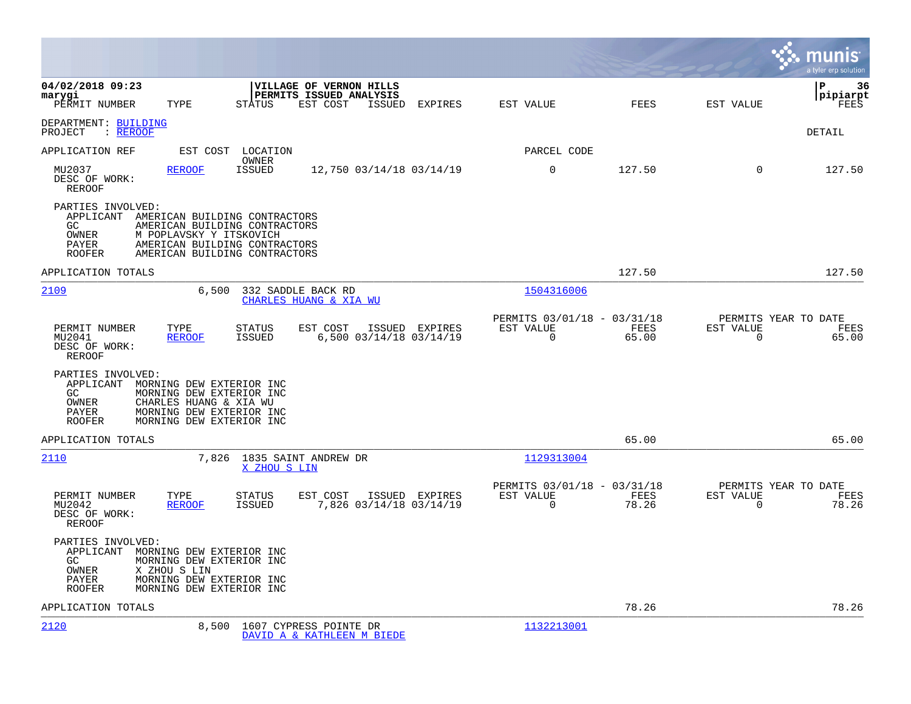|                                                                                                                                                                                                                                        |                                                                          | munis<br>a tyler erp solution                                     |
|----------------------------------------------------------------------------------------------------------------------------------------------------------------------------------------------------------------------------------------|--------------------------------------------------------------------------|-------------------------------------------------------------------|
| 04/02/2018 09:23<br>VILLAGE OF VERNON HILLS<br>PERMITS ISSUED ANALYSIS<br>marygi<br>PERMIT NUMBER<br>TYPE<br>STATUS<br>EST COST<br>ISSUED EXPIRES                                                                                      | EST VALUE<br>FEES                                                        | 36<br>l P<br> pipiarpt<br>EST VALUE<br>FEES                       |
| DEPARTMENT: BUILDING<br>PROJECT : REROOF                                                                                                                                                                                               |                                                                          | DETAIL                                                            |
| LOCATION<br>APPLICATION REF<br>EST COST                                                                                                                                                                                                | PARCEL CODE                                                              |                                                                   |
| OWNER<br><b>ISSUED</b><br>MU2037<br><b>REROOF</b><br>12,750 03/14/18 03/14/19<br>DESC OF WORK:<br>REROOF                                                                                                                               | $\mathbf 0$<br>127.50                                                    | $\Omega$<br>127.50                                                |
| PARTIES INVOLVED:<br>APPLICANT<br>AMERICAN BUILDING CONTRACTORS<br>GC<br>AMERICAN BUILDING CONTRACTORS<br>M POPLAVSKY Y ITSKOVICH<br>OWNER<br>AMERICAN BUILDING CONTRACTORS<br>PAYER<br>AMERICAN BUILDING CONTRACTORS<br><b>ROOFER</b> |                                                                          |                                                                   |
| APPLICATION TOTALS                                                                                                                                                                                                                     | 127.50                                                                   | 127.50                                                            |
| 2109<br>6,500<br>332 SADDLE BACK RD<br>CHARLES HUANG & XIA WU                                                                                                                                                                          | 1504316006                                                               |                                                                   |
| PERMIT NUMBER<br>TYPE<br><b>STATUS</b><br>EST COST<br>ISSUED EXPIRES<br>6,500 03/14/18 03/14/19<br>MU2041<br><b>REROOF</b><br>ISSUED<br>DESC OF WORK:<br>REROOF                                                                        | PERMITS 03/01/18 - 03/31/18<br>EST VALUE<br>FEES<br>0<br>65.00           | PERMITS YEAR TO DATE<br>EST VALUE<br>FEES<br>$\mathbf 0$<br>65.00 |
| PARTIES INVOLVED:<br>APPLICANT<br>MORNING DEW EXTERIOR INC<br>GC.<br>MORNING DEW EXTERIOR INC<br>CHARLES HUANG & XIA WU<br>OWNER<br>MORNING DEW EXTERIOR INC<br>PAYER<br><b>ROOFER</b><br>MORNING DEW EXTERIOR INC                     |                                                                          |                                                                   |
| APPLICATION TOTALS                                                                                                                                                                                                                     | 65.00                                                                    | 65.00                                                             |
| 2110<br>7,826<br>1835 SAINT ANDREW DR<br>X ZHOU S LIN                                                                                                                                                                                  | 1129313004                                                               |                                                                   |
| PERMIT NUMBER<br>TYPE<br><b>STATUS</b><br>EST COST<br>ISSUED EXPIRES<br><b>REROOF</b><br>7,826 03/14/18 03/14/19<br>MU2042<br>ISSUED<br>DESC OF WORK:<br><b>REROOF</b>                                                                 | PERMITS 03/01/18 - 03/31/18<br>FEES<br>EST VALUE<br>$\mathbf 0$<br>78.26 | PERMITS YEAR TO DATE<br>EST VALUE<br>FEES<br>$\mathbf 0$<br>78.26 |
| PARTIES INVOLVED:<br>APPLICANT<br>MORNING DEW EXTERIOR INC<br>GC<br>MORNING DEW EXTERIOR INC<br>OWNER<br>X ZHOU S LIN<br>MORNING DEW EXTERIOR INC<br>PAYER<br><b>ROOFER</b><br>MORNING DEW EXTERIOR INC                                |                                                                          |                                                                   |
| APPLICATION TOTALS                                                                                                                                                                                                                     | 78.26                                                                    | 78.26                                                             |
| 2120<br>1607 CYPRESS POINTE DR<br>8,500<br>DAVID A & KATHLEEN M BIEDE                                                                                                                                                                  | 1132213001                                                               |                                                                   |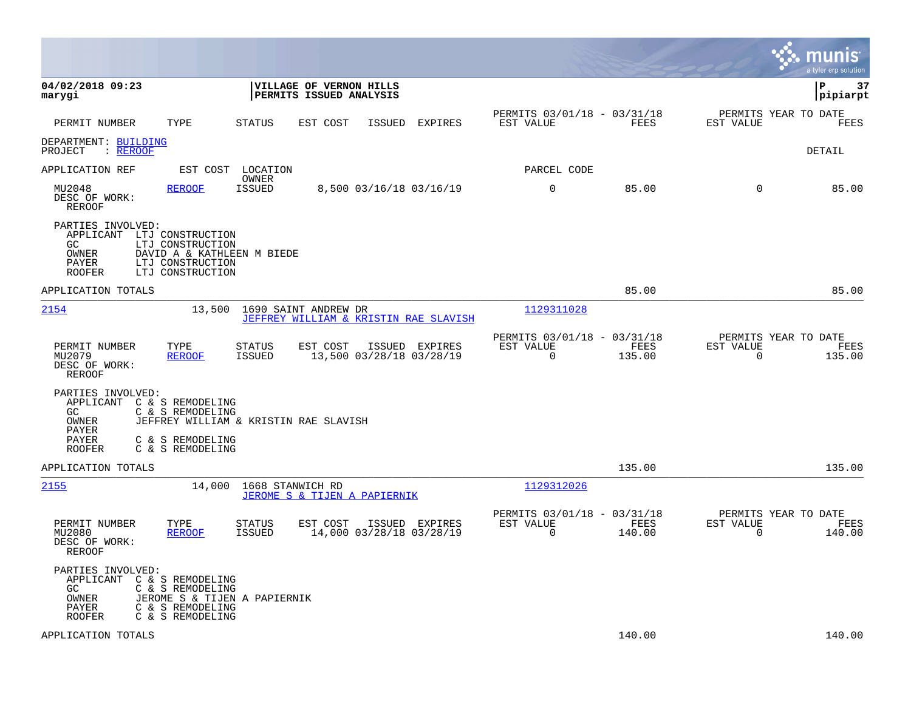|                                                                                                                                                               |                                                                         |                                            |         |                                                         |                |                                                     | munis<br>a tyler erp solution |
|---------------------------------------------------------------------------------------------------------------------------------------------------------------|-------------------------------------------------------------------------|--------------------------------------------|---------|---------------------------------------------------------|----------------|-----------------------------------------------------|-------------------------------|
| 04/02/2018 09:23<br>marygi                                                                                                                                    | VILLAGE OF VERNON HILLS<br>PERMITS ISSUED ANALYSIS                      |                                            |         |                                                         |                |                                                     | ∣P<br>37<br>pipiarpt          |
| TYPE<br>PERMIT NUMBER                                                                                                                                         | <b>STATUS</b><br>EST COST                                               | ISSUED                                     | EXPIRES | PERMITS 03/01/18 - 03/31/18<br>EST VALUE                | <b>FEES</b>    | PERMITS YEAR TO DATE<br>EST VALUE                   | FEES                          |
| DEPARTMENT: BUILDING<br>: REROOF<br>PROJECT                                                                                                                   |                                                                         |                                            |         |                                                         |                |                                                     | <b>DETAIL</b>                 |
| APPLICATION REF<br>EST COST                                                                                                                                   | LOCATION                                                                |                                            |         | PARCEL CODE                                             |                |                                                     |                               |
| MU2048<br><b>REROOF</b><br>DESC OF WORK:<br><b>REROOF</b>                                                                                                     | OWNER<br><b>ISSUED</b>                                                  | 8,500 03/16/18 03/16/19                    |         | $\mathbf 0$                                             | 85.00          | $\Omega$                                            | 85.00                         |
| PARTIES INVOLVED:<br>APPLICANT LTJ CONSTRUCTION<br>GC.<br>LTJ CONSTRUCTION<br>OWNER<br>LTJ CONSTRUCTION<br>PAYER<br><b>ROOFER</b><br>LTJ CONSTRUCTION         | DAVID A & KATHLEEN M BIEDE                                              |                                            |         |                                                         |                |                                                     |                               |
| APPLICATION TOTALS                                                                                                                                            |                                                                         |                                            |         |                                                         | 85.00          |                                                     | 85.00                         |
| 2154                                                                                                                                                          | 13,500<br>1690 SAINT ANDREW DR<br>JEFFREY WILLIAM & KRISTIN RAE SLAVISH |                                            |         | 1129311028                                              |                |                                                     |                               |
| PERMIT NUMBER<br>TYPE<br>MU2079<br><b>REROOF</b><br>DESC OF WORK:<br><b>REROOF</b>                                                                            | <b>STATUS</b><br>EST COST<br>ISSUED                                     | ISSUED EXPIRES<br>13,500 03/28/18 03/28/19 |         | PERMITS 03/01/18 - 03/31/18<br>EST VALUE<br>$\mathbf 0$ | FEES<br>135.00 | PERMITS YEAR TO DATE<br>EST VALUE<br>$\overline{0}$ | FEES<br>135.00                |
| PARTIES INVOLVED:<br>APPLICANT C & S REMODELING<br>GC<br>C & S REMODELING<br>OWNER<br>PAYER<br>PAYER<br>C & S REMODELING<br>C & S REMODELING<br><b>ROOFER</b> | JEFFREY WILLIAM & KRISTIN RAE SLAVISH                                   |                                            |         |                                                         |                |                                                     |                               |
| APPLICATION TOTALS                                                                                                                                            |                                                                         |                                            |         |                                                         | 135.00         |                                                     | 135.00                        |
| 2155                                                                                                                                                          | 14,000<br>1668 STANWICH RD<br>JEROME S & TIJEN A PAPIERNIK              |                                            |         | 1129312026                                              |                |                                                     |                               |
| PERMIT NUMBER<br>TYPE<br>MU2080<br><b>REROOF</b><br>DESC OF WORK:<br><b>REROOF</b>                                                                            | <b>STATUS</b><br>EST COST<br>ISSUED                                     | ISSUED EXPIRES<br>14,000 03/28/18 03/28/19 |         | PERMITS 03/01/18 - 03/31/18<br>EST VALUE<br>0           | FEES<br>140.00 | PERMITS YEAR TO DATE<br>EST VALUE<br>$\mathbf 0$    | FEES<br>140.00                |
| PARTIES INVOLVED:<br>APPLICANT C & S REMODELING<br>C & S REMODELING<br>GC.<br>OWNER<br>PAYER<br>C & S REMODELING<br><b>ROOFER</b><br>C & S REMODELING         | JEROME S & TIJEN A PAPIERNIK                                            |                                            |         |                                                         |                |                                                     |                               |
| APPLICATION TOTALS                                                                                                                                            |                                                                         |                                            |         |                                                         | 140.00         |                                                     | 140.00                        |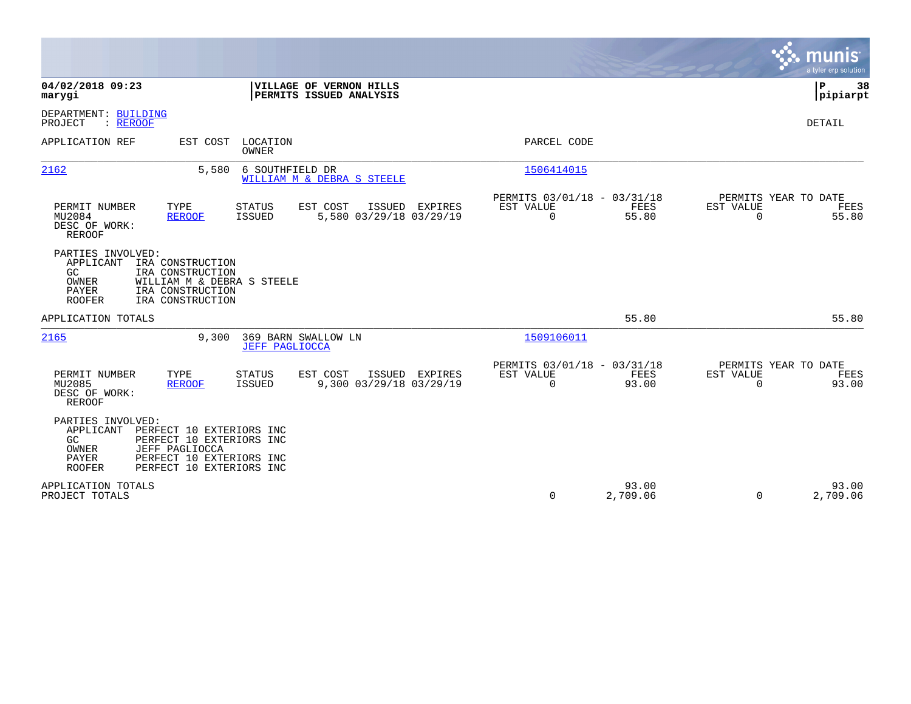|                                                                                                                                                                                                           |                                                                                                      | munis<br>a tyler erp solution         |
|-----------------------------------------------------------------------------------------------------------------------------------------------------------------------------------------------------------|------------------------------------------------------------------------------------------------------|---------------------------------------|
| 04/02/2018 09:23<br>VILLAGE OF VERNON HILLS<br>PERMITS ISSUED ANALYSIS<br>marygi                                                                                                                          |                                                                                                      | P<br>38<br> pipiarpt                  |
| DEPARTMENT: BUILDING<br>PROJECT<br>: REROOF                                                                                                                                                               |                                                                                                      | <b>DETAIL</b>                         |
| APPLICATION REF<br>EST COST LOCATION<br><b>OWNER</b>                                                                                                                                                      | PARCEL CODE                                                                                          |                                       |
| 2162<br>6 SOUTHFIELD DR<br>5,580<br>WILLIAM M & DEBRA S STEELE                                                                                                                                            | 1506414015                                                                                           |                                       |
| PERMIT NUMBER<br>TYPE<br><b>STATUS</b><br>EST COST<br>ISSUED<br>EXPIRES<br>MU2084<br><b>ISSUED</b><br>5,580 03/29/18 03/29/19<br><b>REROOF</b><br>DESC OF WORK:<br><b>REROOF</b>                          | PERMITS 03/01/18 - 03/31/18<br>EST VALUE<br>FEES<br>EST VALUE<br>$\mathbf 0$<br>55.80<br>$\mathbf 0$ | PERMITS YEAR TO DATE<br>FEES<br>55.80 |
| PARTIES INVOLVED:<br>APPLICANT<br>IRA CONSTRUCTION<br>IRA CONSTRUCTION<br>GC.<br>OWNER<br>WILLIAM M & DEBRA S STEELE<br>PAYER<br>IRA CONSTRUCTION<br><b>ROOFER</b><br>IRA CONSTRUCTION                    |                                                                                                      |                                       |
| APPLICATION TOTALS                                                                                                                                                                                        | 55.80                                                                                                | 55.80                                 |
| 2165<br>9,300<br>369 BARN SWALLOW LN<br><b>JEFF PAGLIOCCA</b>                                                                                                                                             | 1509106011                                                                                           |                                       |
| TYPE<br>EST COST<br>PERMIT NUMBER<br><b>STATUS</b><br>ISSUED EXPIRES<br>9,300 03/29/18 03/29/19<br>MU2085<br>ISSUED<br><b>REROOF</b><br>DESC OF WORK:<br><b>REROOF</b>                                    | PERMITS 03/01/18 - 03/31/18<br>EST VALUE<br>FEES<br>EST VALUE<br>$\mathbf 0$<br>93.00<br>$\Omega$    | PERMITS YEAR TO DATE<br>FEES<br>93.00 |
| PARTIES INVOLVED:<br>APPLICANT<br>PERFECT 10 EXTERIORS INC<br>GC<br>PERFECT 10 EXTERIORS INC<br>OWNER<br>JEFF PAGLIOCCA<br>PAYER<br>PERFECT 10 EXTERIORS INC<br><b>ROOFER</b><br>PERFECT 10 EXTERIORS INC |                                                                                                      |                                       |
| APPLICATION TOTALS<br>PROJECT TOTALS                                                                                                                                                                      | 93.00<br>0<br>2,709.06<br>$\Omega$                                                                   | 93.00<br>2,709.06                     |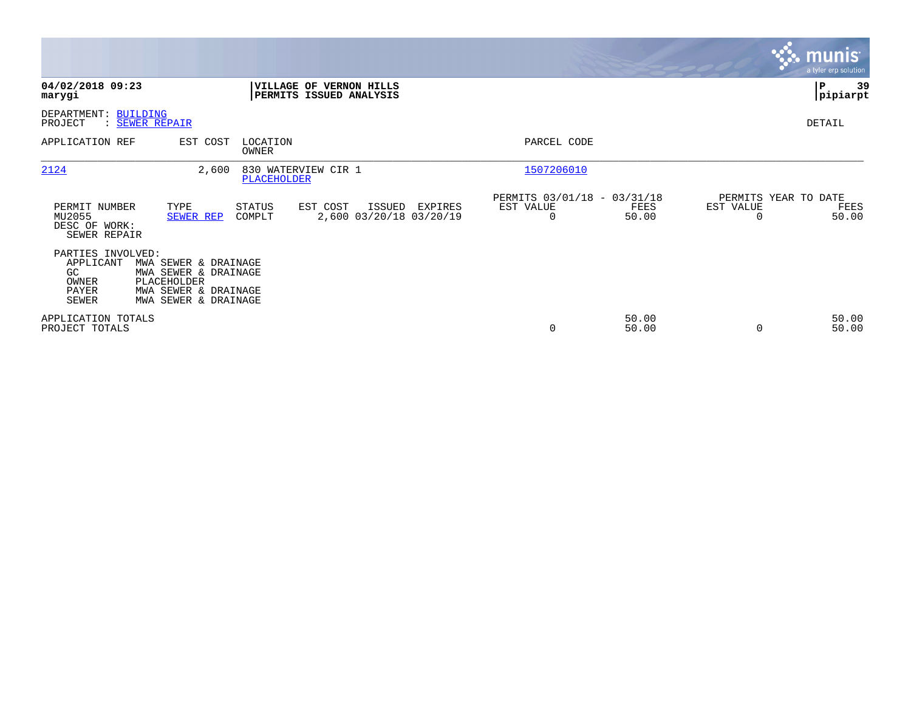|                                                                         |                                                                                                             |                         |                                                    |         |                                                         |                |                                               | <b>munis</b><br>a tyler erp solution |
|-------------------------------------------------------------------------|-------------------------------------------------------------------------------------------------------------|-------------------------|----------------------------------------------------|---------|---------------------------------------------------------|----------------|-----------------------------------------------|--------------------------------------|
| 04/02/2018 09:23<br>marygi                                              |                                                                                                             |                         | VILLAGE OF VERNON HILLS<br>PERMITS ISSUED ANALYSIS |         |                                                         |                |                                               | -39<br>P<br> pipiarpt                |
| DEPARTMENT: BUILDING<br>PROJECT                                         | : SEWER REPAIR                                                                                              |                         |                                                    |         |                                                         |                |                                               | DETAIL                               |
| APPLICATION REF                                                         | EST COST                                                                                                    | LOCATION<br>OWNER       |                                                    |         | PARCEL CODE                                             |                |                                               |                                      |
| 2124                                                                    | 2,600                                                                                                       | PLACEHOLDER             | 830 WATERVIEW CIR 1                                |         | 1507206010                                              |                |                                               |                                      |
| PERMIT NUMBER<br>MU2055<br>DESC OF WORK:<br>SEWER REPAIR                | TYPE<br>SEWER REP                                                                                           | <b>STATUS</b><br>COMPLT | EST COST<br>ISSUED<br>2,600 03/20/18 03/20/19      | EXPIRES | PERMITS 03/01/18 - 03/31/18<br>EST VALUE<br>$\mathbf 0$ | FEES<br>50.00  | PERMITS YEAR TO DATE<br>EST VALUE<br>$\Omega$ | FEES<br>50.00                        |
| PARTIES INVOLVED:<br>APPLICANT<br>GC.<br>OWNER<br>PAYER<br><b>SEWER</b> | MWA SEWER & DRAINAGE<br>MWA SEWER & DRAINAGE<br>PLACEHOLDER<br>MWA SEWER & DRAINAGE<br>MWA SEWER & DRAINAGE |                         |                                                    |         |                                                         |                |                                               |                                      |
| APPLICATION TOTALS<br>PROJECT TOTALS                                    |                                                                                                             |                         |                                                    |         | 0                                                       | 50.00<br>50.00 | 0                                             | 50.00<br>50.00                       |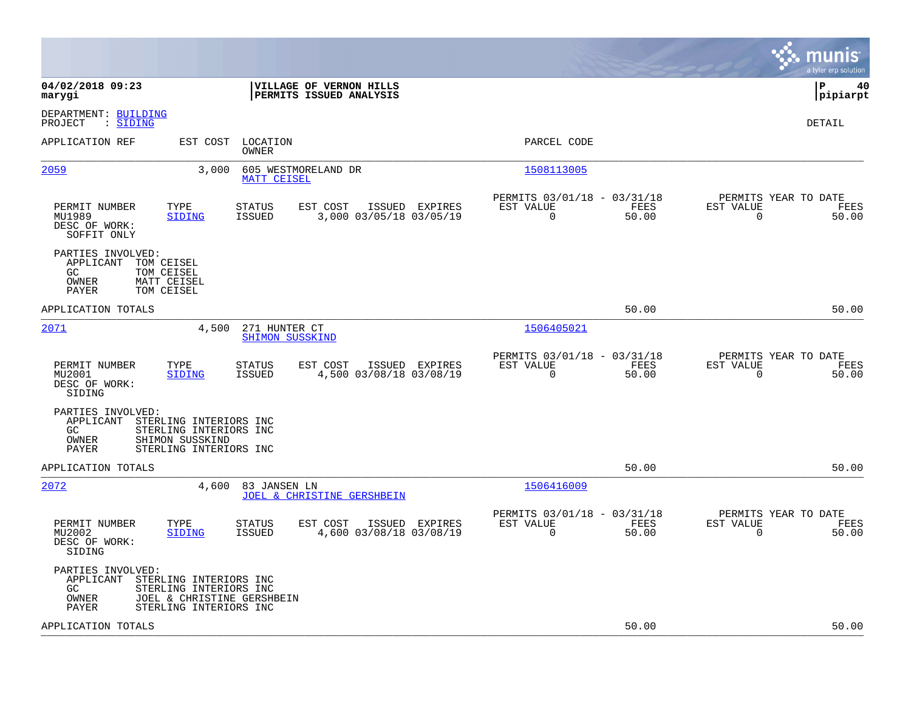|                                                                                                                                                                                  |                                                                          | munis<br>a tyler erp solution                                     |
|----------------------------------------------------------------------------------------------------------------------------------------------------------------------------------|--------------------------------------------------------------------------|-------------------------------------------------------------------|
| 04/02/2018 09:23<br>VILLAGE OF VERNON HILLS<br>PERMITS ISSUED ANALYSIS<br>marygi                                                                                                 |                                                                          | P<br>40<br> pipiarpt                                              |
| DEPARTMENT: BUILDING<br>: SIDING<br>PROJECT                                                                                                                                      |                                                                          | DETAIL                                                            |
| APPLICATION REF<br>EST COST<br>LOCATION<br>OWNER                                                                                                                                 | PARCEL CODE                                                              |                                                                   |
| 2059<br>605 WESTMORELAND DR<br>3,000<br><b>MATT CEISEL</b>                                                                                                                       | 1508113005                                                               |                                                                   |
| PERMIT NUMBER<br>TYPE<br>STATUS<br>EST COST<br>ISSUED EXPIRES<br>MU1989<br>SIDING<br><b>ISSUED</b><br>3,000 03/05/18 03/05/19<br>DESC OF WORK:<br>SOFFIT ONLY                    | PERMITS 03/01/18 - 03/31/18<br>EST VALUE<br>FEES<br>0<br>50.00           | PERMITS YEAR TO DATE<br>EST VALUE<br>FEES<br>$\mathbf 0$<br>50.00 |
| PARTIES INVOLVED:<br>APPLICANT<br>TOM CEISEL<br>GC<br>TOM CEISEL<br>OWNER<br>MATT CEISEL<br><b>PAYER</b><br>TOM CEISEL                                                           |                                                                          |                                                                   |
| APPLICATION TOTALS                                                                                                                                                               | 50.00                                                                    | 50.00                                                             |
| 2071<br>4,500<br>271 HUNTER CT<br><b>SHIMON SUSSKIND</b>                                                                                                                         | 1506405021                                                               |                                                                   |
| EST COST<br>ISSUED EXPIRES<br>PERMIT NUMBER<br>TYPE<br>STATUS<br><b>ISSUED</b><br>4,500 03/08/18 03/08/19<br>MU2001<br>SIDING<br>DESC OF WORK:<br>SIDING                         | PERMITS 03/01/18 - 03/31/18<br>EST VALUE<br>FEES<br>$\mathbf 0$<br>50.00 | PERMITS YEAR TO DATE<br>EST VALUE<br>FEES<br>50.00<br>$\mathbf 0$ |
| PARTIES INVOLVED:<br>APPLICANT<br>STERLING INTERIORS INC<br>STERLING INTERIORS INC<br>GC.<br>OWNER<br>SHIMON SUSSKIND<br>PAYER<br>STERLING INTERIORS INC                         |                                                                          |                                                                   |
| APPLICATION TOTALS                                                                                                                                                               | 50.00                                                                    | 50.00                                                             |
| 2072<br>4,600<br>83 JANSEN LN<br><b>JOEL &amp; CHRISTINE GERSHBEIN</b>                                                                                                           | 1506416009                                                               |                                                                   |
| PERMIT NUMBER<br>TYPE<br>EST COST<br>ISSUED<br><b>EXPIRES</b><br><b>STATUS</b><br><b>ISSUED</b><br>4,600 03/08/18 03/08/19<br>MU2002<br><b>SIDING</b><br>DESC OF WORK:<br>SIDING | PERMITS 03/01/18 - 03/31/18<br>EST VALUE<br>FEES<br>$\mathbf 0$<br>50.00 | PERMITS YEAR TO DATE<br>EST VALUE<br>FEES<br>0<br>50.00           |
| PARTIES INVOLVED:<br>APPLICANT<br>STERLING INTERIORS INC<br>GC<br>STERLING INTERIORS INC<br>JOEL & CHRISTINE GERSHBEIN<br>OWNER<br><b>PAYER</b><br>STERLING INTERIORS INC        |                                                                          |                                                                   |
| APPLICATION TOTALS                                                                                                                                                               | 50.00                                                                    | 50.00                                                             |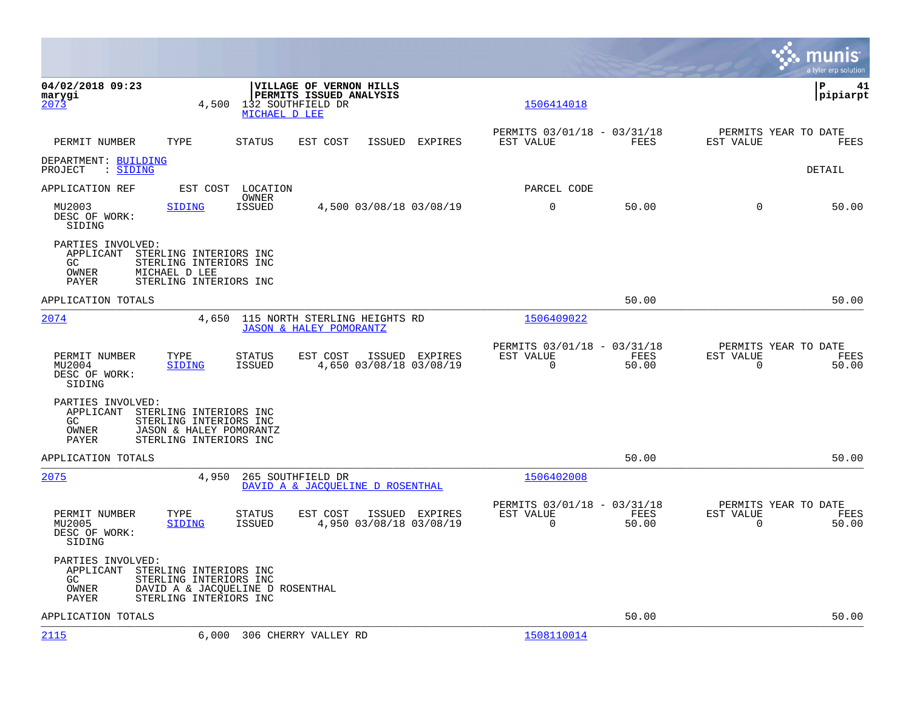|                                                         |                                                                                                                |                                    |                                                                     |                |                                                         |               |                          | mu<br>nıs<br>a tyler erp solution     |
|---------------------------------------------------------|----------------------------------------------------------------------------------------------------------------|------------------------------------|---------------------------------------------------------------------|----------------|---------------------------------------------------------|---------------|--------------------------|---------------------------------------|
| 04/02/2018 09:23<br>marygi<br>2073                      | 4,500                                                                                                          | 132 SOUTHFIELD DR<br>MICHAEL D LEE | VILLAGE OF VERNON HILLS<br><b>PERMITS ISSUED ANALYSIS</b>           |                | 1506414018                                              |               |                          | l P<br>41<br> pipiarpt                |
| PERMIT NUMBER                                           | TYPE                                                                                                           | <b>STATUS</b>                      | EST COST<br>ISSUED                                                  | EXPIRES        | PERMITS 03/01/18 - 03/31/18<br>EST VALUE                | FEES          | EST VALUE                | PERMITS YEAR TO DATE<br><b>FEES</b>   |
| DEPARTMENT: BUILDING<br>: SIDING<br>PROJECT             |                                                                                                                |                                    |                                                                     |                |                                                         |               |                          | DETAIL                                |
| APPLICATION REF                                         | EST COST                                                                                                       | LOCATION                           |                                                                     |                | PARCEL CODE                                             |               |                          |                                       |
| MU2003<br>DESC OF WORK:<br>SIDING                       | SIDING                                                                                                         | OWNER<br><b>ISSUED</b>             | 4,500 03/08/18 03/08/19                                             |                | $\mathbf 0$                                             | 50.00         | $\Omega$                 | 50.00                                 |
| PARTIES INVOLVED:<br>APPLICANT<br>GC.<br>OWNER<br>PAYER | STERLING INTERIORS INC<br>STERLING INTERIORS INC<br>MICHAEL D LEE<br>STERLING INTERIORS INC                    |                                    |                                                                     |                |                                                         |               |                          |                                       |
| APPLICATION TOTALS                                      |                                                                                                                |                                    |                                                                     |                |                                                         | 50.00         |                          | 50.00                                 |
| 2074                                                    | 4,650                                                                                                          |                                    | 115 NORTH STERLING HEIGHTS RD<br><b>JASON &amp; HALEY POMORANTZ</b> |                | 1506409022                                              |               |                          |                                       |
| PERMIT NUMBER<br>MU2004<br>DESC OF WORK:<br>SIDING      | TYPE<br>SIDING                                                                                                 | STATUS<br><b>ISSUED</b>            | EST COST<br>4,650 03/08/18 03/08/19                                 | ISSUED EXPIRES | PERMITS 03/01/18 - 03/31/18<br>EST VALUE<br>$\mathbf 0$ | FEES<br>50.00 | EST VALUE<br>$\mathbf 0$ | PERMITS YEAR TO DATE<br>FEES<br>50.00 |
| PARTIES INVOLVED:<br>APPLICANT<br>GC<br>OWNER<br>PAYER  | STERLING INTERIORS INC<br>STERLING INTERIORS INC<br>JASON & HALEY POMORANTZ<br>STERLING INTERIORS INC          |                                    |                                                                     |                |                                                         |               |                          |                                       |
| APPLICATION TOTALS                                      |                                                                                                                |                                    |                                                                     |                |                                                         | 50.00         |                          | 50.00                                 |
| 2075                                                    | 4,950                                                                                                          | 265 SOUTHFIELD DR                  | DAVID A & JACQUELINE D ROSENTHAL                                    |                | 1506402008                                              |               |                          |                                       |
| PERMIT NUMBER<br>MU2005<br>DESC OF WORK:<br>SIDING      | TYPE<br><b>SIDING</b>                                                                                          | <b>STATUS</b><br><b>ISSUED</b>     | EST COST<br>4,950 03/08/18 03/08/19                                 | ISSUED EXPIRES | PERMITS 03/01/18 - 03/31/18<br>EST VALUE<br>0           | FEES<br>50.00 | EST VALUE<br>$\mathbf 0$ | PERMITS YEAR TO DATE<br>FEES<br>50.00 |
| PARTIES INVOLVED:<br>APPLICANT<br>GC<br>OWNER<br>PAYER  | STERLING INTERIORS INC<br>STERLING INTERIORS INC<br>DAVID A & JACQUELINE D ROSENTHAL<br>STERLING INTERIORS INC |                                    |                                                                     |                |                                                         |               |                          |                                       |
| APPLICATION TOTALS                                      |                                                                                                                |                                    |                                                                     |                |                                                         | 50.00         |                          | 50.00                                 |
| 2115                                                    | 6,000                                                                                                          |                                    | 306 CHERRY VALLEY RD                                                |                | 1508110014                                              |               |                          |                                       |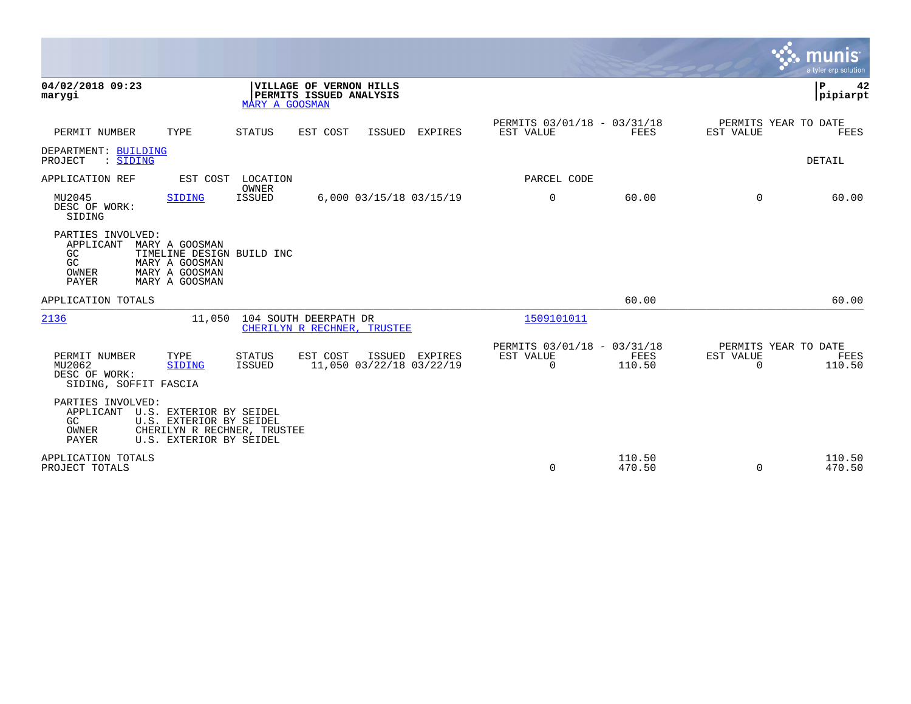|                                                                   |                                                                                                              |                         |                                                      |        |                                            |                                                      |                  |                                               | munis<br>a tyler erp solution |
|-------------------------------------------------------------------|--------------------------------------------------------------------------------------------------------------|-------------------------|------------------------------------------------------|--------|--------------------------------------------|------------------------------------------------------|------------------|-----------------------------------------------|-------------------------------|
| 04/02/2018 09:23<br>marygi                                        |                                                                                                              | MARY A GOOSMAN          | VILLAGE OF VERNON HILLS<br>PERMITS ISSUED ANALYSIS   |        |                                            |                                                      |                  |                                               | P<br>42<br>pipiarpt           |
| PERMIT NUMBER                                                     | TYPE                                                                                                         | <b>STATUS</b>           | EST COST                                             | ISSUED | EXPIRES                                    | PERMITS 03/01/18 - 03/31/18<br>EST VALUE             | <b>FEES</b>      | PERMITS YEAR TO DATE<br>EST VALUE             | <b>FEES</b>                   |
| DEPARTMENT: BUILDING<br>: SIDING<br>PROJECT                       |                                                                                                              |                         |                                                      |        |                                            |                                                      |                  |                                               | DETAIL                        |
| APPLICATION REF                                                   | EST COST                                                                                                     | LOCATION                |                                                      |        |                                            | PARCEL CODE                                          |                  |                                               |                               |
| MU2045<br>DESC OF WORK:<br>SIDING                                 | <b>SIDING</b>                                                                                                | OWNER<br><b>ISSUED</b>  |                                                      |        | 6,000 03/15/18 03/15/19                    | 0                                                    | 60.00            | $\Omega$                                      | 60.00                         |
| PARTIES INVOLVED:<br>APPLICANT<br>GC<br>GC<br>OWNER<br>PAYER      | MARY A GOOSMAN<br>TIMELINE DESIGN BUILD INC<br>MARY A GOOSMAN<br>MARY A GOOSMAN<br>MARY A GOOSMAN            |                         |                                                      |        |                                            |                                                      |                  |                                               |                               |
| APPLICATION TOTALS                                                |                                                                                                              |                         |                                                      |        |                                            |                                                      | 60.00            |                                               | 60.00                         |
| 2136                                                              | 11,050                                                                                                       |                         | 104 SOUTH DEERPATH DR<br>CHERILYN R RECHNER, TRUSTEE |        |                                            | 1509101011                                           |                  |                                               |                               |
| PERMIT NUMBER<br>MU2062<br>DESC OF WORK:<br>SIDING, SOFFIT FASCIA | TYPE<br><b>SIDING</b>                                                                                        | <b>STATUS</b><br>ISSUED | EST COST                                             |        | ISSUED EXPIRES<br>11,050 03/22/18 03/22/19 | PERMITS 03/01/18 - 03/31/18<br>EST VALUE<br>$\Omega$ | FEES<br>110.50   | PERMITS YEAR TO DATE<br>EST VALUE<br>$\Omega$ | FEES<br>110.50                |
| PARTIES INVOLVED:<br>APPLICANT<br>GC<br>OWNER<br><b>PAYER</b>     | U.S. EXTERIOR BY SEIDEL<br>U.S. EXTERIOR BY SEIDEL<br>CHERILYN R RECHNER, TRUSTEE<br>U.S. EXTERIOR BY SEIDEL |                         |                                                      |        |                                            |                                                      |                  |                                               |                               |
| APPLICATION TOTALS<br>PROJECT TOTALS                              |                                                                                                              |                         |                                                      |        |                                            | $\mathbf 0$                                          | 110.50<br>470.50 | $\mathbf 0$                                   | 110.50<br>470.50              |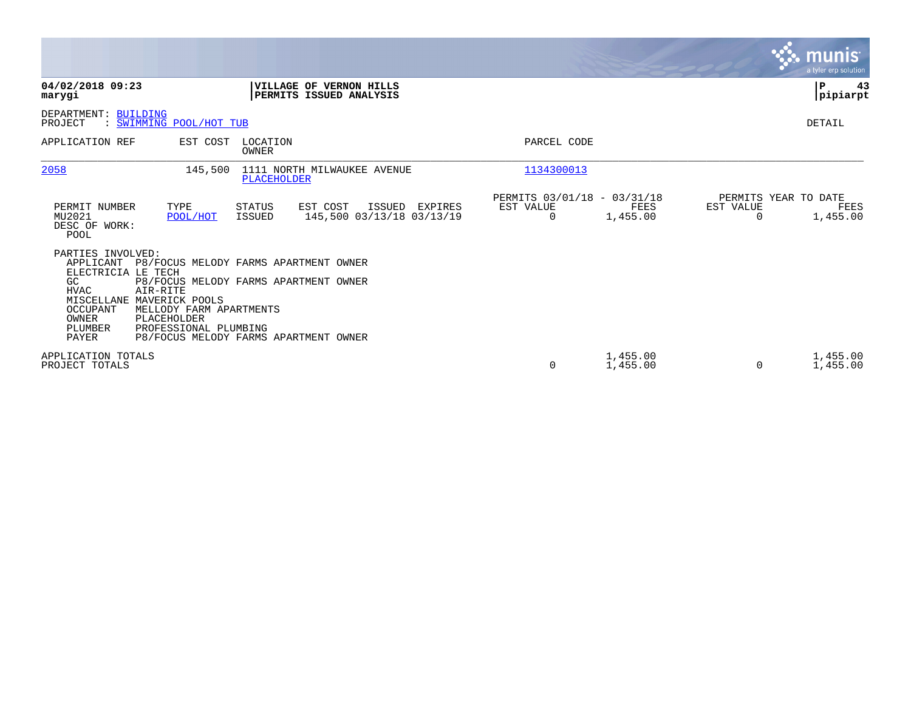|                                                                                                                                                                                                                                |                                                                                                                         |                                                                   | munis <sup>®</sup><br>a tyler erp solution.           |
|--------------------------------------------------------------------------------------------------------------------------------------------------------------------------------------------------------------------------------|-------------------------------------------------------------------------------------------------------------------------|-------------------------------------------------------------------|-------------------------------------------------------|
| 04/02/2018 09:23<br>marygi                                                                                                                                                                                                     | <b>VILLAGE OF VERNON HILLS</b><br>PERMITS ISSUED ANALYSIS                                                               |                                                                   | ∣P<br>43<br> pipiarpt                                 |
| DEPARTMENT: BUILDING<br>PROJECT<br>: SWIMMING POOL/HOT TUB                                                                                                                                                                     |                                                                                                                         |                                                                   | DETAIL                                                |
| APPLICATION REF<br>EST COST                                                                                                                                                                                                    | LOCATION<br>OWNER                                                                                                       | PARCEL CODE                                                       |                                                       |
| 2058<br>145,500                                                                                                                                                                                                                | 1111 NORTH MILWAUKEE AVENUE<br>PLACEHOLDER                                                                              | 1134300013                                                        |                                                       |
| PERMIT NUMBER<br>TYPE<br>MU2021<br>POOL/HOT<br>DESC OF WORK:<br><b>POOL</b>                                                                                                                                                    | EST COST<br>ISSUED<br>STATUS<br>EXPIRES<br>145,500 03/13/18 03/13/19<br>ISSUED                                          | PERMITS 03/01/18 - 03/31/18<br>EST VALUE<br>FEES<br>1,455.00<br>0 | PERMITS YEAR TO DATE<br>EST VALUE<br>FEES<br>1,455.00 |
| PARTIES INVOLVED:<br>APPLICANT<br>ELECTRICIA LE TECH<br>GC<br><b>HVAC</b><br>AIR-RITE<br>MISCELLANE MAVERICK POOLS<br>OCCUPANT<br>MELLODY FARM APARTMENTS<br>OWNER<br>PLACEHOLDER<br>PLUMBER<br>PROFESSIONAL PLUMBING<br>PAYER | P8/FOCUS MELODY FARMS APARTMENT OWNER<br>P8/FOCUS MELODY FARMS APARTMENT OWNER<br>P8/FOCUS MELODY FARMS APARTMENT OWNER |                                                                   |                                                       |
| APPLICATION TOTALS<br>PROJECT TOTALS                                                                                                                                                                                           |                                                                                                                         | 1,455.00<br>0<br>1,455.00                                         | 1,455.00<br>0<br>1,455.00                             |

**The State**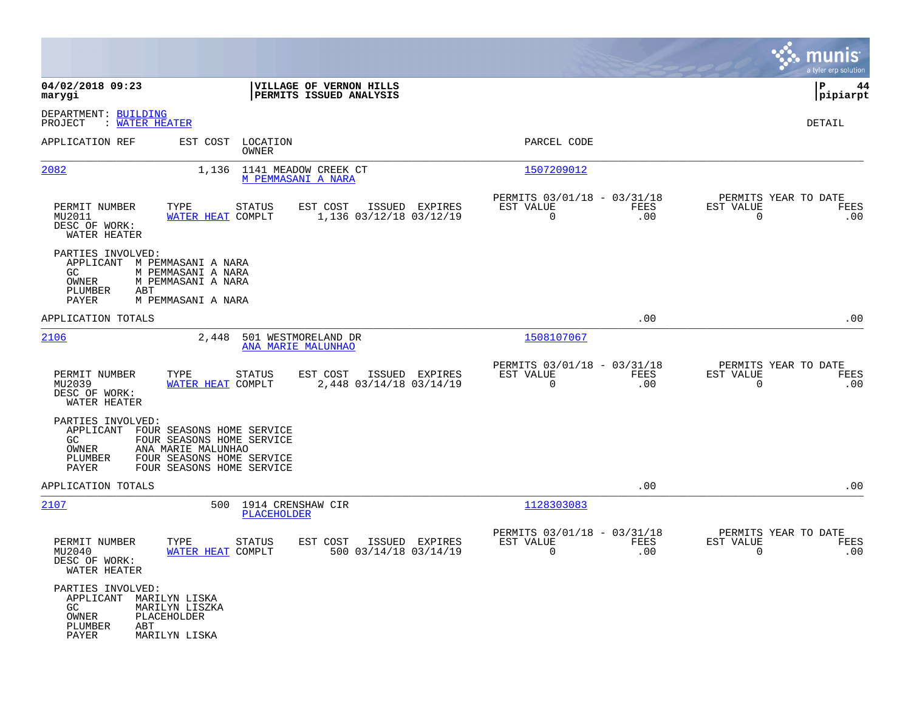|                                                                                        |                                                                                                                                                  |                                           |                                                            |             |                                                     | munis<br>a tyler erp solution |
|----------------------------------------------------------------------------------------|--------------------------------------------------------------------------------------------------------------------------------------------------|-------------------------------------------|------------------------------------------------------------|-------------|-----------------------------------------------------|-------------------------------|
| 04/02/2018 09:23<br>marygi                                                             | VILLAGE OF VERNON HILLS<br>PERMITS ISSUED ANALYSIS                                                                                               |                                           |                                                            |             |                                                     | l P<br>44<br> pipiarpt        |
| DEPARTMENT: BUILDING<br>: WATER HEATER<br>PROJECT                                      |                                                                                                                                                  |                                           |                                                            |             |                                                     | DETAIL                        |
| APPLICATION REF                                                                        | EST COST LOCATION<br>OWNER                                                                                                                       |                                           | PARCEL CODE                                                |             |                                                     |                               |
| 2082                                                                                   | 1,136 1141 MEADOW CREEK CT<br>M PEMMASANI A NARA                                                                                                 |                                           | 1507209012                                                 |             |                                                     |                               |
| PERMIT NUMBER<br>MU2011<br>DESC OF WORK:<br>WATER HEATER                               | TYPE<br><b>STATUS</b><br>EST COST<br>WATER HEAT COMPLT                                                                                           | ISSUED EXPIRES<br>1,136 03/12/18 03/12/19 | PERMITS 03/01/18 - 03/31/18<br>EST VALUE<br>$\overline{0}$ | FEES<br>.00 | PERMITS YEAR TO DATE<br>EST VALUE<br>$\Omega$       | FEES<br>.00                   |
| PARTIES INVOLVED:<br>APPLICANT<br>GC.<br>OWNER<br>PLUMBER<br>ABT<br>PAYER              | M PEMMASANI A NARA<br>M PEMMASANI A NARA<br>M PEMMASANI A NARA<br>M PEMMASANI A NARA                                                             |                                           |                                                            |             |                                                     |                               |
| APPLICATION TOTALS                                                                     |                                                                                                                                                  |                                           |                                                            | .00         |                                                     | .00                           |
| 2106                                                                                   | 2,448<br>501 WESTMORELAND DR<br>ANA MARIE MALUNHAO                                                                                               |                                           | 1508107067                                                 |             |                                                     |                               |
| PERMIT NUMBER<br>MU2039<br>DESC OF WORK:<br>WATER HEATER                               | TYPE<br>STATUS<br>EST COST<br>WATER HEAT COMPLT                                                                                                  | ISSUED EXPIRES<br>2,448 03/14/18 03/14/19 | PERMITS 03/01/18 - 03/31/18<br>EST VALUE<br>$\overline{0}$ | FEES<br>.00 | PERMITS YEAR TO DATE<br>EST VALUE<br>$\overline{0}$ | FEES<br>.00                   |
| PARTIES INVOLVED:<br>GC.<br>OWNER<br>PLUMBER<br>PAYER                                  | APPLICANT FOUR SEASONS HOME SERVICE<br>FOUR SEASONS HOME SERVICE<br>ANA MARIE MALUNHAO<br>FOUR SEASONS HOME SERVICE<br>FOUR SEASONS HOME SERVICE |                                           |                                                            |             |                                                     |                               |
| APPLICATION TOTALS                                                                     |                                                                                                                                                  |                                           |                                                            | .00         |                                                     | .00                           |
| 2107                                                                                   | 500 1914 CRENSHAW CIR<br>PLACEHOLDER                                                                                                             |                                           | 1128303083                                                 |             |                                                     |                               |
| PERMIT NUMBER<br>MU2040<br>DESC OF WORK:<br>WATER HEATER                               | TYPE<br><b>STATUS</b><br>EST COST<br>WATER HEAT COMPLT                                                                                           | ISSUED EXPIRES<br>500 03/14/18 03/14/19   | PERMITS 03/01/18 - 03/31/18<br>EST VALUE<br>0              | FEES<br>.00 | PERMITS YEAR TO DATE<br>EST VALUE<br>0              | FEES<br>.00                   |
| PARTIES INVOLVED:<br>APPLICANT MARILYN LISKA<br>GC<br>OWNER<br>PLUMBER<br>ABT<br>PAYER | MARILYN LISZKA<br><b>PLACEHOLDER</b><br>MARILYN LISKA                                                                                            |                                           |                                                            |             |                                                     |                               |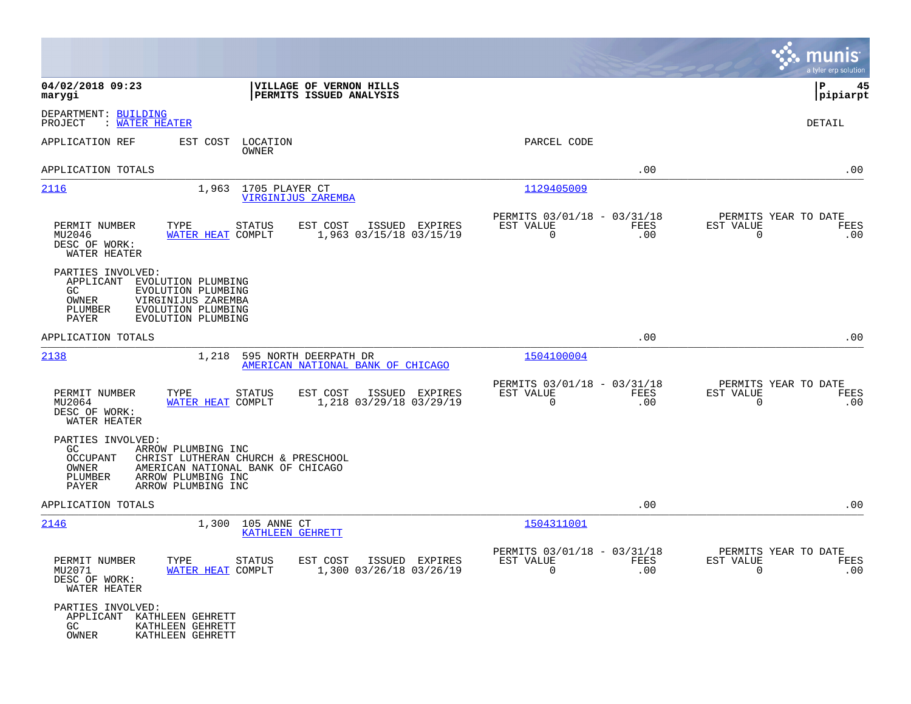|                                                                                                                                                                                  |                                                                         |                                                         |             |                                                  | munis<br>a tyler erp solution |
|----------------------------------------------------------------------------------------------------------------------------------------------------------------------------------|-------------------------------------------------------------------------|---------------------------------------------------------|-------------|--------------------------------------------------|-------------------------------|
| 04/02/2018 09:23<br>marygi                                                                                                                                                       | VILLAGE OF VERNON HILLS<br>PERMITS ISSUED ANALYSIS                      |                                                         |             |                                                  | l P<br>45<br> pipiarpt        |
| DEPARTMENT: BUILDING<br>PROJECT<br>: WATER HEATER                                                                                                                                |                                                                         |                                                         |             |                                                  | DETAIL                        |
| APPLICATION REF<br>EST COST                                                                                                                                                      | LOCATION<br>OWNER                                                       | PARCEL CODE                                             |             |                                                  |                               |
| APPLICATION TOTALS                                                                                                                                                               |                                                                         |                                                         | .00         |                                                  | .00                           |
| 2116                                                                                                                                                                             | 1,963 1705 PLAYER CT<br><b>VIRGINIJUS ZAREMBA</b>                       | 1129405009                                              |             |                                                  |                               |
| PERMIT NUMBER<br>TYPE<br>MU2046<br>WATER HEAT COMPLT<br>DESC OF WORK:<br>WATER HEATER                                                                                            | <b>STATUS</b><br>EST COST<br>ISSUED EXPIRES<br>1,963 03/15/18 03/15/19  | PERMITS 03/01/18 - 03/31/18<br>EST VALUE<br>$\mathbf 0$ | FEES<br>.00 | PERMITS YEAR TO DATE<br>EST VALUE<br>$\mathbf 0$ | FEES<br>.00                   |
| PARTIES INVOLVED:<br>APPLICANT<br>EVOLUTION PLUMBING<br>GC.<br>EVOLUTION PLUMBING<br>OWNER<br>VIRGINIJUS ZAREMBA<br>PLUMBER<br>EVOLUTION PLUMBING<br>PAYER<br>EVOLUTION PLUMBING |                                                                         |                                                         |             |                                                  |                               |
| APPLICATION TOTALS                                                                                                                                                               |                                                                         |                                                         | .00         |                                                  | .00                           |
| 2138<br>1,218                                                                                                                                                                    | 595 NORTH DEERPATH DR<br>AMERICAN NATIONAL BANK OF CHICAGO              | 1504100004                                              |             |                                                  |                               |
| PERMIT NUMBER<br>TYPE<br>MU2064<br>WATER HEAT COMPLT<br>DESC OF WORK:<br>WATER HEATER                                                                                            | EST COST<br>STATUS<br>ISSUED EXPIRES<br>1,218 03/29/18 03/29/19         | PERMITS 03/01/18 - 03/31/18<br>EST VALUE<br>$\mathbf 0$ | FEES<br>.00 | PERMITS YEAR TO DATE<br>EST VALUE<br>0           | FEES<br>.00                   |
| PARTIES INVOLVED:<br>GC.<br>ARROW PLUMBING INC<br>OCCUPANT<br>OWNER<br>PLUMBER<br>ARROW PLUMBING INC<br>PAYER<br>ARROW PLUMBING INC                                              | CHRIST LUTHERAN CHURCH & PRESCHOOL<br>AMERICAN NATIONAL BANK OF CHICAGO |                                                         |             |                                                  |                               |
| APPLICATION TOTALS                                                                                                                                                               |                                                                         |                                                         | .00         |                                                  | .00                           |
| 2146<br>1,300                                                                                                                                                                    | 105 ANNE CT<br>KATHLEEN GEHRETT                                         | 1504311001                                              |             |                                                  |                               |
| PERMIT NUMBER<br>TYPE<br>MU2071<br>WATER HEAT COMPLT<br>DESC OF WORK:<br>WATER HEATER                                                                                            | STATUS<br>EST COST ISSUED EXPIRES<br>1,300 03/26/18 03/26/19            | PERMITS 03/01/18 - 03/31/18<br>EST VALUE<br>$\Omega$    | FEES<br>.00 | PERMITS YEAR TO DATE<br>EST VALUE<br>$\Omega$    | FEES<br>.00                   |
| PARTIES INVOLVED:<br>APPLICANT KATHLEEN GEHRETT<br>GC<br>KATHLEEN GEHRETT<br>OWNER<br>KATHLEEN GEHRETT                                                                           |                                                                         |                                                         |             |                                                  |                               |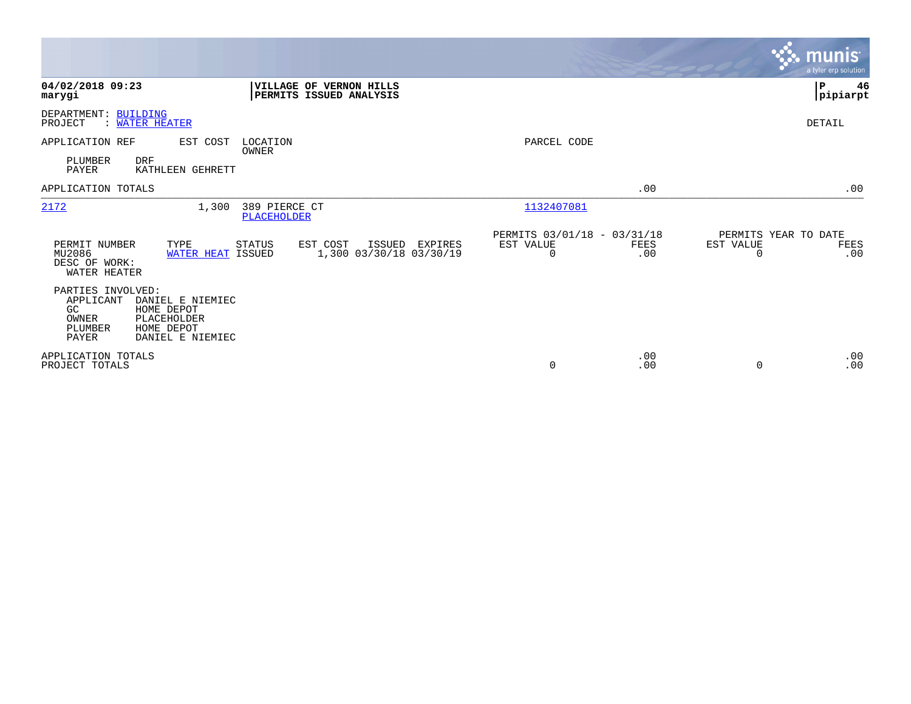|                                                                                                                                                          |                                                                     | <b>munis</b><br>a tyler erp solution                  |
|----------------------------------------------------------------------------------------------------------------------------------------------------------|---------------------------------------------------------------------|-------------------------------------------------------|
| 04/02/2018 09:23<br>VILLAGE OF VERNON HILLS<br>PERMITS ISSUED ANALYSIS<br>marygi                                                                         |                                                                     | P<br>46<br> pipiarpt                                  |
| DEPARTMENT: BUILDING<br>PROJECT<br>: WATER HEATER                                                                                                        |                                                                     | <b>DETAIL</b>                                         |
| APPLICATION REF<br>EST COST<br>LOCATION<br>OWNER                                                                                                         | PARCEL CODE                                                         |                                                       |
| PLUMBER<br><b>DRF</b><br>PAYER<br>KATHLEEN GEHRETT                                                                                                       |                                                                     |                                                       |
| APPLICATION TOTALS                                                                                                                                       | .00                                                                 | .00                                                   |
| 2172<br>1,300<br>389 PIERCE CT<br>PLACEHOLDER                                                                                                            | 1132407081                                                          |                                                       |
| PERMIT NUMBER<br>TYPE<br>STATUS<br>EST COST<br>ISSUED EXPIRES<br>1,300 03/30/18 03/30/19<br>MU2086<br>WATER HEAT ISSUED<br>DESC OF WORK:<br>WATER HEATER | PERMITS 03/01/18 - 03/31/18<br>EST VALUE<br>FEES<br>$\Omega$<br>.00 | PERMITS YEAR TO DATE<br>EST VALUE<br>FEES<br>.00<br>0 |
| PARTIES INVOLVED:<br>APPLICANT<br>DANIEL E NIEMIEC<br>GC<br>HOME DEPOT<br>OWNER<br>PLACEHOLDER<br>PLUMBER<br>HOME DEPOT<br>PAYER<br>DANIEL E NIEMIEC     |                                                                     |                                                       |
| APPLICATION TOTALS<br>PROJECT TOTALS                                                                                                                     | .00<br>.00<br>0                                                     | .00<br>.00<br>$\Omega$                                |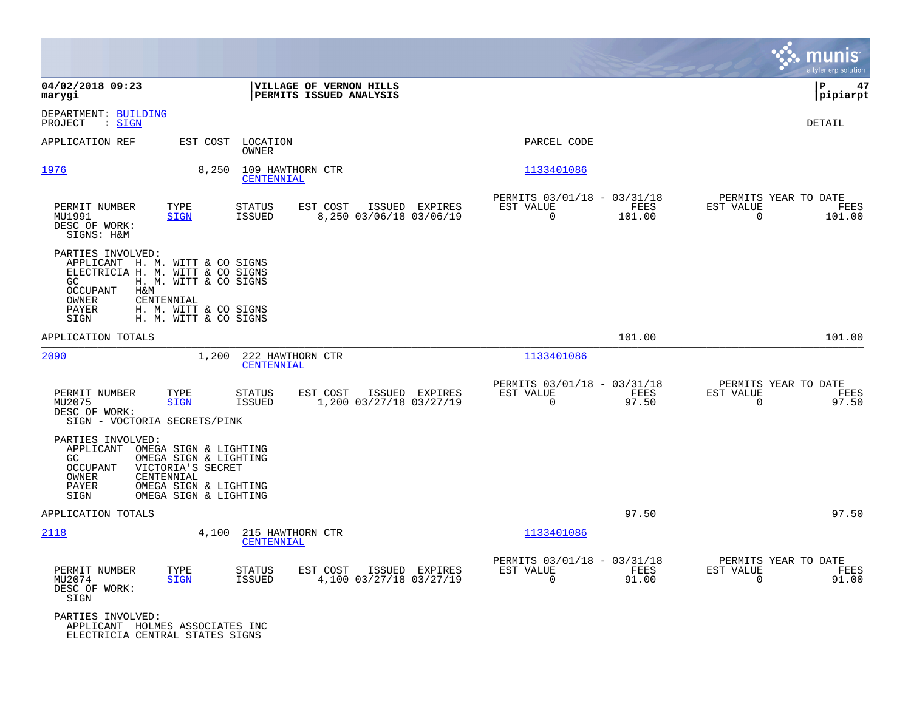|                                                                                                                                                                                                                   |                                                                                         |                                                                           | munis<br>a tyler erp solution                                      |
|-------------------------------------------------------------------------------------------------------------------------------------------------------------------------------------------------------------------|-----------------------------------------------------------------------------------------|---------------------------------------------------------------------------|--------------------------------------------------------------------|
| 04/02/2018 09:23<br>marygi                                                                                                                                                                                        | VILLAGE OF VERNON HILLS<br><b>PERMITS ISSUED ANALYSIS</b>                               |                                                                           | l P<br>47<br> pipiarpt                                             |
| DEPARTMENT: BUILDING<br>PROJECT<br>$\therefore$ SIGN                                                                                                                                                              |                                                                                         |                                                                           | DETAIL                                                             |
| APPLICATION REF<br>EST COST                                                                                                                                                                                       | LOCATION<br>OWNER                                                                       | PARCEL CODE                                                               |                                                                    |
| 1976<br>8,250                                                                                                                                                                                                     | 109 HAWTHORN CTR<br>CENTENNIAL                                                          | 1133401086                                                                |                                                                    |
| PERMIT NUMBER<br>TYPE<br>MU1991<br><b>SIGN</b><br>DESC OF WORK:<br>SIGNS: H&M                                                                                                                                     | <b>STATUS</b><br>EST COST<br>ISSUED EXPIRES<br><b>ISSUED</b><br>8,250 03/06/18 03/06/19 | PERMITS 03/01/18 - 03/31/18<br>EST VALUE<br>FEES<br>101.00<br>$\mathbf 0$ | PERMITS YEAR TO DATE<br>EST VALUE<br>FEES<br>$\mathbf 0$<br>101.00 |
| PARTIES INVOLVED:<br>APPLICANT H. M. WITT & CO SIGNS<br>ELECTRICIA H. M. WITT & CO SIGNS<br>GC.<br>H. M. WITT & CO SIGNS<br>OCCUPANT<br>H&M<br>CENTENNIAL<br>OWNER                                                |                                                                                         |                                                                           |                                                                    |
| PAYER<br>H. M. WITT & CO SIGNS<br>H. M. WITT & CO SIGNS<br>SIGN                                                                                                                                                   |                                                                                         |                                                                           |                                                                    |
| APPLICATION TOTALS                                                                                                                                                                                                |                                                                                         | 101.00                                                                    | 101.00                                                             |
| 2090<br>1,200                                                                                                                                                                                                     | 222 HAWTHORN CTR<br>CENTENNIAL                                                          | 1133401086                                                                |                                                                    |
| PERMIT NUMBER<br>TYPE<br>MU2075<br><b>SIGN</b><br>DESC OF WORK:<br>SIGN - VOCTORIA SECRETS/PINK                                                                                                                   | <b>STATUS</b><br>EST COST<br>ISSUED EXPIRES<br>1,200 03/27/18 03/27/19<br><b>ISSUED</b> | PERMITS 03/01/18 - 03/31/18<br>EST VALUE<br>FEES<br>$\mathbf 0$<br>97.50  | PERMITS YEAR TO DATE<br>EST VALUE<br>FEES<br>$\mathbf 0$<br>97.50  |
| PARTIES INVOLVED:<br>APPLICANT<br>OMEGA SIGN & LIGHTING<br>GC<br>OMEGA SIGN & LIGHTING<br>VICTORIA'S SECRET<br>OCCUPANT<br>CENTENNIAL<br>OWNER<br>OMEGA SIGN & LIGHTING<br>PAYER<br>OMEGA SIGN & LIGHTING<br>SIGN |                                                                                         |                                                                           |                                                                    |
| APPLICATION TOTALS                                                                                                                                                                                                |                                                                                         | 97.50                                                                     | 97.50                                                              |
| 4,100<br>2118                                                                                                                                                                                                     | 215 HAWTHORN CTR<br>CENTENNIAL                                                          | 1133401086                                                                |                                                                    |
| PERMIT NUMBER<br>TYPE<br>MU2074<br><b>SIGN</b><br>DESC OF WORK:<br>SIGN                                                                                                                                           | <b>STATUS</b><br>EST COST<br>ISSUED EXPIRES<br><b>ISSUED</b><br>4,100 03/27/18 03/27/19 | PERMITS 03/01/18 - 03/31/18<br>EST VALUE<br>FEES<br>0<br>91.00            | PERMITS YEAR TO DATE<br>EST VALUE<br>FEES<br>$\Omega$<br>91.00     |
| PARTIES INVOLVED:<br>APPLICANT HOLMES ASSOCIATES INC<br>ELECTRICIA CENTRAL STATES SIGNS                                                                                                                           |                                                                                         |                                                                           |                                                                    |